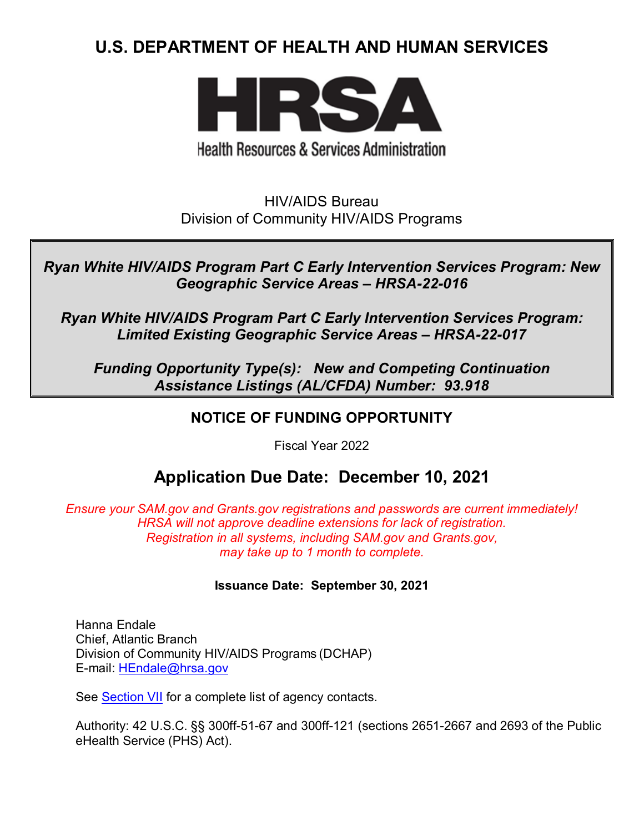# **U.S. DEPARTMENT OF HEALTH AND HUMAN SERVICES**



# **Health Resources & Services Administration**

HIV/AIDS Bureau Division of Community HIV/AIDS Programs

*Ryan White HIV/AIDS Program Part C Early Intervention Services Program: New Geographic Service Areas – HRSA-22-016*

*Ryan White HIV/AIDS Program Part C Early Intervention Services Program: Limited Existing Geographic Service Areas – HRSA-22-017*

*Funding Opportunity Type(s): New and Competing Continuation Assistance Listings (AL/CFDA) Number: 93.918*

# **NOTICE OF FUNDING OPPORTUNITY**

Fiscal Year 2022

# **Application Due Date: December 10, 2021**

*Ensure your SAM.gov and Grants.gov registrations and passwords are current immediately! HRSA will not approve deadline extensions for lack of registration. Registration in all systems, including SAM.gov and Grants.gov, may take up to 1 month to complete.*

### **Issuance Date: September 30, 2021**

Hanna Endale Chief, Atlantic Branch Division of Community HIV/AIDS Programs (DCHAP) E-mail: [HEndale@hrsa.gov](mailto:HEndale@hrsa.gov)

See **Section VII** for a complete list of agency contacts.

Authority: 42 U.S.C. §§ 300ff-51-67 and 300ff-121 (sections 2651-2667 and 2693 of the Public eHealth Service (PHS) Act).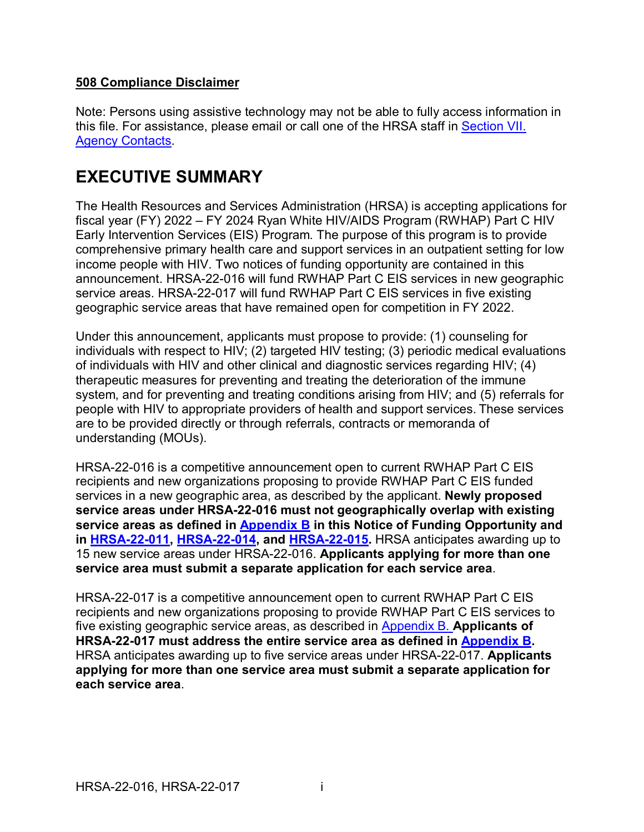### **508 Compliance Disclaimer**

Note: Persons using assistive technology may not be able to fully access information in this file. For assistance, please email or call one of the HRSA staff in [Section VII.](#page-49-0)  [Agency Contacts.](#page-49-0)

# **EXECUTIVE SUMMARY**

The Health Resources and Services Administration (HRSA) is accepting applications for fiscal year (FY) 2022 – FY 2024 Ryan White HIV/AIDS Program (RWHAP) Part C HIV Early Intervention Services (EIS) Program. The purpose of this program is to provide comprehensive primary health care and support services in an outpatient setting for low income people with HIV. Two notices of funding opportunity are contained in this announcement. HRSA-22-016 will fund RWHAP Part C EIS services in new geographic service areas. HRSA-22-017 will fund RWHAP Part C EIS services in five existing geographic service areas that have remained open for competition in FY 2022.

Under this announcement, applicants must propose to provide: (1) counseling for individuals with respect to HIV; (2) targeted HIV testing; (3) periodic medical evaluations of individuals with HIV and other clinical and diagnostic services regarding HIV; (4) therapeutic measures for preventing and treating the deterioration of the immune system, and for preventing and treating conditions arising from HIV; and (5) referrals for people with HIV to appropriate providers of health and support services. These services are to be provided directly or through referrals, contracts or memoranda of understanding (MOUs).

HRSA-22-016 is a competitive announcement open to current RWHAP Part C EIS recipients and new organizations proposing to provide RWHAP Part C EIS funded services in a new geographic area, as described by the applicant. **Newly proposed service areas under HRSA-22-016 must not geographically overlap with existing service areas as defined in [Appendix B](#page-55-0) in this Notice of Funding Opportunity and in [HRSA-22-011,](https://www.hrsa.gov/grants/find-funding/hrsa-22-011) [HRSA-22-014,](https://www.hrsa.gov/grants/find-funding/hrsa-22-014) and [HRSA-22-015.](https://www.hrsa.gov/grants/find-funding/hrsa-22-015)** HRSA anticipates awarding up to 15 new service areas under HRSA-22-016. **Applicants applying for more than one service area must submit a separate application for each service area**.

HRSA-22-017 is a competitive announcement open to current RWHAP Part C EIS recipients and new organizations proposing to provide RWHAP Part C EIS services to five existing geographic service areas, as described in [Appendix B.](#page-55-0) **Applicants of HRSA-22-017 must address the entire service area as defined in [Appendix B.](#page-55-0)**  HRSA anticipates awarding up to five service areas under HRSA-22-017. **Applicants applying for more than one service area must submit a separate application for each service area**.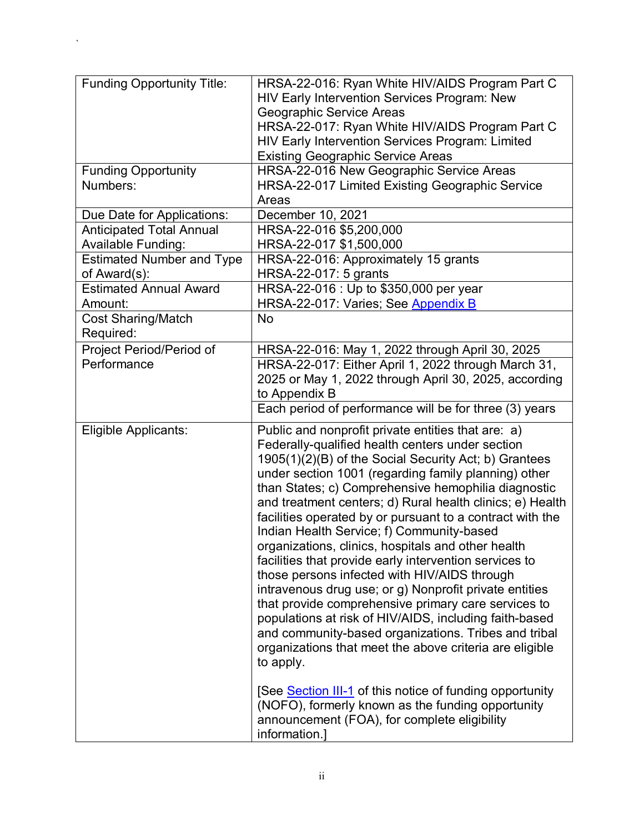| <b>Funding Opportunity Title:</b> | HRSA-22-016: Ryan White HIV/AIDS Program Part C                                                                                                                                                                                                                                                                                                                                                                                                                                                                                                                                                                                                                                                                                                                                                                                                                                                                                  |
|-----------------------------------|----------------------------------------------------------------------------------------------------------------------------------------------------------------------------------------------------------------------------------------------------------------------------------------------------------------------------------------------------------------------------------------------------------------------------------------------------------------------------------------------------------------------------------------------------------------------------------------------------------------------------------------------------------------------------------------------------------------------------------------------------------------------------------------------------------------------------------------------------------------------------------------------------------------------------------|
|                                   | <b>HIV Early Intervention Services Program: New</b><br>Geographic Service Areas                                                                                                                                                                                                                                                                                                                                                                                                                                                                                                                                                                                                                                                                                                                                                                                                                                                  |
|                                   | HRSA-22-017: Ryan White HIV/AIDS Program Part C                                                                                                                                                                                                                                                                                                                                                                                                                                                                                                                                                                                                                                                                                                                                                                                                                                                                                  |
|                                   | HIV Early Intervention Services Program: Limited                                                                                                                                                                                                                                                                                                                                                                                                                                                                                                                                                                                                                                                                                                                                                                                                                                                                                 |
|                                   | <b>Existing Geographic Service Areas</b>                                                                                                                                                                                                                                                                                                                                                                                                                                                                                                                                                                                                                                                                                                                                                                                                                                                                                         |
| <b>Funding Opportunity</b>        | HRSA-22-016 New Geographic Service Areas                                                                                                                                                                                                                                                                                                                                                                                                                                                                                                                                                                                                                                                                                                                                                                                                                                                                                         |
| Numbers:                          | HRSA-22-017 Limited Existing Geographic Service                                                                                                                                                                                                                                                                                                                                                                                                                                                                                                                                                                                                                                                                                                                                                                                                                                                                                  |
|                                   | Areas                                                                                                                                                                                                                                                                                                                                                                                                                                                                                                                                                                                                                                                                                                                                                                                                                                                                                                                            |
| Due Date for Applications:        | December 10, 2021                                                                                                                                                                                                                                                                                                                                                                                                                                                                                                                                                                                                                                                                                                                                                                                                                                                                                                                |
| <b>Anticipated Total Annual</b>   | HRSA-22-016 \$5,200,000                                                                                                                                                                                                                                                                                                                                                                                                                                                                                                                                                                                                                                                                                                                                                                                                                                                                                                          |
| <b>Available Funding:</b>         | HRSA-22-017 \$1,500,000                                                                                                                                                                                                                                                                                                                                                                                                                                                                                                                                                                                                                                                                                                                                                                                                                                                                                                          |
| <b>Estimated Number and Type</b>  | HRSA-22-016: Approximately 15 grants                                                                                                                                                                                                                                                                                                                                                                                                                                                                                                                                                                                                                                                                                                                                                                                                                                                                                             |
| of Award(s):                      | HRSA-22-017: 5 grants                                                                                                                                                                                                                                                                                                                                                                                                                                                                                                                                                                                                                                                                                                                                                                                                                                                                                                            |
| <b>Estimated Annual Award</b>     | HRSA-22-016 : Up to \$350,000 per year                                                                                                                                                                                                                                                                                                                                                                                                                                                                                                                                                                                                                                                                                                                                                                                                                                                                                           |
| Amount:                           | HRSA-22-017: Varies; See Appendix B                                                                                                                                                                                                                                                                                                                                                                                                                                                                                                                                                                                                                                                                                                                                                                                                                                                                                              |
| <b>Cost Sharing/Match</b>         | <b>No</b>                                                                                                                                                                                                                                                                                                                                                                                                                                                                                                                                                                                                                                                                                                                                                                                                                                                                                                                        |
| Required:                         |                                                                                                                                                                                                                                                                                                                                                                                                                                                                                                                                                                                                                                                                                                                                                                                                                                                                                                                                  |
| Project Period/Period of          | HRSA-22-016: May 1, 2022 through April 30, 2025                                                                                                                                                                                                                                                                                                                                                                                                                                                                                                                                                                                                                                                                                                                                                                                                                                                                                  |
| Performance                       | HRSA-22-017: Either April 1, 2022 through March 31,                                                                                                                                                                                                                                                                                                                                                                                                                                                                                                                                                                                                                                                                                                                                                                                                                                                                              |
|                                   | 2025 or May 1, 2022 through April 30, 2025, according                                                                                                                                                                                                                                                                                                                                                                                                                                                                                                                                                                                                                                                                                                                                                                                                                                                                            |
|                                   | to Appendix B                                                                                                                                                                                                                                                                                                                                                                                                                                                                                                                                                                                                                                                                                                                                                                                                                                                                                                                    |
|                                   | Each period of performance will be for three (3) years                                                                                                                                                                                                                                                                                                                                                                                                                                                                                                                                                                                                                                                                                                                                                                                                                                                                           |
| Eligible Applicants:              | Public and nonprofit private entities that are: a)<br>Federally-qualified health centers under section<br>1905(1)(2)(B) of the Social Security Act; b) Grantees<br>under section 1001 (regarding family planning) other<br>than States; c) Comprehensive hemophilia diagnostic<br>and treatment centers; d) Rural health clinics; e) Health<br>facilities operated by or pursuant to a contract with the<br>Indian Health Service; f) Community-based<br>organizations, clinics, hospitals and other health<br>facilities that provide early intervention services to<br>those persons infected with HIV/AIDS through<br>intravenous drug use; or g) Nonprofit private entities<br>that provide comprehensive primary care services to<br>populations at risk of HIV/AIDS, including faith-based<br>and community-based organizations. Tribes and tribal<br>organizations that meet the above criteria are eligible<br>to apply. |
|                                   | [See Section III-1 of this notice of funding opportunity<br>(NOFO), formerly known as the funding opportunity<br>announcement (FOA), for complete eligibility<br>information.]                                                                                                                                                                                                                                                                                                                                                                                                                                                                                                                                                                                                                                                                                                                                                   |

 $\Delta \sim 10^{-11}$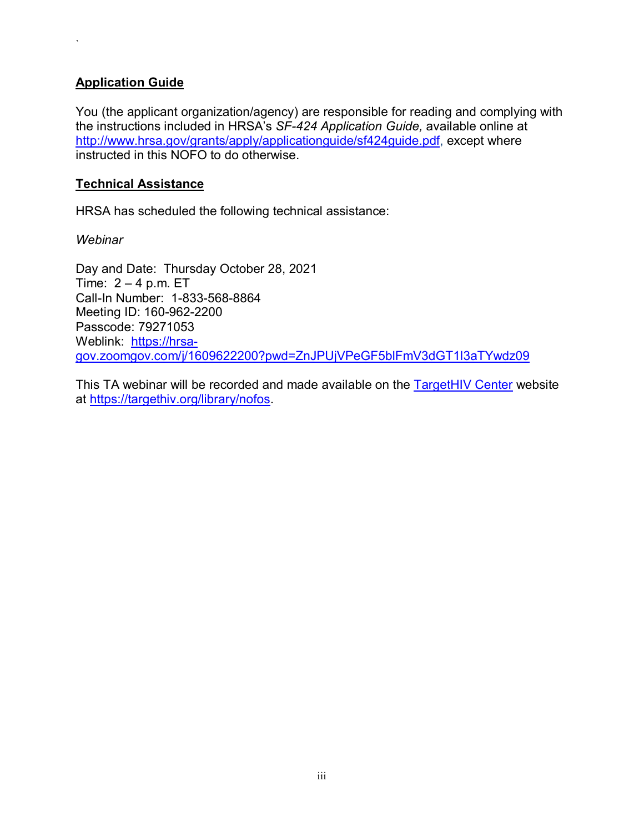### **Application Guide**

 $\lambda$ 

You (the applicant organization/agency) are responsible for reading and complying with the instructions included in HRSA's *SF-424 Application Guide,* available online at [http://www.hrsa.gov/grants/apply/applicationguide/sf424guide.pdf,](http://www.hrsa.gov/grants/apply/applicationguide/sf424guide.pdf) except where instructed in this NOFO to do otherwise.

### **Technical Assistance**

HRSA has scheduled the following technical assistance:

*Webinar*

Day and Date: Thursday October 28, 2021 Time:  $2 - 4$  p.m. ET Call-In Number: 1-833-568-8864 Meeting ID: 160-962-2200 Passcode: 79271053 Weblink: [https://hrsa](https://hrsa-gov.zoomgov.com/j/1609622200?pwd=ZnJPUjVPeGF5blFmV3dGT1l3aTYwdz09)[gov.zoomgov.com/j/1609622200?pwd=ZnJPUjVPeGF5blFmV3dGT1l3aTYwdz09](https://hrsa-gov.zoomgov.com/j/1609622200?pwd=ZnJPUjVPeGF5blFmV3dGT1l3aTYwdz09)

This TA webinar will be recorded and made available on the **TargetHIV Center** website at [https://targethiv.org/library/nofos.](https://targethiv.org/library/nofos)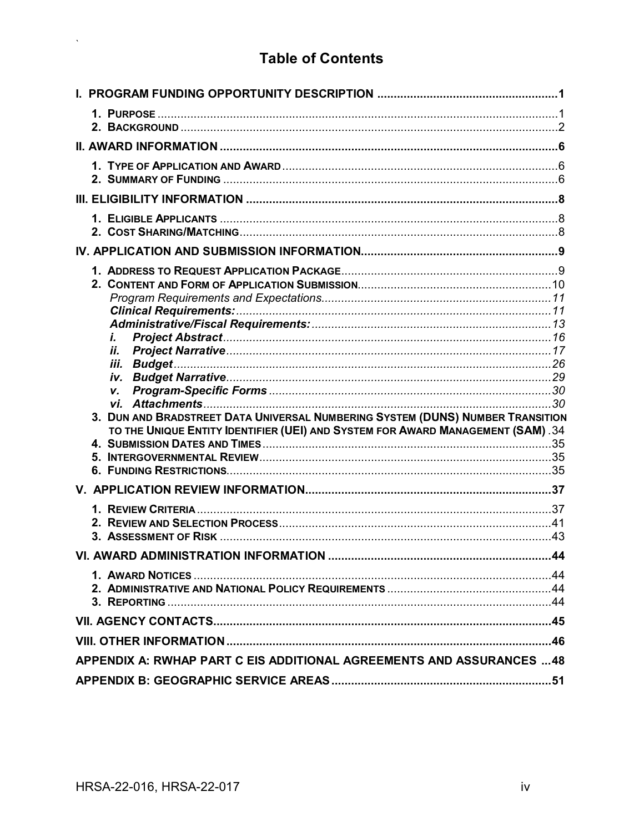# **Table of Contents**

| i.                                                                              |  |
|---------------------------------------------------------------------------------|--|
| ij.<br>iii.                                                                     |  |
|                                                                                 |  |
| V.                                                                              |  |
| 3. DUN AND BRADSTREET DATA UNIVERSAL NUMBERING SYSTEM (DUNS) NUMBER TRANSITION  |  |
| TO THE UNIQUE ENTITY IDENTIFIER (UEI) AND SYSTEM FOR AWARD MANAGEMENT (SAM). 34 |  |
|                                                                                 |  |
|                                                                                 |  |
|                                                                                 |  |
|                                                                                 |  |
|                                                                                 |  |
|                                                                                 |  |
|                                                                                 |  |
|                                                                                 |  |
|                                                                                 |  |
|                                                                                 |  |
|                                                                                 |  |
|                                                                                 |  |
| APPENDIX A: RWHAP PART C EIS ADDITIONAL AGREEMENTS AND ASSURANCES  48           |  |
|                                                                                 |  |

 $\mathbf{x} \in \mathbb{R}^{d \times d}$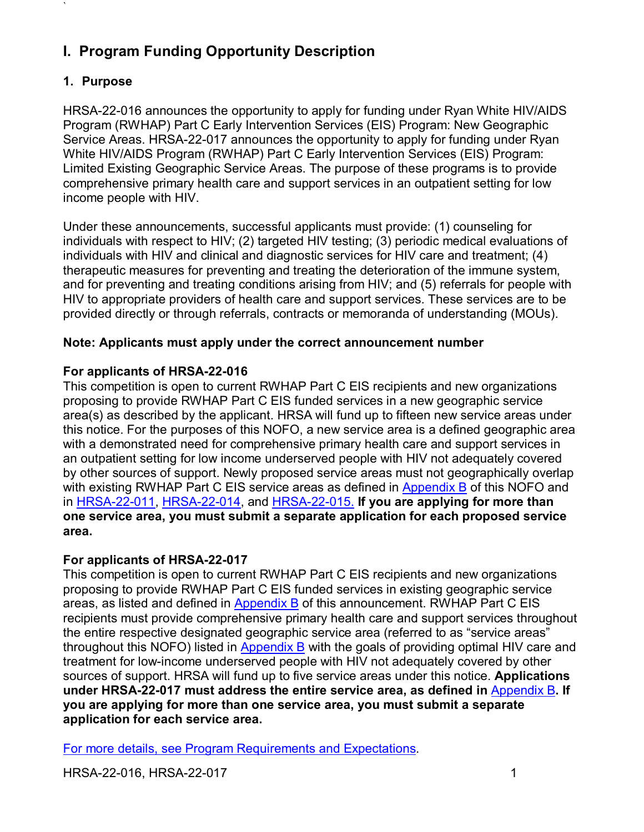# <span id="page-5-0"></span>**I. Program Funding Opportunity Description**

## <span id="page-5-1"></span>**1. Purpose**

`

HRSA-22-016 announces the opportunity to apply for funding under Ryan White HIV/AIDS Program (RWHAP) Part C Early Intervention Services (EIS) Program: New Geographic Service Areas. HRSA-22-017 announces the opportunity to apply for funding under Ryan White HIV/AIDS Program (RWHAP) Part C Early Intervention Services (EIS) Program: Limited Existing Geographic Service Areas. The purpose of these programs is to provide comprehensive primary health care and support services in an outpatient setting for low income people with HIV.

Under these announcements, successful applicants must provide: (1) counseling for individuals with respect to HIV; (2) targeted HIV testing; (3) periodic medical evaluations of individuals with HIV and clinical and diagnostic services for HIV care and treatment; (4) therapeutic measures for preventing and treating the deterioration of the immune system, and for preventing and treating conditions arising from HIV; and (5) referrals for people with HIV to appropriate providers of health care and support services. These services are to be provided directly or through referrals, contracts or memoranda of understanding (MOUs).

## **Note: Applicants must apply under the correct announcement number**

## **For applicants of HRSA-22-016**

This competition is open to current RWHAP Part C EIS recipients and new organizations proposing to provide RWHAP Part C EIS funded services in a new geographic service area(s) as described by the applicant. HRSA will fund up to fifteen new service areas under this notice. For the purposes of this NOFO, a new service area is a defined geographic area with a demonstrated need for comprehensive primary health care and support services in an outpatient setting for low income underserved people with HIV not adequately covered by other sources of support. Newly proposed service areas must not geographically overlap with existing RWHAP Part C EIS service areas as defined in **Appendix B** of this NOFO and in [HRSA-22-011,](https://www.hrsa.gov/grants/find-funding/hrsa-22-011) [HRSA-22-014,](https://www.hrsa.gov/grants/find-funding/hrsa-22-014) and [HRSA-22-015.](https://www.hrsa.gov/grants/find-funding/hrsa-22-015) **If you are applying for more than one service area, you must submit a separate application for each proposed service area.**

## **For applicants of HRSA-22-017**

This competition is open to current RWHAP Part C EIS recipients and new organizations proposing to provide RWHAP Part C EIS funded services in existing geographic service areas, as listed and defined in [Appendix B](#page-55-0) of this announcement. RWHAP Part C EIS recipients must provide comprehensive primary health care and support services throughout the entire respective designated geographic service area (referred to as "service areas" throughout this NOFO) listed in [Appendix B](#page-55-0) with the goals of providing optimal HIV care and treatment for low-income underserved people with HIV not adequately covered by other sources of support. HRSA will fund up to five service areas under this notice. **Applications under HRSA-22-017 must address the entire service area, as defined in** [Appendix B](#page-55-0)**. If you are applying for more than one service area, you must submit a separate application for each service area.**

For more details, see [Program Requirements and Expectations.](#page-15-0)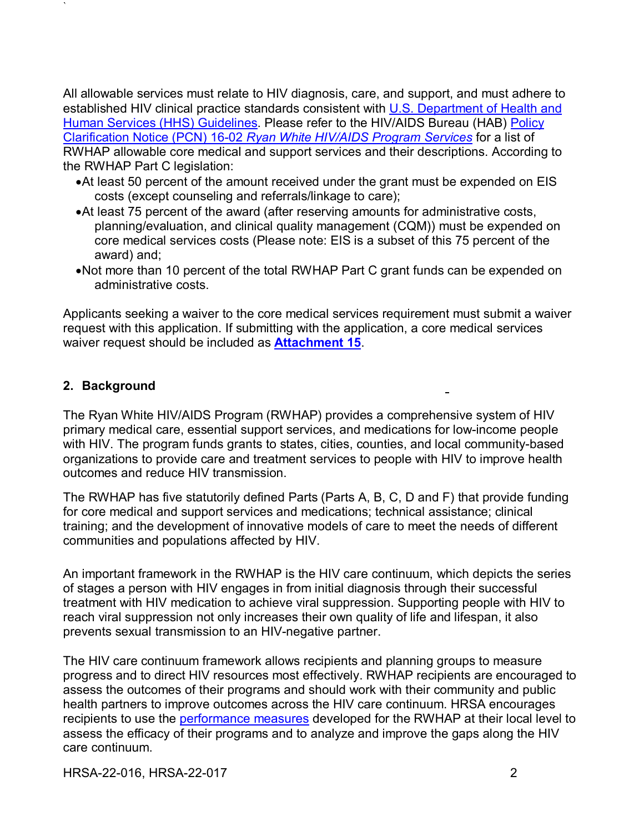All allowable services must relate to HIV diagnosis, care, and support, and must adhere to established HIV clinical practice standards consistent with U.S. Department of Health and [Human Services \(HHS\) Guidelines.](https://aidsinfo.nih.gov/guidelines) Please refer to the HIV/AIDS Bureau (HAB) [Policy](https://hab.hrsa.gov/sites/default/files/hab/program-grants-management/ServiceCategoryPCN_16-02Final.pdf)  Clarification Notice (PCN) 16-02 *[Ryan White HIV/AIDS Program Services](https://hab.hrsa.gov/sites/default/files/hab/program-grants-management/ServiceCategoryPCN_16-02Final.pdf)* for a list of RWHAP allowable core medical and support services and their descriptions. According to the RWHAP Part C legislation:

- •At least 50 percent of the amount received under the grant must be expended on EIS costs (except counseling and referrals/linkage to care);
- •At least 75 percent of the award (after reserving amounts for administrative costs, planning/evaluation, and clinical quality management (CQM)) must be expended on core medical services costs (Please note: EIS is a subset of this 75 percent of the award) and;
- •Not more than 10 percent of the total RWHAP Part C grant funds can be expended on administrative costs.

Applicants seeking a waiver to the core medical services requirement must submit a waiver request with this application. If submitting with the application, a core medical services waiver request should be included as **[Attachment 15](#page-38-1)**.

## <span id="page-6-0"></span>**2. Background**

`

The Ryan White HIV/AIDS Program (RWHAP) provides a comprehensive system of HIV primary medical care, essential support services, and medications for low-income people with HIV. The program funds grants to states, cities, counties, and local community-based organizations to provide care and treatment services to people with HIV to improve health outcomes and reduce HIV transmission.

The RWHAP has five statutorily defined Parts (Parts A, B, C, D and F) that provide funding for core medical and support services and medications; technical assistance; clinical training; and the development of innovative models of care to meet the needs of different communities and populations affected by HIV.

An important framework in the RWHAP is the HIV care continuum, which depicts the series of stages a person with HIV engages in from initial diagnosis through their successful treatment with HIV medication to achieve viral suppression. Supporting people with HIV to reach viral suppression not only increases their own quality of life and lifespan, it also prevents sexual transmission to an HIV-negative partner.

The HIV care continuum framework allows recipients and planning groups to measure progress and to direct HIV resources most effectively. RWHAP recipients are encouraged to assess the outcomes of their programs and should work with their community and public health partners to improve outcomes across the HIV care continuum. HRSA encourages recipients to use the [performance measures](http://hab.hrsa.gov/deliverhivaidscare/habperformmeasures.html) developed for the RWHAP at their local level to assess the efficacy of their programs and to analyze and improve the gaps along the HIV care continuum.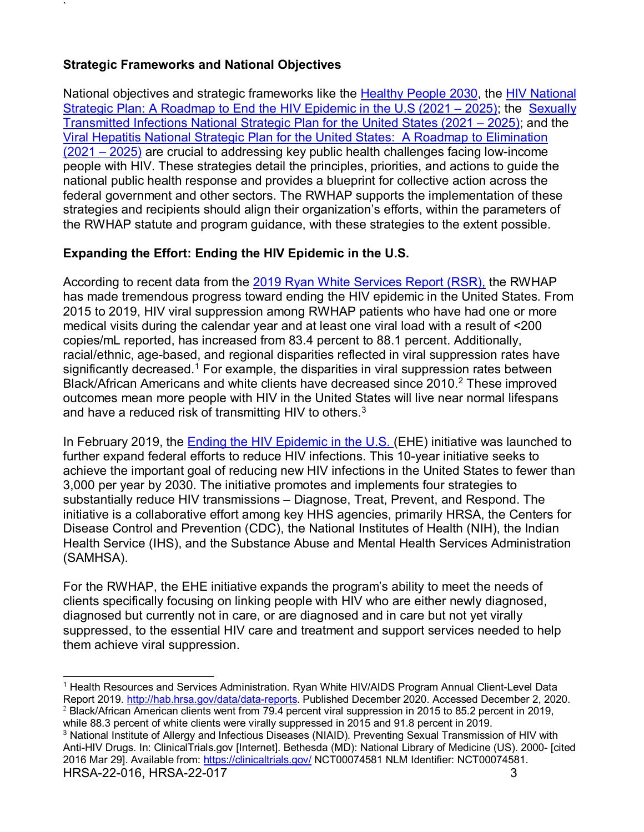## **Strategic Frameworks and National Objectives**

`

National objectives and strategic frameworks like the [Healthy People 2030,](https://health.gov/healthypeople) the [HIV National](https://www.hiv.gov/federal-response/hiv-national-strategic-plan/hiv-plan-2021-2025)  [Strategic Plan: A Roadmap to End the HIV Epidemic](https://www.hiv.gov/federal-response/hiv-national-strategic-plan/hiv-plan-2021-2025) in the U.S (2021 – 2025); the [Sexually](https://www.hhs.gov/programs/topic-sites/sexually-transmitted-infections/plan-overview/index.html)  [Transmitted Infections National Strategic Plan for the United States \(2021 –](https://www.hhs.gov/programs/topic-sites/sexually-transmitted-infections/plan-overview/index.html) 2025); and the [Viral Hepatitis National Strategic Plan for the United States: A Roadmap to](https://www.hhs.gov/hepatitis/viral-hepatitis-national-strategic-plan/national-viral-hepatitis-action-plan-overview/index.html) Elimination [\(2021 –](https://www.hhs.gov/hepatitis/viral-hepatitis-national-strategic-plan/national-viral-hepatitis-action-plan-overview/index.html) 2025) are crucial to addressing key public health challenges facing low-income people with HIV. These strategies detail the principles, priorities, and actions to guide the national public health response and provides a blueprint for collective action across the federal government and other sectors. The RWHAP supports the implementation of these strategies and recipients should align their organization's efforts, within the parameters of the RWHAP statute and program guidance, with these strategies to the extent possible.

## **Expanding the Effort: Ending the HIV Epidemic in the U.S.**

According to recent data from the [2019 Ryan White Services Report \(RSR\),](https://hab.hrsa.gov/sites/default/files/hab/data/datareports/RWHAP-annual-client-level-data-report-2019.pdf) the RWHAP has made tremendous progress toward ending the HIV epidemic in the United States. From 2015 to 2019, HIV viral suppression among RWHAP patients who have had one or more medical visits during the calendar year and at least one viral load with a result of <200 copies/mL reported, has increased from 83.4 percent to 88.1 percent. Additionally, racial/ethnic, age-based, and regional disparities reflected in viral suppression rates have significantly decreased.<sup>1</sup> For example, the disparities in viral suppression rates between Black/African Americans and white clients have decreased since [2](#page-7-1)010.<sup>2</sup> These improved outcomes mean more people with HIV in the United States will live near normal lifespans and have a reduced risk of transmitting HIV to others.<sup>[3](#page-7-2)</sup>

In February 2019, the [Ending the HIV Epidemic](https://www.hiv.gov/federal-response/ending-the-hiv-epidemic/overview/ending-epidemic-timeline) in the U.S. (EHE) initiative was launched to further expand federal efforts to reduce HIV infections. This 10-year initiative seeks to achieve the important goal of reducing new HIV infections in the United States to fewer than 3,000 per year by 2030. The initiative promotes and implements four strategies to substantially reduce HIV transmissions – Diagnose, Treat, Prevent, and Respond. The initiative is a collaborative effort among key HHS agencies, primarily HRSA, the Centers for Disease Control and Prevention (CDC), the National Institutes of Health (NIH), the Indian Health Service (IHS), and the Substance Abuse and Mental Health Services Administration (SAMHSA).

For the RWHAP, the EHE initiative expands the program's ability to meet the needs of clients specifically focusing on linking people with HIV who are either newly diagnosed, diagnosed but currently not in care, or are diagnosed and in care but not yet virally suppressed, to the essential HIV care and treatment and support services needed to help them achieve viral suppression.

<span id="page-7-1"></span>while 88.3 percent of white clients were virally suppressed in 2015 and 91.8 percent in 2019.

<span id="page-7-0"></span> $\overline{a}$ <sup>1</sup> Health Resources and Services Administration. Ryan White HIV/AIDS Program Annual Client-Level Data Report 2019. [http://hab.hrsa.gov/data/data-reports.](http://hab.hrsa.gov/data/data-reports) Published December 2020. Accessed December 2, 2020. <sup>2</sup> Black/African American clients went from 79.4 percent viral suppression in 2015 to 85.2 percent in 2019,

<span id="page-7-2"></span>HRSA-22-016, HRSA-22-017 3 <sup>3</sup> National Institute of Allergy and Infectious Diseases (NIAID). Preventing Sexual Transmission of HIV with Anti-HIV Drugs. In: ClinicalTrials.gov [Internet]. Bethesda (MD): National Library of Medicine (US). 2000- [cited 2016 Mar 29]. Available from:<https://clinicaltrials.gov/> NCT00074581 NLM Identifier: NCT00074581.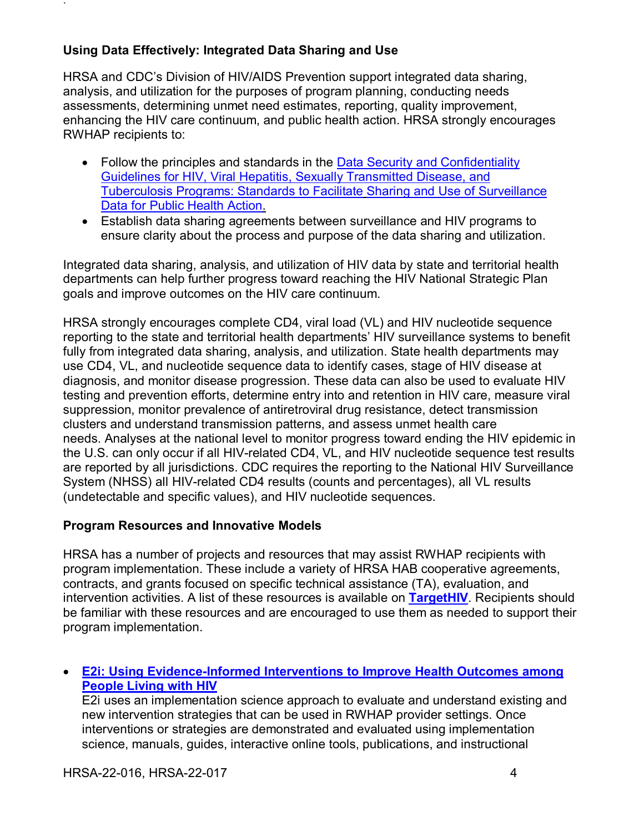## **Using Data Effectively: Integrated Data Sharing and Use**

`

HRSA and CDC's Division of HIV/AIDS Prevention support integrated data sharing, analysis, and utilization for the purposes of program planning, conducting needs assessments, determining unmet need estimates, reporting, quality improvement, enhancing the HIV care continuum, and public health action. HRSA strongly encourages RWHAP recipients to:

- Follow the principles and standards in the Data Security and Confidentiality [Guidelines for HIV, Viral](http://www.cdc.gov/nchhstp/programintegration/docs/pcsidatasecurityguidelines.pdf) [Hepatitis, Sexually Transmitted Disease, and](http://www.cdc.gov/nchhstp/programintegration/docs/pcsidatasecurityguidelines.pdf)  [Tuberculosis Programs: Standards to Facilitate](http://www.cdc.gov/nchhstp/programintegration/docs/pcsidatasecurityguidelines.pdf) [Sharing and Use of Surveillance](http://www.cdc.gov/nchhstp/programintegration/docs/pcsidatasecurityguidelines.pdf)  [Data for Public Health Action.](http://www.cdc.gov/nchhstp/programintegration/docs/pcsidatasecurityguidelines.pdf)
- Establish data sharing agreements between surveillance and HIV programs to ensure clarity about the process and purpose of the data sharing and utilization.

Integrated data sharing, analysis, and utilization of HIV data by state and territorial health departments can help further progress toward reaching the HIV National Strategic Plan goals and improve outcomes on the HIV care continuum.

HRSA strongly encourages complete CD4, viral load (VL) and HIV nucleotide sequence reporting to the state and territorial health departments' HIV surveillance systems to benefit fully from integrated data sharing, analysis, and utilization. State health departments may use CD4, VL, and nucleotide sequence data to identify cases, stage of HIV disease at diagnosis, and monitor disease progression. These data can also be used to evaluate HIV testing and prevention efforts, determine entry into and retention in HIV care, measure viral suppression, monitor prevalence of antiretroviral drug resistance, detect transmission clusters and understand transmission patterns, and assess unmet health care needs. Analyses at the national level to monitor progress toward ending the HIV epidemic in the U.S. can only occur if all HIV-related CD4, VL, and HIV nucleotide sequence test results are reported by all jurisdictions. CDC requires the reporting to the National HIV Surveillance System (NHSS) all HIV-related CD4 results (counts and percentages), all VL results (undetectable and specific values), and HIV nucleotide sequences.

### **Program Resources and Innovative Models**

HRSA has a number of projects and resources that may assist RWHAP recipients with program implementation. These include a variety of HRSA HAB cooperative agreements, contracts, and grants focused on specific technical assistance (TA), evaluation, and intervention activities. A list of these resources is available on **[TargetHIV](https://targethiv.org/help/ta-directory)**. Recipients should be familiar with these resources and are encouraged to use them as needed to support their program implementation.

### • **[E2i: Using Evidence-Informed Interventions to Improve Health Outcomes among](https://targethiv.org/e2i)  [People Living with HIV](https://targethiv.org/e2i)**

E2i uses an implementation science approach to evaluate and understand existing and new intervention strategies that can be used in RWHAP provider settings. Once interventions or strategies are demonstrated and evaluated using implementation science, manuals, guides, interactive online tools, publications, and instructional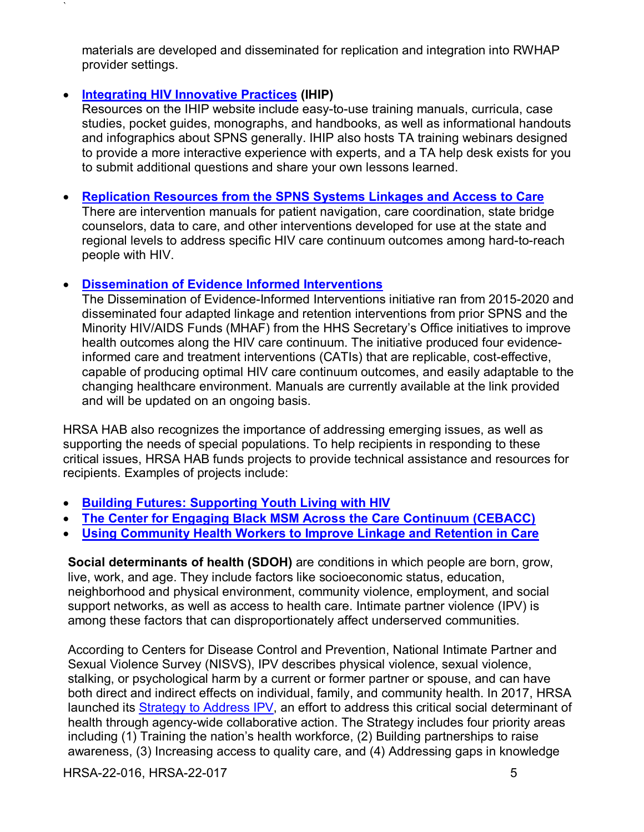materials are developed and disseminated for replication and integration into RWHAP provider settings.

### • **[Integrating HIV Innovative Practices](https://targethiv.org/ihip) (IHIP)**

`

Resources on the IHIP website include easy-to-use training manuals, curricula, case studies, pocket guides, monographs, and handbooks, as well as informational handouts and infographics about SPNS generally. IHIP also hosts TA training webinars designed to provide a more interactive experience with experts, and a TA help desk exists for you to submit additional questions and share your own lessons learned.

### • **[Replication Resources from the SPNS Systems Linkages and](https://targethiv.org/library/replication-resources-spns-systems-linkages-and-access-care) Access to Care**

There are intervention manuals for patient navigation, care coordination, state bridge counselors, data to care, and other interventions developed for use at the state and regional levels to address specific HIV care continuum outcomes among hard-to-reach people with HIV.

### • **[Dissemination of Evidence Informed Interventions](https://targethiv.org/deii)**

The Dissemination of Evidence-Informed Interventions initiative ran from 2015-2020 and disseminated four adapted linkage and retention interventions from prior SPNS and the Minority HIV/AIDS Funds (MHAF) from the HHS Secretary's Office initiatives to improve health outcomes along the HIV care continuum. The initiative produced four evidenceinformed care and treatment interventions (CATIs) that are replicable, cost-effective, capable of producing optimal HIV care continuum outcomes, and easily adaptable to the changing healthcare environment. Manuals are currently available at the link provided and will be updated on an ongoing basis.

HRSA HAB also recognizes the importance of addressing emerging issues, as well as supporting the needs of special populations. To help recipients in responding to these critical issues, HRSA HAB funds projects to provide technical assistance and resources for recipients. Examples of projects include:

- **[Building Futures: Supporting Youth Living with HIV](https://targethiv.org/library/hrsa-hab-building-futures-supporting-youth-living-hiv)**
- **The [Center for Engaging Black MSM Across the Care Continuum](https://targethiv.org/cebacc) (CEBACC)**
- **[Using Community Health Workers to Improve Linkage and Retention in Care](https://targethiv.org/chw)**

**Social determinants of health (SDOH)** are conditions in which people are born, grow, live, work, and age. They include factors like socioeconomic status, education, neighborhood and physical environment, community violence, employment, and social support networks, as well as access to health care. Intimate partner violence (IPV) is among these factors that can disproportionately affect underserved communities.

According to Centers for Disease Control and Prevention, National Intimate Partner and Sexual Violence Survey (NISVS), IPV describes physical violence, sexual violence, stalking, or psychological harm by a current or former partner or spouse, and can have both direct and indirect effects on individual, family, and community health. In 2017, HRSA launched its [Strategy to Address IPV,](https://www.hrsa.gov/sites/default/files/hrsa/HRSA-strategy-intimate-partner-violence.pdf) an effort to address this critical social determinant of health through agency-wide collaborative action. The Strategy includes four priority areas including (1) Training the nation's health workforce, (2) Building partnerships to raise awareness, (3) Increasing access to quality care, and (4) Addressing gaps in knowledge

HRSA-22-016, HRSA-22-017 5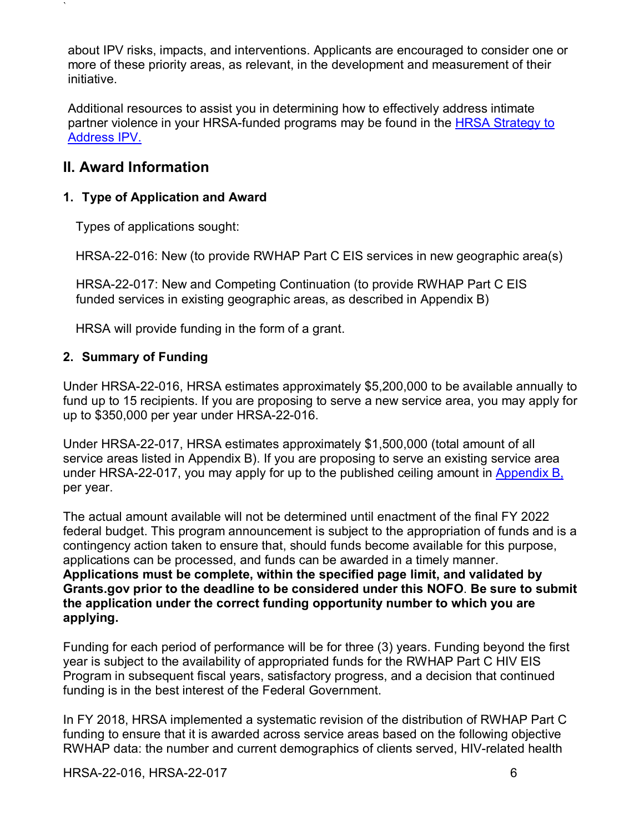about IPV risks, impacts, and interventions. Applicants are encouraged to consider one or more of these priority areas, as relevant, in the development and measurement of their initiative.

Additional resources to assist you in determining how to effectively address intimate partner violence in your HRSA-funded programs may be found in the HRSA Strategy to [Address IPV.](https://lnks.gd/l/eyJhbGciOiJIUzI1NiJ9.eyJidWxsZXRpbl9saW5rX2lkIjoxMDMsInVyaSI6ImJwMjpjbGljayIsImJ1bGxldGluX2lkIjoiMjAyMDAxMDguMTUyMTYxOTEiLCJ1cmwiOiJodHRwczovL3d3dy5ocnNhLmdvdi9zaXRlcy9kZWZhdWx0L2ZpbGVzL2hyc2EvSFJTQS1zdHJhdGVneS1pbnRpbWF0ZS1wYXJ0bmVyLXZpb2xlbmNlLnBkZiJ9.5XDYqcDgMZeOEOSLpa1La58JIGP-orrUu2yci7lJLkI/br/73794573613-l)

## <span id="page-10-0"></span>**II. Award Information**

`

### <span id="page-10-1"></span>**1. Type of Application and Award**

Types of applications sought:

HRSA-22-016: New (to provide RWHAP Part C EIS services in new geographic area(s)

HRSA-22-017: New and Competing Continuation (to provide RWHAP Part C EIS funded services in existing geographic areas, as described in Appendix B)

HRSA will provide funding in the form of a grant.

### <span id="page-10-2"></span>**2. Summary of Funding**

Under HRSA-22-016, HRSA estimates approximately \$5,200,000 to be available annually to fund up to 15 recipients. If you are proposing to serve a new service area, you may apply for up to \$350,000 per year under HRSA-22-016.

Under HRSA-22-017, HRSA estimates approximately \$1,500,000 (total amount of all service areas listed in Appendix B). If you are proposing to serve an existing service area under HRSA-22-017, you may apply for up to the published ceiling amount in  $\Delta p$  pendix  $B$ . per year.

The actual amount available will not be determined until enactment of the final FY 2022 federal budget. This program announcement is subject to the appropriation of funds and is a contingency action taken to ensure that, should funds become available for this purpose, applications can be processed, and funds can be awarded in a timely manner. **Applications must be complete, within the specified page limit, and validated by Grants.gov prior to the deadline to be considered under this NOFO**. **Be sure to submit the application under the correct funding opportunity number to which you are applying.**

Funding for each period of performance will be for three (3) years. Funding beyond the first year is subject to the availability of appropriated funds for the RWHAP Part C HIV EIS Program in subsequent fiscal years, satisfactory progress, and a decision that continued funding is in the best interest of the Federal Government.

In FY 2018, HRSA implemented a systematic revision of the distribution of RWHAP Part C funding to ensure that it is awarded across service areas based on the following objective RWHAP data: the number and current demographics of clients served, HIV-related health

HRSA-22-016, HRSA-22-017 6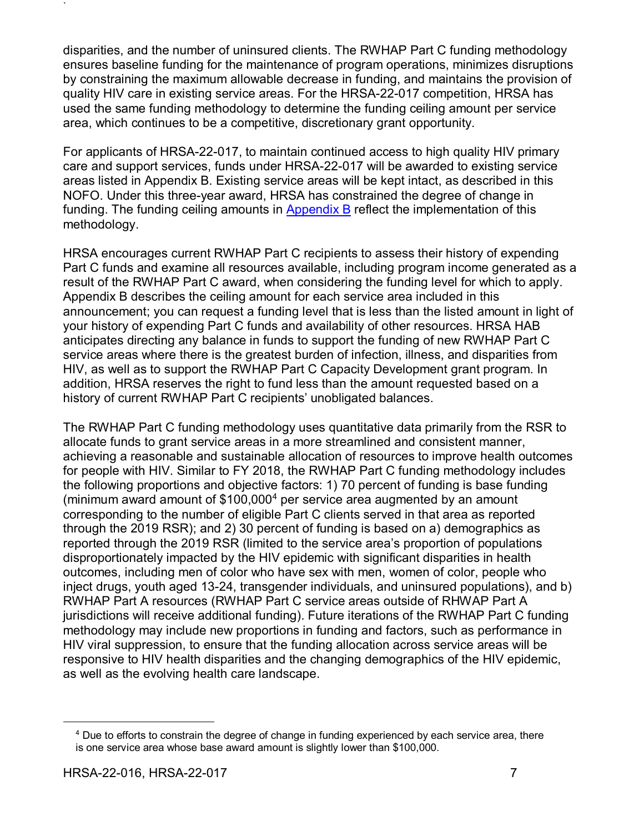disparities, and the number of uninsured clients. The RWHAP Part C funding methodology ensures baseline funding for the maintenance of program operations, minimizes disruptions by constraining the maximum allowable decrease in funding, and maintains the provision of quality HIV care in existing service areas. For the HRSA-22-017 competition, HRSA has used the same funding methodology to determine the funding ceiling amount per service area, which continues to be a competitive, discretionary grant opportunity.

For applicants of HRSA-22-017, to maintain continued access to high quality HIV primary care and support services, funds under HRSA-22-017 will be awarded to existing service areas listed in Appendix B. Existing service areas will be kept intact, as described in this NOFO. Under this three-year award, HRSA has constrained the degree of change in funding. The funding ceiling amounts in [Appendix B](#page-55-0) reflect the implementation of this methodology.

HRSA encourages current RWHAP Part C recipients to assess their history of expending Part C funds and examine all resources available, including program income generated as a result of the RWHAP Part C award, when considering the funding level for which to apply. Appendix B describes the ceiling amount for each service area included in this announcement; you can request a funding level that is less than the listed amount in light of your history of expending Part C funds and availability of other resources. HRSA HAB anticipates directing any balance in funds to support the funding of new RWHAP Part C service areas where there is the greatest burden of infection, illness, and disparities from HIV, as well as to support the RWHAP Part C Capacity Development grant program. In addition, HRSA reserves the right to fund less than the amount requested based on a history of current RWHAP Part C recipients' unobligated balances.

The RWHAP Part C funding methodology uses quantitative data primarily from the RSR to allocate funds to grant service areas in a more streamlined and consistent manner, achieving a reasonable and sustainable allocation of resources to improve health outcomes for people with HIV. Similar to FY 2018, the RWHAP Part C funding methodology includes the following proportions and objective factors: 1) 70 percent of funding is base funding (minimum award amount of \$100,000[4](#page-11-0) per service area augmented by an amount corresponding to the number of eligible Part C clients served in that area as reported through the 2019 RSR); and 2) 30 percent of funding is based on a) demographics as reported through the 2019 RSR (limited to the service area's proportion of populations disproportionately impacted by the HIV epidemic with significant disparities in health outcomes, including men of color who have sex with men, women of color, people who inject drugs, youth aged 13-24, transgender individuals, and uninsured populations), and b) RWHAP Part A resources (RWHAP Part C service areas outside of RHWAP Part A jurisdictions will receive additional funding). Future iterations of the RWHAP Part C funding methodology may include new proportions in funding and factors, such as performance in HIV viral suppression, to ensure that the funding allocation across service areas will be responsive to HIV health disparities and the changing demographics of the HIV epidemic, as well as the evolving health care landscape.

<span id="page-11-0"></span> $\overline{a}$ 

<sup>4</sup> Due to efforts to constrain the degree of change in funding experienced by each service area, there is one service area whose base award amount is slightly lower than \$100,000.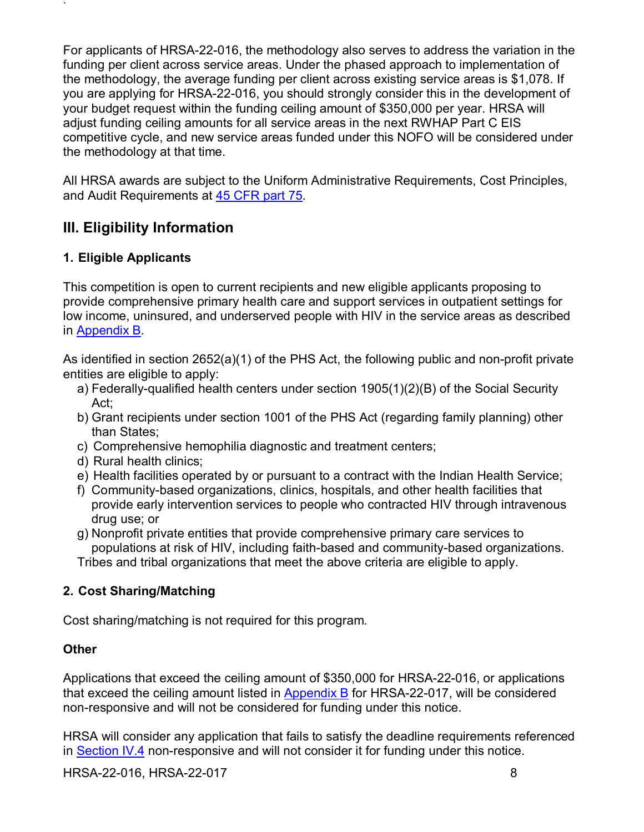For applicants of HRSA-22-016, the methodology also serves to address the variation in the funding per client across service areas. Under the phased approach to implementation of the methodology, the average funding per client across existing service areas is \$1,078. If you are applying for HRSA-22-016, you should strongly consider this in the development of your budget request within the funding ceiling amount of \$350,000 per year. HRSA will adjust funding ceiling amounts for all service areas in the next RWHAP Part C EIS competitive cycle, and new service areas funded under this NOFO will be considered under the methodology at that time.

All HRSA awards are subject to the Uniform Administrative Requirements, Cost Principles, and Audit Requirements at [45 CFR part 75.](http://www.ecfr.gov/cgi-bin/retrieveECFR?gp=1&SID=4d52364ec83fab994c665943dadf9cf7&ty=HTML&h=L&r=PART&n=pt45.1.75)

# <span id="page-12-1"></span><span id="page-12-0"></span>**III. Eligibility Information**

## <span id="page-12-2"></span>**1. Eligible Applicants**

`

This competition is open to current recipients and new eligible applicants proposing to provide comprehensive primary health care and support services in outpatient settings for low income, uninsured, and underserved people with HIV in the service areas as described in [Appendix B.](#page-55-0)

As identified in section 2652(a)(1) of the PHS Act, the following public and non-profit private entities are eligible to apply:

- a) Federally-qualified health centers under section 1905(1)(2)(B) of the Social Security Act;
- b) Grant recipients under section 1001 of the PHS Act (regarding family planning) other than States;
- c) Comprehensive hemophilia diagnostic and treatment centers;
- d) Rural health clinics;
- e) Health facilities operated by or pursuant to a contract with the Indian Health Service;
- f) Community-based organizations, clinics, hospitals, and other health facilities that provide early intervention services to people who contracted HIV through intravenous drug use; or
- g) Nonprofit private entities that provide comprehensive primary care services to populations at risk of HIV, including faith-based and community-based organizations. Tribes and tribal organizations that meet the above criteria are eligible to apply.

## <span id="page-12-3"></span>**2. Cost Sharing/Matching**

Cost sharing/matching is not required for this program.

### **Other**

Applications that exceed the ceiling amount of \$350,000 for HRSA-22-016, or applications that exceed the ceiling amount listed in [Appendix B](#page-55-0) for HRSA-22-017, will be considered non-responsive and will not be considered for funding under this notice.

HRSA will consider any application that fails to satisfy the deadline requirements referenced in [Section IV.4](#page-39-0) non-responsive and will not consider it for funding under this notice.

HRSA-22-016, HRSA-22-017 8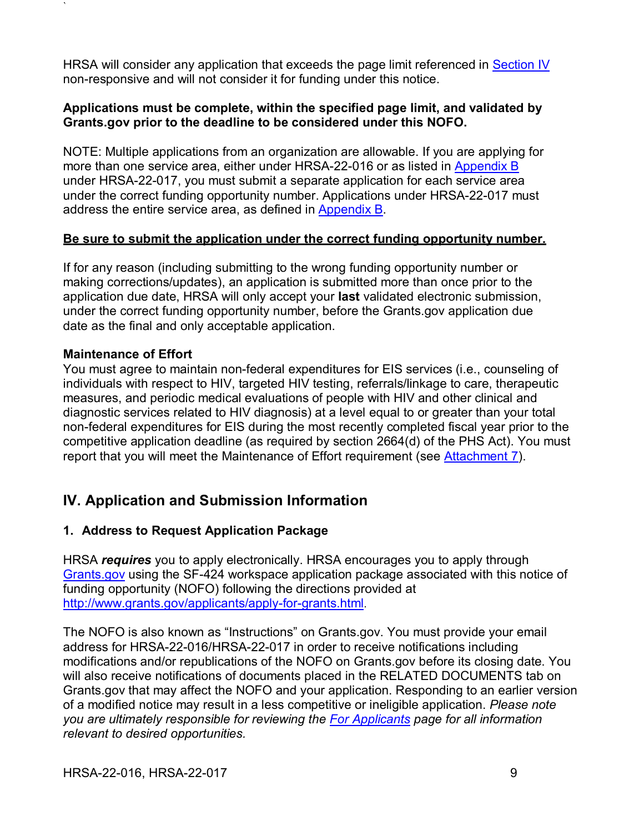HRSA will consider any application that exceeds the page limit referenced in [Section IV](#page-13-0) non-responsive and will not consider it for funding under this notice.

### **Applications must be complete, within the specified page limit, and validated by Grants.gov prior to the deadline to be considered under this NOFO.**

NOTE: Multiple applications from an organization are allowable. If you are applying for more than one service area, either under HRSA-22-016 or as listed in [Appendix B](#page-55-0) under HRSA-22-017, you must submit a separate application for each service area under the correct funding opportunity number. Applications under HRSA-22-017 must address the entire service area, as defined in [Appendix B.](#page-55-0)

### **Be sure to submit the application under the correct funding opportunity number.**

If for any reason (including submitting to the wrong funding opportunity number or making corrections/updates), an application is submitted more than once prior to the application due date, HRSA will only accept your **last** validated electronic submission, under the correct funding opportunity number, before the Grants.gov application due date as the final and only acceptable application.

### **Maintenance of Effort**

`

You must agree to maintain non-federal expenditures for EIS services (i.e., counseling of individuals with respect to HIV, targeted HIV testing, referrals/linkage to care, therapeutic measures, and periodic medical evaluations of people with HIV and other clinical and diagnostic services related to HIV diagnosis) at a level equal to or greater than your total non-federal expenditures for EIS during the most recently completed fiscal year prior to the competitive application deadline (as required by section 2664(d) of the PHS Act). You must report that you will meet the Maintenance of Effort requirement (see [Attachment 7\)](#page-35-0).

# <span id="page-13-0"></span>**IV. Application and Submission Information**

### <span id="page-13-1"></span>**1. Address to Request Application Package**

HRSA *requires* you to apply electronically. HRSA encourages you to apply through [Grants.gov](https://www.grants.gov/) using the SF-424 workspace application package associated with this notice of funding opportunity (NOFO) following the directions provided at [http://www.grants.gov/applicants/apply-for-grants.html.](http://www.grants.gov/applicants/apply-for-grants.html)

The NOFO is also known as "Instructions" on Grants.gov. You must provide your email address for HRSA-22-016/HRSA-22-017 in order to receive notifications including modifications and/or republications of the NOFO on Grants.gov before its closing date. You will also receive notifications of documents placed in the RELATED DOCUMENTS tab on Grants.gov that may affect the NOFO and your application. Responding to an earlier version of a modified notice may result in a less competitive or ineligible application. *Please note you are ultimately responsible for reviewing the [For Applicants](https://www.grants.gov/web/grants/applicants.html) page for all information relevant to desired opportunities.*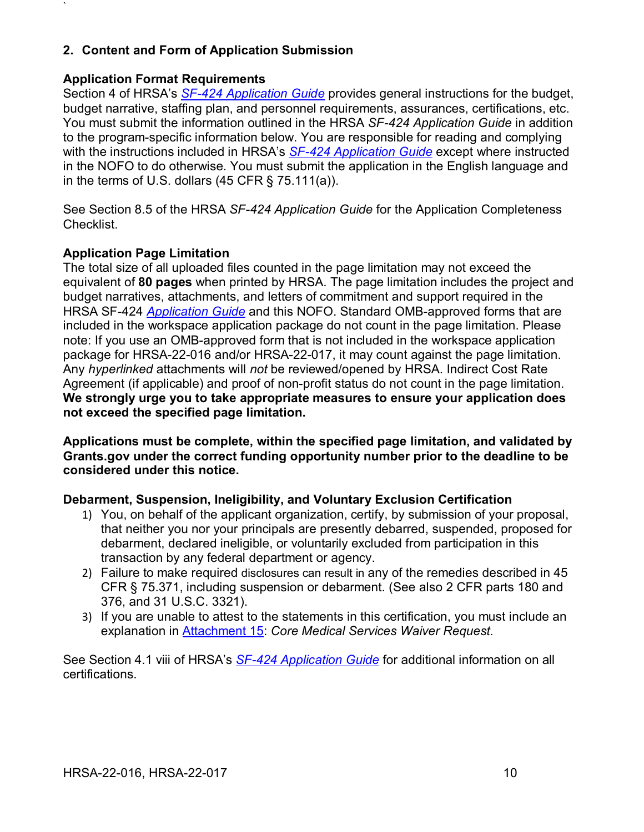## <span id="page-14-0"></span>**2. Content and Form of Application Submission**

### **Application Format Requirements**

`

Section 4 of HRSA's *SF-424 [Application Guide](http://www.hrsa.gov/grants/apply/applicationguide/sf424guide.pdf)* provides general instructions for the budget, budget narrative, staffing plan, and personnel requirements, assurances, certifications, etc. You must submit the information outlined in the HRSA *SF-424 Application Guide* in addition to the program-specific information below. You are responsible for reading and complying with the instructions included in HRSA's *SF-424 [Application Guide](http://www.hrsa.gov/grants/apply/applicationguide/sf424guide.pdf)* except where instructed in the NOFO to do otherwise. You must submit the application in the English language and in the terms of U.S. dollars  $(45 \text{ CFR} \text{S} \text{75.111(a)})$ .

See Section 8.5 of the HRSA *SF-424 Application Guide* for the Application Completeness Checklist.

### **Application Page Limitation**

The total size of all uploaded files counted in the page limitation may not exceed the equivalent of **80 pages** when printed by HRSA. The page limitation includes the project and budget narratives, attachments, and letters of commitment and support required in the HRSA SF-424 *[Application Guide](https://www.hrsa.gov/sites/default/files/hrsa/grants/apply/applicationguide/sf-424-app-guide.pdf)* and this NOFO. Standard OMB-approved forms that are included in the workspace application package do not count in the page limitation. Please note: If you use an OMB-approved form that is not included in the workspace application package for HRSA-22-016 and/or HRSA-22-017, it may count against the page limitation. Any *hyperlinked* attachments will *not* be reviewed/opened by HRSA. Indirect Cost Rate Agreement (if applicable) and proof of non-profit status do not count in the page limitation. **We strongly urge you to take appropriate measures to ensure your application does not exceed the specified page limitation.**

**Applications must be complete, within the specified page limitation, and validated by Grants.gov under the correct funding opportunity number prior to the deadline to be considered under this notice.** 

### **Debarment, Suspension, Ineligibility, and Voluntary Exclusion Certification**

- 1) You, on behalf of the applicant organization, certify, by submission of your proposal, that neither you nor your principals are presently debarred, suspended, proposed for debarment, declared ineligible, or voluntarily excluded from participation in this transaction by any federal department or agency.
- 2) Failure to make required disclosures can result in any of the remedies described in 45 CFR § 75.371, including suspension or debarment. (See also 2 CFR parts 180 and 376, and 31 U.S.C. 3321).
- 3) If you are unable to attest to the statements in this certification, you must include an explanation in [Attachment 15:](#page-38-1) *Core Medical Services Waiver Request*.

See Section 4.1 viii of HRSA's *SF-424 [Application Guide](http://www.hrsa.gov/grants/apply/applicationguide/sf424guide.pdf)* for additional information on all certifications.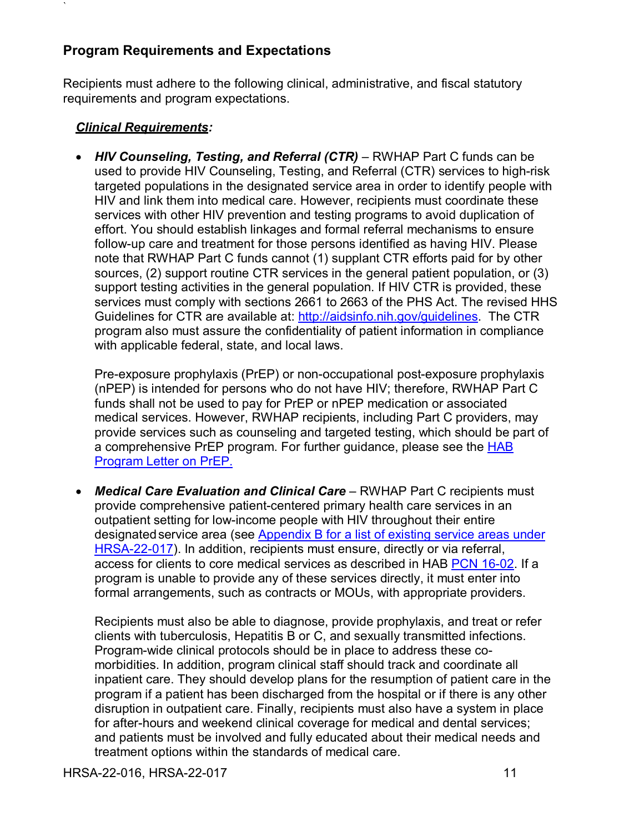## <span id="page-15-0"></span>**Program Requirements and Expectations**

Recipients must adhere to the following clinical, administrative, and fiscal statutory requirements and program expectations.

### <span id="page-15-1"></span>*Clinical Requirements:*

`

• *HIV Counseling, Testing, and Referral (CTR)* – RWHAP Part C funds can be used to provide HIV Counseling, Testing, and Referral (CTR) services to high-risk targeted populations in the designated service area in order to identify people with HIV and link them into medical care. However, recipients must coordinate these services with other HIV prevention and testing programs to avoid duplication of effort. You should establish linkages and formal referral mechanisms to ensure follow-up care and treatment for those persons identified as having HIV. Please note that RWHAP Part C funds cannot (1) supplant CTR efforts paid for by other sources, (2) support routine CTR services in the general patient population, or (3) support testing activities in the general population. If HIV CTR is provided, these services must comply with sections 2661 to 2663 of the PHS Act. The revised HHS Guidelines for CTR are available at: [http://aidsinfo.nih.gov/guidelines.](http://aidsinfo.nih.gov/guidelines) The CTR program also must assure the confidentiality of patient information in compliance with applicable federal, state, and local laws.

Pre-exposure prophylaxis (PrEP) or non-occupational post-exposure prophylaxis (nPEP) is intended for persons who do not have HIV; therefore, RWHAP Part C funds shall not be used to pay for PrEP or nPEP medication or associated medical services. However, RWHAP recipients, including Part C providers, may provide services such as counseling and targeted testing, which should be part of a comprehensive PrEP program. For further guidance, please see the [HAB](https://hab.hrsa.gov/sites/default/files/hab/Global/prepletter062216_0.pdf)  [Program Letter on PrEP.](https://hab.hrsa.gov/sites/default/files/hab/Global/prepletter062216_0.pdf)

• *Medical Care Evaluation and Clinical Care* – RWHAP Part C recipients must provide comprehensive patient-centered primary health care services in an outpatient setting for low-income people with HIV throughout their entire designated service area (see [Appendix B](#page-55-0) for a list of existing service areas under HRSA-22-017). In addition, recipients must ensure, directly or via referral, access for clients to core medical services as described in HAB [PCN 16-02.](https://hab.hrsa.gov/sites/default/files/hab/program-grants-management/ServiceCategoryPCN_16-02Final.pdf) If a program is unable to provide any of these services directly, it must enter into formal arrangements, such as contracts or MOUs, with appropriate providers.

Recipients must also be able to diagnose, provide prophylaxis, and treat or refer clients with tuberculosis, Hepatitis B or C, and sexually transmitted infections. Program-wide clinical protocols should be in place to address these comorbidities. In addition, program clinical staff should track and coordinate all inpatient care. They should develop plans for the resumption of patient care in the program if a patient has been discharged from the hospital or if there is any other disruption in outpatient care. Finally, recipients must also have a system in place for after-hours and weekend clinical coverage for medical and dental services; and patients must be involved and fully educated about their medical needs and treatment options within the standards of medical care.

HRSA-22-016, HRSA-22-017 11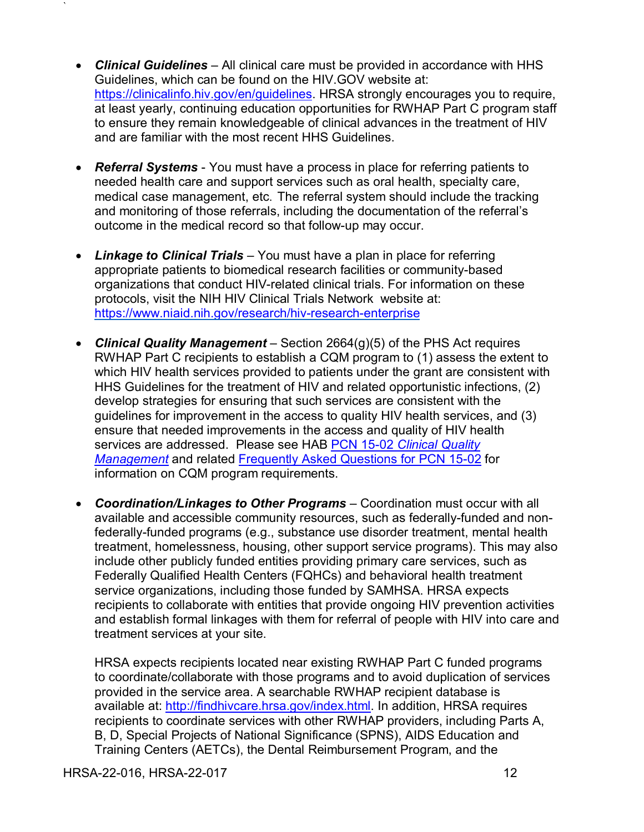- *Clinical Guidelines* All clinical care must be provided in accordance with HHS Guidelines, which can be found on the HIV.GOV website at: [https://clinicalinfo.hiv.gov/en/guidelines.](https://clinicalinfo.hiv.gov/en/guidelines) HRSA strongly encourages you to require, at least yearly, continuing education opportunities for RWHAP Part C program staff to ensure they remain knowledgeable of clinical advances in the treatment of HIV and are familiar with the most recent HHS Guidelines.
- *Referral Systems*  You must have a process in place for referring patients to needed health care and support services such as oral health, specialty care, medical case management, etc. The referral system should include the tracking and monitoring of those referrals, including the documentation of the referral's outcome in the medical record so that follow-up may occur.
- *Linkage to Clinical Trials*  You must have a plan in place for referring appropriate patients to biomedical research facilities or community-based organizations that conduct HIV-related clinical trials. For information on these protocols, visit the NIH HIV Clinical Trials Network website at: <https://www.niaid.nih.gov/research/hiv-research-enterprise>
- *Clinical Quality Management*  Section 2664(g)(5) of the PHS Act requires RWHAP Part C recipients to establish a CQM program to (1) assess the extent to which HIV health services provided to patients under the grant are consistent with HHS Guidelines for the treatment of HIV and related opportunistic infections, (2) develop strategies for ensuring that such services are consistent with the guidelines for improvement in the access to quality HIV health services, and (3) ensure that needed improvements in the access and quality of HIV health services are addressed. Please see HAB PCN 15-02 *[Clinical Quality](https://hab.hrsa.gov/sites/default/files/hab/Global/HAB-PCN-15-02-CQM.pdf)  [Management](https://hab.hrsa.gov/sites/default/files/hab/Global/HAB-PCN-15-02-CQM.pdf)* and related [Frequently Asked Questions for PCN 15-02](https://hab.hrsa.gov/sites/default/files/hab/Global/clinicalqualitymanagementfaq.pdf) for information on CQM program requirements.
- *Coordination/Linkages to Other Programs*  Coordination must occur with all available and accessible community resources, such as federally-funded and nonfederally-funded programs (e.g., substance use disorder treatment, mental health treatment, homelessness, housing, other support service programs). This may also include other publicly funded entities providing primary care services, such as Federally Qualified Health Centers (FQHCs) and behavioral health treatment service organizations, including those funded by SAMHSA. HRSA expects recipients to collaborate with entities that provide ongoing HIV prevention activities and establish formal linkages with them for referral of people with HIV into care and treatment services at your site.

HRSA expects recipients located near existing RWHAP Part C funded programs to coordinate/collaborate with those programs and to avoid duplication of services provided in the service area. A searchable RWHAP recipient database is available at: [http://findhivcare.hrsa.gov/index.html.](http://findhivcare.hrsa.gov/index.html) In addition, HRSA requires recipients to coordinate services with other RWHAP providers, including Parts A, B, D, Special Projects of National Significance (SPNS), AIDS Education and Training Centers (AETCs), the Dental Reimbursement Program, and the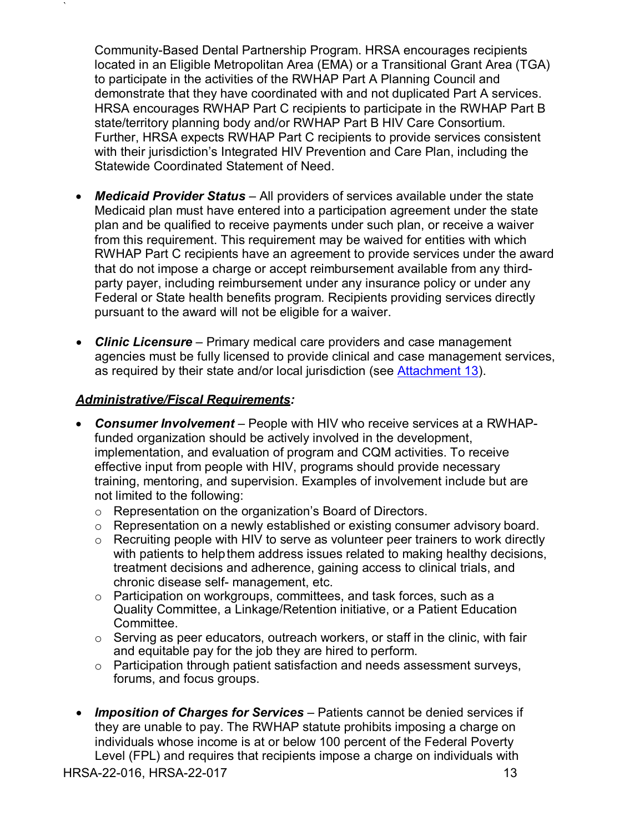Community-Based Dental Partnership Program. HRSA encourages recipients located in an Eligible Metropolitan Area (EMA) or a Transitional Grant Area (TGA) to participate in the activities of the RWHAP Part A Planning Council and demonstrate that they have coordinated with and not duplicated Part A services. HRSA encourages RWHAP Part C recipients to participate in the RWHAP Part B state/territory planning body and/or RWHAP Part B HIV Care Consortium. Further, HRSA expects RWHAP Part C recipients to provide services consistent with their jurisdiction's Integrated HIV Prevention and Care Plan, including the Statewide Coordinated Statement of Need.

- *Medicaid Provider Status*  All providers of services available under the state Medicaid plan must have entered into a participation agreement under the state plan and be qualified to receive payments under such plan, or receive a waiver from this requirement. This requirement may be waived for entities with which RWHAP Part C recipients have an agreement to provide services under the award that do not impose a charge or accept reimbursement available from any thirdparty payer, including reimbursement under any insurance policy or under any Federal or State health benefits program. Recipients providing services directly pursuant to the award will not be eligible for a waiver.
- *Clinic Licensure*  Primary medical care providers and case management agencies must be fully licensed to provide clinical and case management services, as required by their state and/or local jurisdiction (see [Attachment](#page-37-0) 13).

### <span id="page-17-0"></span>*Administrative/Fiscal Requirements:*

`

- *Consumer Involvement –* People with HIV who receive services at a RWHAPfunded organization should be actively involved in the development, implementation, and evaluation of program and CQM activities. To receive effective input from people with HIV, programs should provide necessary training, mentoring, and supervision. Examples of involvement include but are not limited to the following:
	- o Representation on the organization's Board of Directors.
	- o Representation on a newly established or existing consumer advisory board.
	- $\circ$  Recruiting people with HIV to serve as volunteer peer trainers to work directly with patients to helpthem address issues related to making healthy decisions, treatment decisions and adherence, gaining access to clinical trials, and chronic disease self- management, etc.
	- $\circ$  Participation on workgroups, committees, and task forces, such as a Quality Committee, a Linkage/Retention initiative, or a Patient Education Committee.
	- $\circ$  Serving as peer educators, outreach workers, or staff in the clinic, with fair and equitable pay for the job they are hired to perform.
	- o Participation through patient satisfaction and needs assessment surveys, forums, and focus groups.
- *Imposition of Charges for Services*  Patients cannot be denied services if they are unable to pay. The RWHAP statute prohibits imposing a charge on individuals whose income is at or below 100 percent of the Federal Poverty Level (FPL) and requires that recipients impose a charge on individuals with

HRSA-22-016, HRSA-22-017 13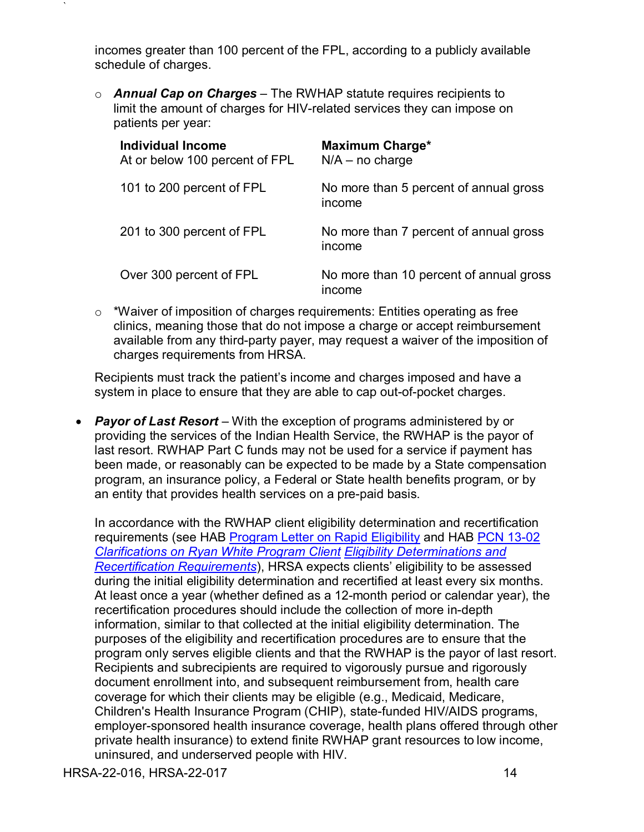incomes greater than 100 percent of the FPL, according to a publicly available schedule of charges.

o *Annual Cap on Charges* – The RWHAP statute requires recipients to limit the amount of charges for HIV-related services they can impose on patients per year:

| Individual Income<br>At or below 100 percent of FPL | <b>Maximum Charge*</b><br>$N/A - no charge$       |
|-----------------------------------------------------|---------------------------------------------------|
| 101 to 200 percent of FPL                           | No more than 5 percent of annual gross<br>income  |
| 201 to 300 percent of FPL                           | No more than 7 percent of annual gross<br>income  |
| Over 300 percent of FPL                             | No more than 10 percent of annual gross<br>income |

o \*Waiver of imposition of charges requirements: Entities operating as free clinics, meaning those that do not impose a charge or accept reimbursement available from any third-party payer, may request a waiver of the imposition of charges requirements from HRSA.

Recipients must track the patient's income and charges imposed and have a system in place to ensure that they are able to cap out-of-pocket charges.

• **Payor of Last Resort** – With the exception of programs administered by or providing the services of the Indian Health Service, the RWHAP is the payor of last resort. RWHAP Part C funds may not be used for a service if payment has been made, or reasonably can be expected to be made by a State compensation program, an insurance policy, a Federal or State health benefits program, or by an entity that provides health services on a pre-paid basis.

In accordance with the RWHAP client eligibility determination and recertification requirements (see HAB [Program Letter on Rapid Eligibility](https://hab.hrsa.gov/sites/default/files/hab/program-grants-management/rapid-eligibility-determinations-letter.pdf) and HAB PCN 13-02 *[Clarifications on Ryan White Program Client](https://hab.hrsa.gov/sites/default/files/hab/Global/pcn1302clienteligibility.pdf) [Eligibility Determinations and](https://hab.hrsa.gov/sites/default/files/hab/Global/pcn1302clienteligibility.pdf)  [Recertification Requirements](https://hab.hrsa.gov/sites/default/files/hab/Global/pcn1302clienteligibility.pdf)*), HRSA expects clients' eligibility to be assessed during the initial eligibility determination and recertified at least every six months. At least once a year (whether defined as a 12-month period or calendar year), the recertification procedures should include the collection of more in-depth information, similar to that collected at the initial eligibility determination. The purposes of the eligibility and recertification procedures are to ensure that the program only serves eligible clients and that the RWHAP is the payor of last resort. Recipients and subrecipients are required to vigorously pursue and rigorously document enrollment into, and subsequent reimbursement from, health care coverage for which their clients may be eligible (e.g., Medicaid, Medicare, Children's Health Insurance Program (CHIP), state-funded HIV/AIDS programs, employer-sponsored health insurance coverage, health plans offered through other private health insurance) to extend finite RWHAP grant resources to low income, uninsured, and underserved people with HIV.

HRSA-22-016, HRSA-22-017 14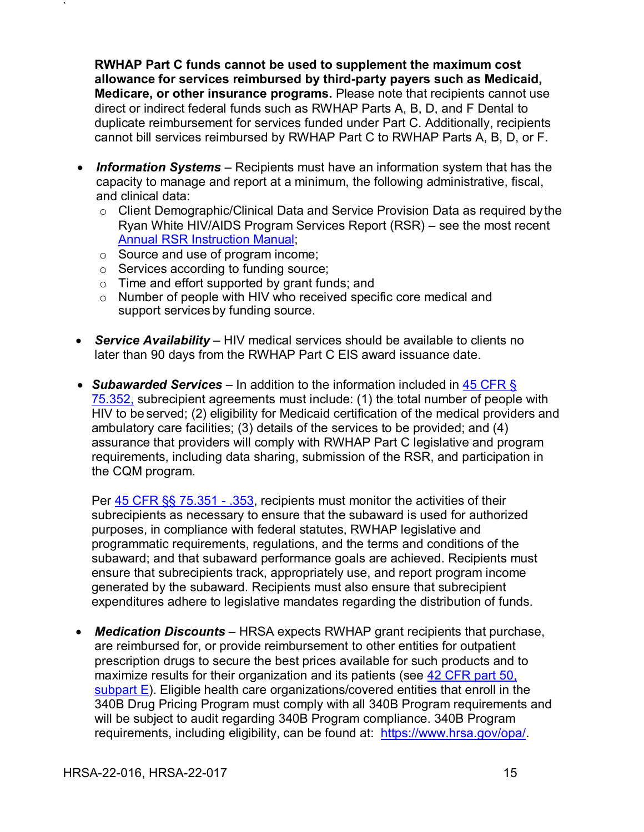**RWHAP Part C funds cannot be used to supplement the maximum cost allowance for services reimbursed by third-party payers such as Medicaid, Medicare, or other insurance programs.** Please note that recipients cannot use direct or indirect federal funds such as RWHAP Parts A, B, D, and F Dental to duplicate reimbursement for services funded under Part C. Additionally, recipients cannot bill services reimbursed by RWHAP Part C to RWHAP Parts A, B, D, or F.

- *Information Systems*  Recipients must have an information system that has the capacity to manage and report at a minimum, the following administrative, fiscal, and clinical data:
	- $\circ$  Client Demographic/Clinical Data and Service Provision Data as required by the Ryan White HIV/AIDS Program Services Report (RSR) – see the most recent [Annual RSR Instruction Manual;](https://targethiv.org/library/rsr-instruction-manual)
	- o Source and use of program income;

`

- o Services according to funding source;
- o Time and effort supported by grant funds; and
- o Number of people with HIV who received specific core medical and support services by funding source.
- *Service Availability*  HIV medical services should be available to clients no later than 90 days from the RWHAP Part C EIS award issuance date.
- *Subawarded Services*  In addition to the information included in [45 CFR §](http://www.ecfr.gov/cgi-bin/text-idx?SID=db63f7a65db2ebb745013cb5b2490801&mc=true&node=se45.1.75_1352&rgn=div8)  [75.352,](http://www.ecfr.gov/cgi-bin/text-idx?SID=db63f7a65db2ebb745013cb5b2490801&mc=true&node=se45.1.75_1352&rgn=div8) subrecipient agreements must include: (1) the total number of people with HIV to be served; (2) eligibility for Medicaid certification of the medical providers and ambulatory care facilities; (3) details of the services to be provided; and (4) assurance that providers will comply with RWHAP Part C legislative and program requirements, including data sharing, submission of the RSR, and participation in the CQM program.

Per [45 CFR §§ 75.351 -](http://www.ecfr.gov/cgi-bin/text-idx?SID=db63f7a65db2ebb745013cb5b2490801&mc=true&node=sg45.1.75_1344_675_1350.sg4&rgn=div7) .353, recipients must monitor the activities of their subrecipients as necessary to ensure that the subaward is used for authorized purposes, in compliance with federal statutes, RWHAP legislative and programmatic requirements, regulations, and the terms and conditions of the subaward; and that subaward performance goals are achieved. Recipients must ensure that subrecipients track, appropriately use, and report program income generated by the subaward. Recipients must also ensure that subrecipient expenditures adhere to legislative mandates regarding the distribution of funds.

• *Medication Discounts* – HRSA expects RWHAP grant recipients that purchase, are reimbursed for, or provide reimbursement to other entities for outpatient prescription drugs to secure the best prices available for such products and to maximize results for their organization and its patients (see 42 CFR part 50, [subpart E\)](https://www.ecfr.gov/cgi-bin/text-idx?rgn=div5&node=42:1.0.1.4.23#sp42.1.50.e). Eligible health care organizations/covered entities that enroll in the 340B Drug Pricing Program must comply with all 340B Program requirements and will be subject to audit regarding 340B Program compliance. 340B Program requirements, including eligibility, can be found at: [https://www.hrsa.gov/opa/.](https://www.hrsa.gov/opa/)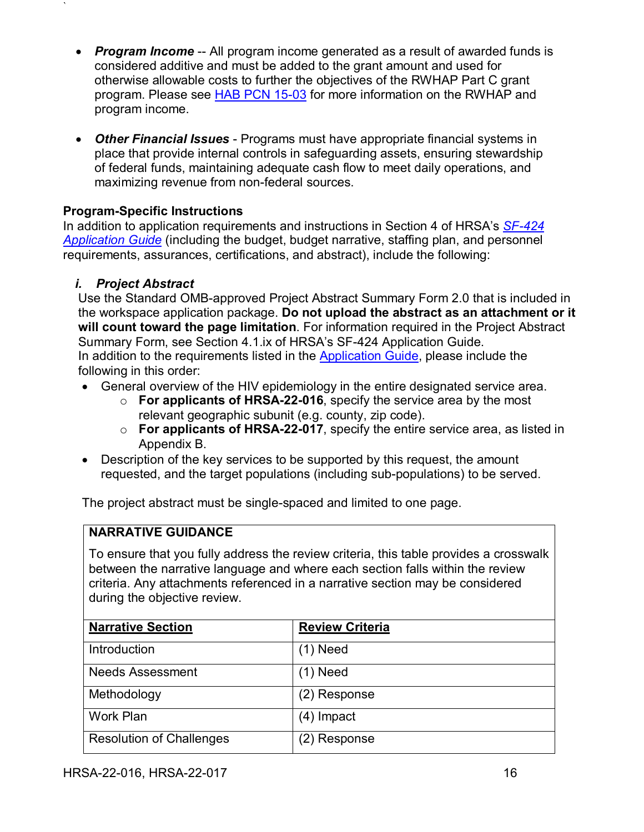- *Program Income* -- All program income generated as a result of awarded funds is considered additive and must be added to the grant amount and used for otherwise allowable costs to further the objectives of the RWHAP Part C grant program. Please see [HAB PCN 15-03](https://hab.hrsa.gov/sites/default/files/hab/Global/pcn_15-03_program_income.pdf) for more information on the RWHAP and program income.
- *Other Financial Issues* Programs must have appropriate financial systems in place that provide internal controls in safeguarding assets, ensuring stewardship of federal funds, maintaining adequate cash flow to meet daily operations, and maximizing revenue from non-federal sources.

## **Program-Specific Instructions**

In addition to application requirements and instructions in Section 4 of HRSA's *[SF-424](http://www.hrsa.gov/grants/apply/applicationguide/sf424guide.pdf) [Application Guide](http://www.hrsa.gov/grants/apply/applicationguide/sf424guide.pdf)* (including the budget, budget narrative, staffing plan, and personnel requirements, assurances, certifications, and abstract), include the following:

## <span id="page-20-0"></span>*i. Project Abstract*

`

Use the Standard OMB-approved Project Abstract Summary Form 2.0 that is included in the workspace application package. **Do not upload the abstract as an attachment or it will count toward the page limitation**. For information required in the Project Abstract Summary Form, see Section 4.1.ix of HRSA's SF-424 Application Guide. In addition to the requirements listed in the [Application Guide,](https://www.hrsa.gov/sites/default/files/hrsa/grants/apply/applicationguide/sf-424-app-guide.pdf) please include the following in this order:

- General overview of the HIV epidemiology in the entire designated service area.
	- o **For applicants of HRSA-22-016**, specify the service area by the most relevant geographic subunit (e.g. county, zip code).
	- o **For applicants of HRSA-22-017**, specify the entire service area, as listed in Appendix B.
- Description of the key services to be supported by this request, the amount requested, and the target populations (including sub-populations) to be served.

The project abstract must be single-spaced and limited to one page.

### **NARRATIVE GUIDANCE**

To ensure that you fully address the review criteria, this table provides a crosswalk between the narrative language and where each section falls within the review criteria. Any attachments referenced in a narrative section may be considered during the objective review.

| <b>Narrative Section</b>        | <b>Review Criteria</b> |
|---------------------------------|------------------------|
| Introduction                    | $(1)$ Need             |
| <b>Needs Assessment</b>         | (1) Need               |
| Methodology                     | (2) Response           |
| Work Plan                       | $(4)$ Impact           |
| <b>Resolution of Challenges</b> | (2) Response           |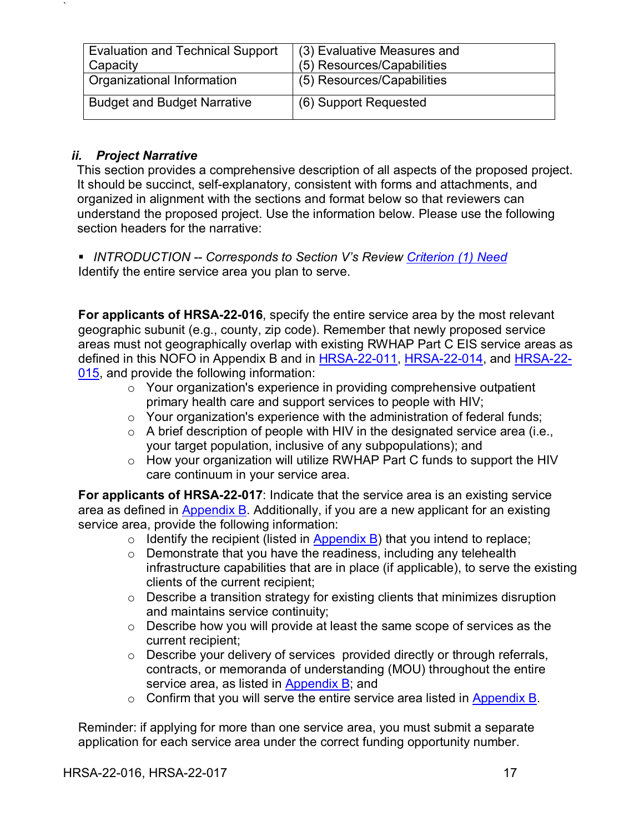| <b>Evaluation and Technical Support</b> | (3) Evaluative Measures and |
|-----------------------------------------|-----------------------------|
| Capacity                                | (5) Resources/Capabilities  |
| Organizational Information              | (5) Resources/Capabilities  |
| <b>Budget and Budget Narrative</b>      | (6) Support Requested       |

### <span id="page-21-0"></span>*ii. Project Narrative*

`

This section provides a comprehensive description of all aspects of the proposed project. It should be succinct, self-explanatory, consistent with forms and attachments, and organized in alignment with the sections and format below so that reviewers can understand the proposed project. Use the information below. Please use the following section headers for the narrative:

<span id="page-21-1"></span> *INTRODUCTION -- Corresponds to Section V's Review [Criterion \(1\) Need](#page-41-2)* Identify the entire service area you plan to serve.

**For applicants of HRSA-22-016**, specify the entire service area by the most relevant geographic subunit (e.g., county, zip code). Remember that newly proposed service areas must not geographically overlap with existing RWHAP Part C EIS service areas as defined in this NOFO in Appendix B and in [HRSA-22-011,](https://www.hrsa.gov/grants/find-funding/hrsa-22-011) [HRSA-22-014,](https://www.hrsa.gov/grants/find-funding/hrsa-22-014) and [HRSA-22-](https://www.hrsa.gov/grants/find-funding/hrsa-22-015) [015,](https://www.hrsa.gov/grants/find-funding/hrsa-22-015) and provide the following information:

- $\circ$  Your organization's experience in providing comprehensive outpatient primary health care and support services to people with HIV;
- o Your organization's experience with the administration of federal funds;
- $\circ$  A brief description of people with HIV in the designated service area (i.e., your target population, inclusive of any subpopulations); and
- o How your organization will utilize RWHAP Part C funds to support the HIV care continuum in your service area.

**For applicants of HRSA-22-017**: Indicate that the service area is an existing service area as defined in [Appendix B.](#page-55-0) Additionally, if you are a new applicant for an existing service area, provide the following information:

- $\circ$  Identify the recipient (listed in [Appendix B\)](#page-55-0) that you intend to replace;
- o Demonstrate that you have the readiness, including any telehealth infrastructure capabilities that are in place (if applicable), to serve the existing clients of the current recipient;
- o Describe a transition strategy for existing clients that minimizes disruption and maintains service continuity;
- o Describe how you will provide at least the same scope of services as the current recipient;
- o Describe your delivery of services provided directly or through referrals, contracts, or memoranda of understanding (MOU) throughout the entire service area, as listed in [Appendix B;](#page-55-0) and
- $\circ$  Confirm that you will serve the entire service area listed in [Appendix B.](#page-55-0)

Reminder: if applying for more than one service area, you must submit a separate application for each service area under the correct funding opportunity number.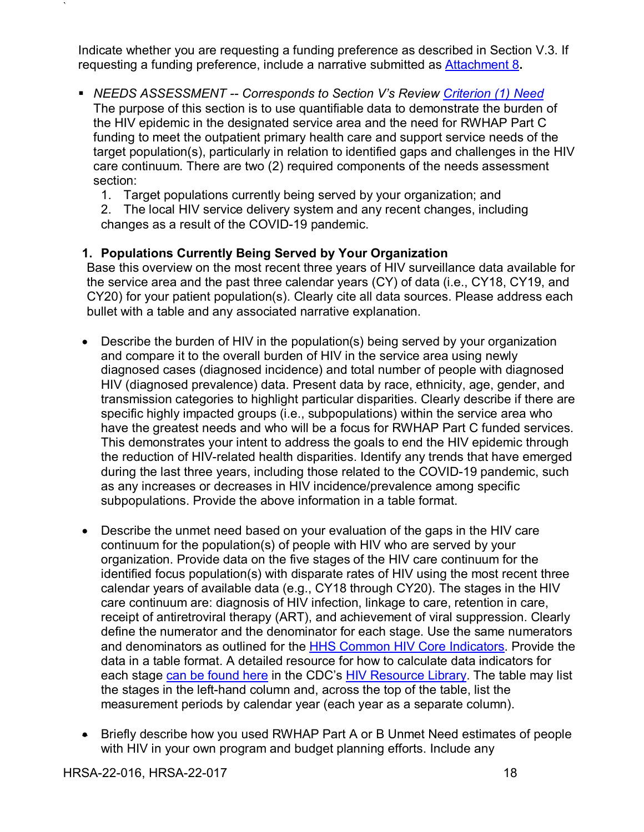Indicate whether you are requesting a funding preference as described in Section V.3. If requesting a funding preference, include a narrative submitted as [Attachment 8](#page-36-0)**.**

- <span id="page-22-0"></span> *NEEDS ASSESSMENT -- Corresponds to Section V's Review [Criterion](#page-41-2) (1) Need* The purpose of this section is to use quantifiable data to demonstrate the burden of the HIV epidemic in the designated service area and the need for RWHAP Part C funding to meet the outpatient primary health care and support service needs of the target population(s), particularly in relation to identified gaps and challenges in the HIV care continuum. There are two (2) required components of the needs assessment section:
	- 1. Target populations currently being served by your organization; and

2. The local HIV service delivery system and any recent changes, including changes as a result of the COVID-19 pandemic.

## **1. Populations Currently Being Served by Your Organization**

Base this overview on the most recent three years of HIV surveillance data available for the service area and the past three calendar years (CY) of data (i.e., CY18, CY19, and CY20) for your patient population(s). Clearly cite all data sources. Please address each bullet with a table and any associated narrative explanation.

- Describe the burden of HIV in the population(s) being served by your organization and compare it to the overall burden of HIV in the service area using newly diagnosed cases (diagnosed incidence) and total number of people with diagnosed HIV (diagnosed prevalence) data. Present data by race, ethnicity, age, gender, and transmission categories to highlight particular disparities. Clearly describe if there are specific highly impacted groups (i.e., subpopulations) within the service area who have the greatest needs and who will be a focus for RWHAP Part C funded services. This demonstrates your intent to address the goals to end the HIV epidemic through the reduction of HIV-related health disparities. Identify any trends that have emerged during the last three years, including those related to the COVID-19 pandemic, such as any increases or decreases in HIV incidence/prevalence among specific subpopulations. Provide the above information in a table format.
- Describe the unmet need based on your evaluation of the gaps in the HIV care continuum for the population(s) of people with HIV who are served by your organization. Provide data on the five stages of the HIV care continuum for the identified focus population(s) with disparate rates of HIV using the most recent three calendar years of available data (e.g., CY18 through CY20). The stages in the HIV care continuum are: diagnosis of HIV infection, linkage to care, retention in care, receipt of antiretroviral therapy (ART), and achievement of viral suppression. Clearly define the numerator and the denominator for each stage. Use the same numerators and denominators as outlined for the [HHS Common HIV Core Indicators.](https://www.hiv.gov/blog/secretary-sebelius-approves-indicators-for-monitoring-hhs-funded-hiv-services) Provide the data in a table format. A detailed resource for how to calculate data indicators for each stage [can be found here](https://www.cdc.gov/hiv/pdf/library/slidesets/cdc-hiv-prevention-and-care-outcomes-2016.pdf) in the CDC's [HIV Resource Library.](https://www.cdc.gov/hiv/library/index.html) The table may list the stages in the left-hand column and, across the top of the table, list the measurement periods by calendar year (each year as a separate column).
- Briefly describe how you used RWHAP Part A or B Unmet Need estimates of people with HIV in your own program and budget planning efforts. Include any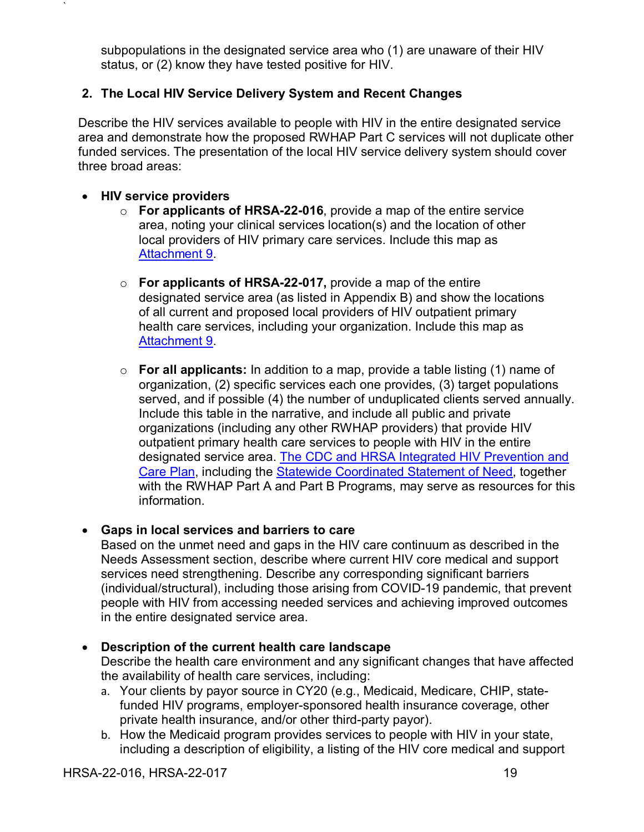subpopulations in the designated service area who (1) are unaware of their HIV status, or (2) know they have tested positive for HIV.

## **2. The Local HIV Service Delivery System and Recent Changes**

Describe the HIV services available to people with HIV in the entire designated service area and demonstrate how the proposed RWHAP Part C services will not duplicate other funded services. The presentation of the local HIV service delivery system should cover three broad areas:

### • **HIV service providers**

`

- o **For applicants of HRSA-22-016**, provide a map of the entire service area, noting your clinical services location(s) and the location of other local providers of HIV primary care services. Include this map as [Attachment 9.](#page-36-1)
- o **For applicants of HRSA-22-017,** provide a map of the entire designated service area (as listed in Appendix B) and show the locations of all current and proposed local providers of HIV outpatient primary health care services, including your organization. Include this map as [Attachment 9.](#page-36-1)
- o **For all applicants:** In addition to a map, provide a table listing (1) name of organization, (2) specific services each one provides, (3) target populations served, and if possible (4) the number of unduplicated clients served annually. Include this table in the narrative, and include all public and private organizations (including any other RWHAP providers) that provide HIV outpatient primary health care services to people with HIV in the entire designated service area. [The CDC and HRSA Integrated HIV Prevention and](https://www.cdc.gov/hiv/pdf/funding/announcements/ps12-1201/cdc-hiv-integrated-hiv-prevention-care-plan-guidance.pdf)  [Care Plan,](https://www.cdc.gov/hiv/pdf/funding/announcements/ps12-1201/cdc-hiv-integrated-hiv-prevention-care-plan-guidance.pdf) including the [Statewide Coordinated Statement of Need,](https://www.cdc.gov/hiv/pdf/funding/announcements/ps12-1201/cdc-hiv-integrated-hiv-prevention-care-plan-guidance.pdf) together with the RWHAP Part A and Part B Programs, may serve as resources for this information.

### • **Gaps in local services and barriers to care**

Based on the unmet need and gaps in the HIV care continuum as described in the Needs Assessment section, describe where current HIV core medical and support services need strengthening. Describe any corresponding significant barriers (individual/structural), including those arising from COVID-19 pandemic, that prevent people with HIV from accessing needed services and achieving improved outcomes in the entire designated service area.

### • **Description of the current health care landscape**

Describe the health care environment and any significant changes that have affected the availability of health care services, including:

- a. Your clients by payor source in CY20 (e.g., Medicaid, Medicare, CHIP, statefunded HIV programs, employer-sponsored health insurance coverage, other private health insurance, and/or other third-party payor).
- b. How the Medicaid program provides services to people with HIV in your state, including a description of eligibility, a listing of the HIV core medical and support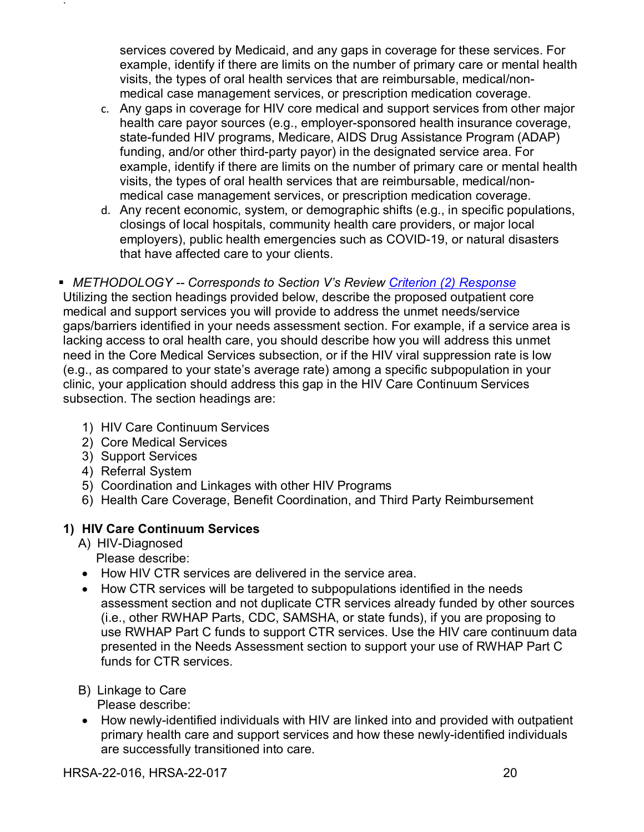services covered by Medicaid, and any gaps in coverage for these services. For example, identify if there are limits on the number of primary care or mental health visits, the types of oral health services that are reimbursable, medical/nonmedical case management services, or prescription medication coverage.

- c. Any gaps in coverage for HIV core medical and support services from other major health care payor sources (e.g., employer-sponsored health insurance coverage, state-funded HIV programs, Medicare, AIDS Drug Assistance Program (ADAP) funding, and/or other third-party payor) in the designated service area. For example, identify if there are limits on the number of primary care or mental health visits, the types of oral health services that are reimbursable, medical/nonmedical case management services, or prescription medication coverage.
- d. Any recent economic, system, or demographic shifts (e.g., in specific populations, closings of local hospitals, community health care providers, or major local employers), public health emergencies such as COVID-19, or natural disasters that have affected care to your clients.

### <span id="page-24-0"></span> *METHODOLOGY -- Corresponds to Section V's Review Criterion [\(2\) Response](#page-42-0)* Utilizing the section headings provided below, describe the proposed outpatient core medical and support services you will provide to address the unmet needs/service gaps/barriers identified in your needs assessment section. For example, if a service area is lacking access to oral health care, you should describe how you will address this unmet need in the Core Medical Services subsection, or if the HIV viral suppression rate is low (e.g., as compared to your state's average rate) among a specific subpopulation in your clinic, your application should address this gap in the HIV Care Continuum Services subsection. The section headings are:

- 1) HIV Care Continuum Services
- 2) Core Medical Services
- 3) Support Services

`

- 4) Referral System
- 5) Coordination and Linkages with other HIV Programs
- 6) Health Care Coverage, Benefit Coordination, and Third Party Reimbursement

# **1) HIV Care Continuum Services**

- A) HIV-Diagnosed Please describe:
- How HIV CTR services are delivered in the service area.
- How CTR services will be targeted to subpopulations identified in the needs assessment section and not duplicate CTR services already funded by other sources (i.e., other RWHAP Parts, CDC, SAMSHA, or state funds), if you are proposing to use RWHAP Part C funds to support CTR services. Use the HIV care continuum data presented in the Needs Assessment section to support your use of RWHAP Part C funds for CTR services.
- B) Linkage to Care

Please describe:

• How newly-identified individuals with HIV are linked into and provided with outpatient primary health care and support services and how these newly-identified individuals are successfully transitioned into care.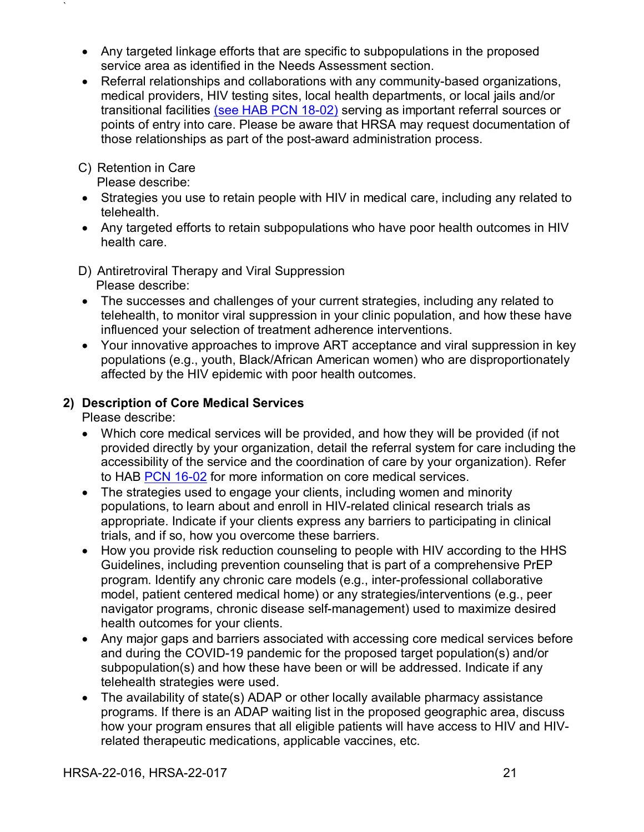- Any targeted linkage efforts that are specific to subpopulations in the proposed service area as identified in the Needs Assessment section.
- Referral relationships and collaborations with any community-based organizations, medical providers, HIV testing sites, local health departments, or local jails and/or transitional facilities [\(see HAB PCN 18-02\)](https://hab.hrsa.gov/sites/default/files/hab/program-grants-management/PCN-18-02-people-who-are-incarcerated.pdf) serving as important referral sources or points of entry into care. Please be aware that HRSA may request documentation of those relationships as part of the post-award administration process.

## C) Retention in Care

`

Please describe:

- Strategies you use to retain people with HIV in medical care, including any related to telehealth.
- Any targeted efforts to retain subpopulations who have poor health outcomes in HIV health care.
- D) Antiretroviral Therapy and Viral Suppression Please describe:
- The successes and challenges of your current strategies, including any related to telehealth, to monitor viral suppression in your clinic population, and how these have influenced your selection of treatment adherence interventions.
- Your innovative approaches to improve ART acceptance and viral suppression in key populations (e.g., youth, Black/African American women) who are disproportionately affected by the HIV epidemic with poor health outcomes.

## **2) Description of Core Medical Services**

Please describe:

- Which core medical services will be provided, and how they will be provided (if not provided directly by your organization, detail the referral system for care including the accessibility of the service and the coordination of care by your organization). Refer to HAB [PCN 16-02](https://hab.hrsa.gov/sites/default/files/hab/program-grants-management/ServiceCategoryPCN_16-02Final.pdf) for more information on core medical services.
- The strategies used to engage your clients, including women and minority populations, to learn about and enroll in HIV-related clinical research trials as appropriate. Indicate if your clients express any barriers to participating in clinical trials, and if so, how you overcome these barriers.
- How you provide risk reduction counseling to people with HIV according to the HHS Guidelines, including prevention counseling that is part of a comprehensive PrEP program. Identify any chronic care models (e.g., inter-professional collaborative model, patient centered medical home) or any strategies/interventions (e.g., peer navigator programs, chronic disease self-management) used to maximize desired health outcomes for your clients.
- Any major gaps and barriers associated with accessing core medical services before and during the COVID-19 pandemic for the proposed target population(s) and/or subpopulation(s) and how these have been or will be addressed. Indicate if any telehealth strategies were used.
- The availability of state(s) ADAP or other locally available pharmacy assistance programs. If there is an ADAP waiting list in the proposed geographic area, discuss how your program ensures that all eligible patients will have access to HIV and HIVrelated therapeutic medications, applicable vaccines, etc.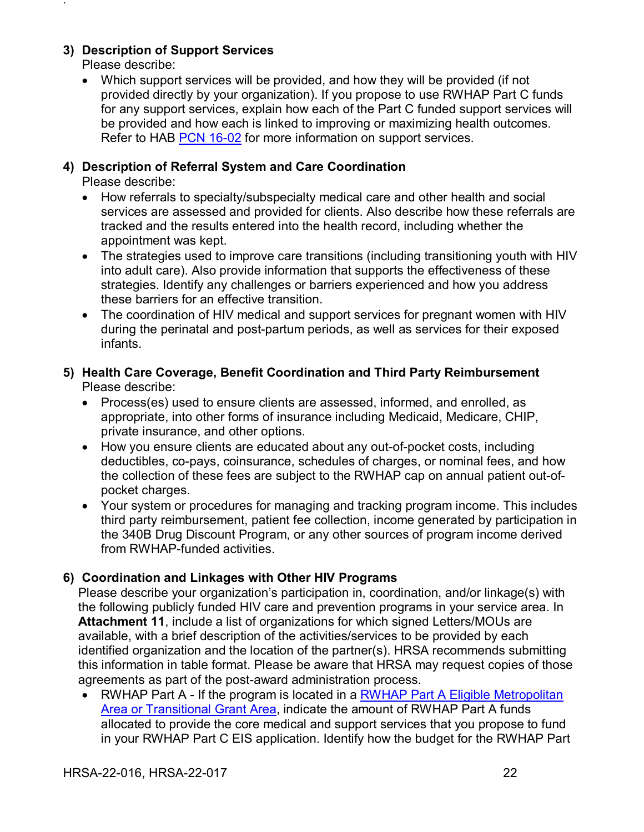## **3) Description of Support Services**

Please describe:

`

• Which support services will be provided, and how they will be provided (if not provided directly by your organization). If you propose to use RWHAP Part C funds for any support services, explain how each of the Part C funded support services will be provided and how each is linked to improving or maximizing health outcomes. Refer to HAB [PCN 16-02](https://hab.hrsa.gov/sites/default/files/hab/program-grants-management/ServiceCategoryPCN_16-02Final.pdf) for more information on support services.

## **4) Description of Referral System and Care Coordination**

Please describe:

- How referrals to specialty/subspecialty medical care and other health and social services are assessed and provided for clients. Also describe how these referrals are tracked and the results entered into the health record, including whether the appointment was kept.
- The strategies used to improve care transitions (including transitioning youth with HIV into adult care). Also provide information that supports the effectiveness of these strategies. Identify any challenges or barriers experienced and how you address these barriers for an effective transition.
- The coordination of HIV medical and support services for pregnant women with HIV during the perinatal and post-partum periods, as well as services for their exposed infants.

### **5) Health Care Coverage, Benefit Coordination and Third Party Reimbursement** Please describe:

- Process(es) used to ensure clients are assessed, informed, and enrolled, as appropriate, into other forms of insurance including Medicaid, Medicare, CHIP, private insurance, and other options.
- How you ensure clients are educated about any out-of-pocket costs, including deductibles, co-pays, coinsurance, schedules of charges, or nominal fees, and how the collection of these fees are subject to the RWHAP cap on annual patient out-ofpocket charges.
- Your system or procedures for managing and tracking program income. This includes third party reimbursement, patient fee collection, income generated by participation in the 340B Drug Discount Program, or any other sources of program income derived from RWHAP-funded activities.

## **6) Coordination and Linkages with Other HIV Programs**

Please describe your organization's participation in, coordination, and/or linkage(s) with the following publicly funded HIV care and prevention programs in your service area. In **Attachment 11**, include a list of organizations for which signed Letters/MOUs are available, with a brief description of the activities/services to be provided by each identified organization and the location of the partner(s). HRSA recommends submitting this information in table format. Please be aware that HRSA may request copies of those agreements as part of the post-award administration process.

• RWHAP Part A - If the program is located in a RWHAP Part A Eligible Metropolitan [Area or Transitional Grant Area,](https://hab.hrsa.gov/about-ryan-white-hivaids-program/part-a-grants-emerging-metro-transitional-areas) indicate the amount of RWHAP Part A funds allocated to provide the core medical and support services that you propose to fund in your RWHAP Part C EIS application. Identify how the budget for the RWHAP Part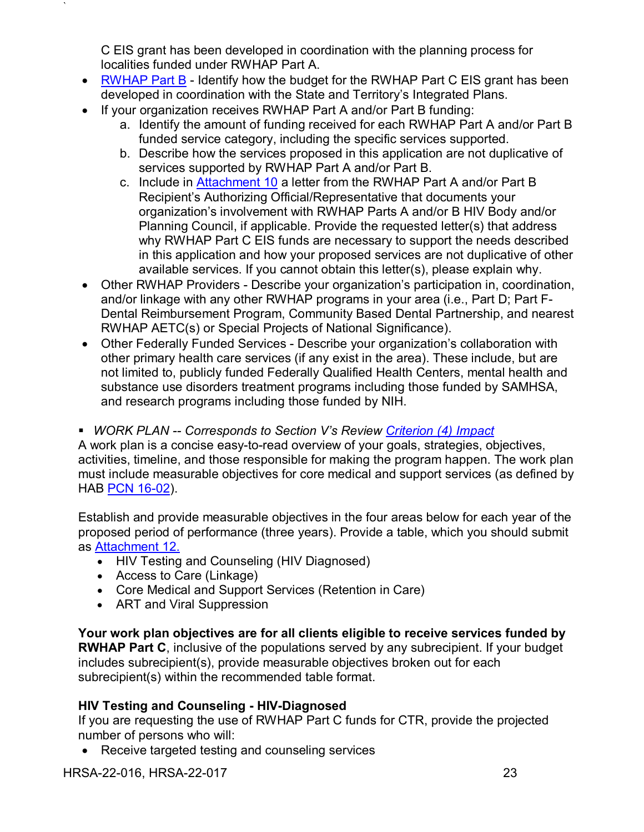C EIS grant has been developed in coordination with the planning process for localities funded under RWHAP Part A.

- [RWHAP Part B](https://hab.hrsa.gov/about-ryan-white-hivaids-program/part-b-grants-states-territories) Identify how the budget for the RWHAP Part C EIS grant has been developed in coordination with the State and Territory's Integrated Plans.
- If your organization receives RWHAP Part A and/or Part B funding:
	- a. Identify the amount of funding received for each RWHAP Part A and/or Part B funded service category, including the specific services supported.
	- b. Describe how the services proposed in this application are not duplicative of services supported by RWHAP Part A and/or Part B.
	- c. Include in [Attachment 10](#page-37-1) a letter from the RWHAP Part A and/or Part B Recipient's Authorizing Official/Representative that documents your organization's involvement with RWHAP Parts A and/or B HIV Body and/or Planning Council, if applicable. Provide the requested letter(s) that address why RWHAP Part C EIS funds are necessary to support the needs described in this application and how your proposed services are not duplicative of other available services. If you cannot obtain this letter(s), please explain why.
- Other RWHAP Providers Describe your organization's participation in, coordination, and/or linkage with any other RWHAP programs in your area (i.e., Part D; Part F-Dental Reimbursement Program, Community Based Dental Partnership, and nearest RWHAP AETC(s) or Special Projects of National Significance).
- Other Federally Funded Services Describe your organization's collaboration with other primary health care services (if any exist in the area). These include, but are not limited to, publicly funded Federally Qualified Health Centers, mental health and substance use disorders treatment programs including those funded by SAMHSA, and research programs including those funded by NIH.
- <span id="page-27-0"></span>*WORK PLAN -- Corresponds to Section V's Review Criterion [\(4\) Impact](#page-44-0)*

A work plan is a concise easy-to-read overview of your goals, strategies, objectives, activities, timeline, and those responsible for making the program happen. The work plan must include measurable objectives for core medical and support services (as defined by HAB **PCN** 16-02).

Establish and provide measurable objectives in the four areas below for each year of the proposed period of performance (three years). Provide a table, which you should submit as [Attachment 12.](#page-37-2)

- HIV Testing and Counseling (HIV Diagnosed)
- Access to Care (Linkage)

`

- Core Medical and Support Services (Retention in Care)
- ART and Viral Suppression

**Your work plan objectives are for all clients eligible to receive services funded by RWHAP Part C**, inclusive of the populations served by any subrecipient. If your budget includes subrecipient(s), provide measurable objectives broken out for each subrecipient(s) within the recommended table format.

## **HIV Testing and Counseling - HIV-Diagnosed**

If you are requesting the use of RWHAP Part C funds for CTR, provide the projected number of persons who will:

• Receive targeted testing and counseling services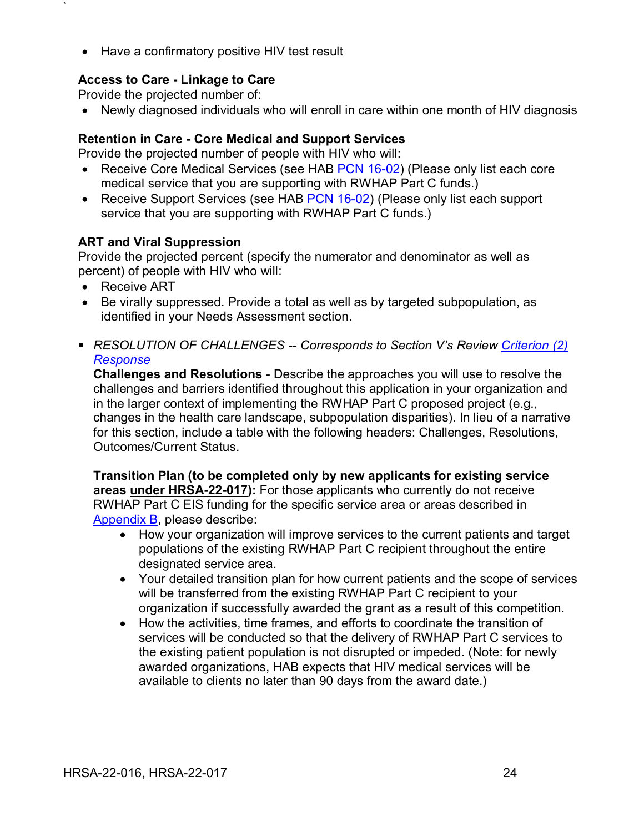• Have a confirmatory positive HIV test result

### **Access to Care - Linkage to Care**

Provide the projected number of:

• Newly diagnosed individuals who will enroll in care within one month of HIV diagnosis

### **Retention in Care - Core Medical and Support Services**

Provide the projected number of people with HIV who will:

- Receive Core Medical Services (see HAB [PCN 16-02\)](https://hab.hrsa.gov/sites/default/files/hab/program-grants-management/ServiceCategoryPCN_16-02Final.pdf) (Please only list each core medical service that you are supporting with RWHAP Part C funds.)
- Receive Support Services (see HAB [PCN 16-02\)](https://hab.hrsa.gov/sites/default/files/hab/program-grants-management/ServiceCategoryPCN_16-02Final.pdf) (Please only list each support service that you are supporting with RWHAP Part C funds.)

### **ART and Viral Suppression**

Provide the projected percent (specify the numerator and denominator as well as percent) of people with HIV who will:

• Receive ART

`

- Be virally suppressed. Provide a total as well as by targeted subpopulation, as identified in your Needs Assessment section.
- <span id="page-28-0"></span> *RESOLUTION OF CHALLENGES -- Corresponds to Section V's Review [Criterion](#page-42-0) (2) [Response](#page-42-0)*

**Challenges and Resolutions** - Describe the approaches you will use to resolve the challenges and barriers identified throughout this application in your organization and in the larger context of implementing the RWHAP Part C proposed project (e.g., changes in the health care landscape, subpopulation disparities). In lieu of a narrative for this section, include a table with the following headers: Challenges, Resolutions, Outcomes/Current Status.

**Transition Plan (to be completed only by new applicants for existing service areas under HRSA-22-017):** For those applicants who currently do not receive RWHAP Part C EIS funding for the specific service area or areas described in [Appendix B,](#page-55-0) please describe:

- How your organization will improve services to the current patients and target populations of the existing RWHAP Part C recipient throughout the entire designated service area.
- Your detailed transition plan for how current patients and the scope of services will be transferred from the existing RWHAP Part C recipient to your organization if successfully awarded the grant as a result of this competition.
- How the activities, time frames, and efforts to coordinate the transition of services will be conducted so that the delivery of RWHAP Part C services to the existing patient population is not disrupted or impeded. (Note: for newly awarded organizations, HAB expects that HIV medical services will be available to clients no later than 90 days from the award date.)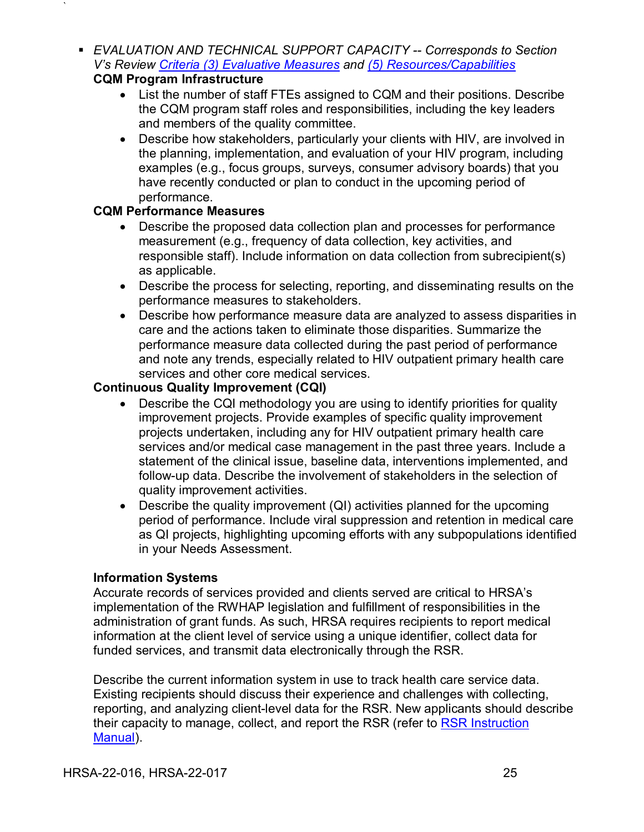<span id="page-29-0"></span> *EVALUATION AND TECHNICAL SUPPORT CAPACITY -- Corresponds to Section V's Review [Criteria \(3\) Evaluative Measures](#page-43-0) and [\(5\) Resources/Capabilities](#page-45-1)* **CQM Program Infrastructure**

`

- List the number of staff FTEs assigned to CQM and their positions. Describe the CQM program staff roles and responsibilities, including the key leaders and members of the quality committee.
- Describe how stakeholders, particularly your clients with HIV, are involved in the planning, implementation, and evaluation of your HIV program, including examples (e.g., focus groups, surveys, consumer advisory boards) that you have recently conducted or plan to conduct in the upcoming period of performance.

### **CQM Performance Measures**

- Describe the proposed data collection plan and processes for performance measurement (e.g., frequency of data collection, key activities, and responsible staff). Include information on data collection from subrecipient(s) as applicable.
- Describe the process for selecting, reporting, and disseminating results on the performance measures to stakeholders.
- Describe how performance measure data are analyzed to assess disparities in care and the actions taken to eliminate those disparities. Summarize the performance measure data collected during the past period of performance and note any trends, especially related to HIV outpatient primary health care services and other core medical services.

## **Continuous Quality Improvement (CQI)**

- Describe the CQI methodology you are using to identify priorities for quality improvement projects. Provide examples of specific quality improvement projects undertaken, including any for HIV outpatient primary health care services and/or medical case management in the past three years. Include a statement of the clinical issue, baseline data, interventions implemented, and follow-up data. Describe the involvement of stakeholders in the selection of quality improvement activities.
- Describe the quality improvement (QI) activities planned for the upcoming period of performance. Include viral suppression and retention in medical care as QI projects, highlighting upcoming efforts with any subpopulations identified in your Needs Assessment.

### **Information Systems**

Accurate records of services provided and clients served are critical to HRSA's implementation of the RWHAP legislation and fulfillment of responsibilities in the administration of grant funds. As such, HRSA requires recipients to report medical information at the client level of service using a unique identifier, collect data for funded services, and transmit data electronically through the RSR.

Describe the current information system in use to track health care service data. Existing recipients should discuss their experience and challenges with collecting, reporting, and analyzing client-level data for the RSR. New applicants should describe their capacity to manage, collect, and report the RSR (refer to [RSR Instruction](https://targethiv.org/library/rsr-instruction-manual)  [Manual\)](https://targethiv.org/library/rsr-instruction-manual).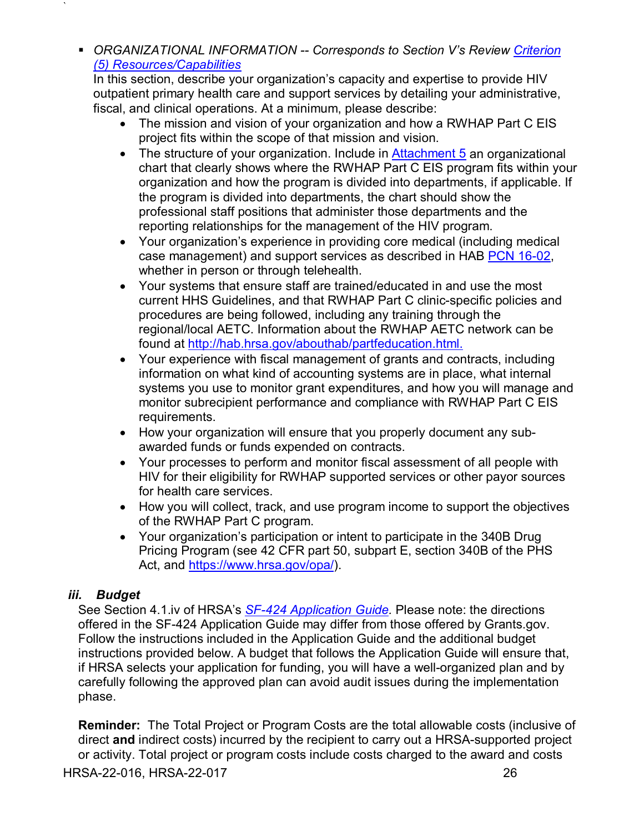<span id="page-30-1"></span> *ORGANIZATIONAL INFORMATION -- Corresponds to Section V's Review [Criterion](#page-45-1) [\(5\) Resources/Capabilities](#page-45-1)*

In this section, describe your organization's capacity and expertise to provide HIV outpatient primary health care and support services by detailing your administrative, fiscal, and clinical operations. At a minimum, please describe:

- The mission and vision of your organization and how a RWHAP Part C EIS project fits within the scope of that mission and vision.
- The structure of your organization. Include in [Attachment 5](#page-35-1) an organizational chart that clearly shows where the RWHAP Part C EIS program fits within your organization and how the program is divided into departments, if applicable. If the program is divided into departments, the chart should show the professional staff positions that administer those departments and the reporting relationships for the management of the HIV program.
- Your organization's experience in providing core medical (including medical case management) and support services as described in HAB [PCN 16-02,](https://hab.hrsa.gov/sites/default/files/hab/program-grants-management/ServiceCategoryPCN_16-02Final.pdf) whether in person or through telehealth.
- Your systems that ensure staff are trained/educated in and use the most current HHS Guidelines, and that RWHAP Part C clinic-specific policies and procedures are being followed, including any training through the regional/local AETC. Information about the RWHAP AETC network can be found at [http://hab.hrsa.gov/abouthab/partfeducation.html.](http://hab.hrsa.gov/abouthab/partfeducation.html)
- Your experience with fiscal management of grants and contracts, including information on what kind of accounting systems are in place, what internal systems you use to monitor grant expenditures, and how you will manage and monitor subrecipient performance and compliance with RWHAP Part C EIS requirements.
- How your organization will ensure that you properly document any subawarded funds or funds expended on contracts.
- Your processes to perform and monitor fiscal assessment of all people with HIV for their eligibility for RWHAP supported services or other payor sources for health care services.
- How you will collect, track, and use program income to support the objectives of the RWHAP Part C program.
- Your organization's participation or intent to participate in the 340B Drug Pricing Program (see 42 CFR part 50, subpart E, section 340B of the PHS Act, and [https://www.hrsa.gov/opa/\)](https://www.hrsa.gov/opa/).

## <span id="page-30-0"></span>*iii. Budget*

`

See Section 4.1.iv of HRSA's *SF-424 [Application Guide.](http://www.hrsa.gov/grants/apply/applicationguide/sf424guide.pdf)* Please note: the directions offered in the SF-424 Application Guide may differ from those offered by Grants.gov. Follow the instructions included in the Application Guide and the additional budget instructions provided below. A budget that follows the Application Guide will ensure that, if HRSA selects your application for funding, you will have a well-organized plan and by carefully following the approved plan can avoid audit issues during the implementation phase.

**Reminder:** The Total Project or Program Costs are the total allowable costs (inclusive of direct **and** indirect costs) incurred by the recipient to carry out a HRSA-supported project or activity. Total project or program costs include costs charged to the award and costs

HRSA-22-016, HRSA-22-017 26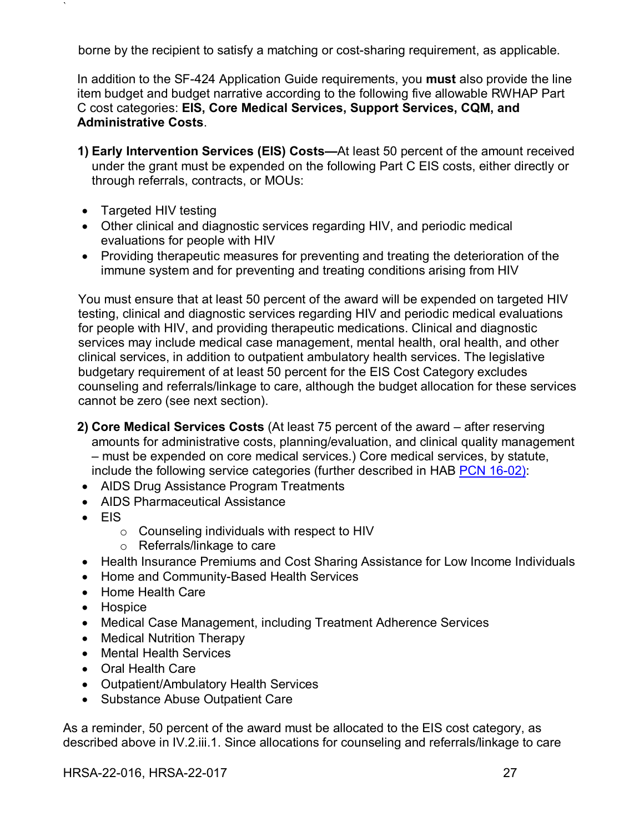borne by the recipient to satisfy a matching or cost-sharing requirement, as applicable.

In addition to the SF-424 Application Guide requirements, you **must** also provide the line item budget and budget narrative according to the following five allowable RWHAP Part C cost categories: **EIS, Core Medical Services, Support Services, CQM, and Administrative Costs**.

- **1) Early Intervention Services (EIS) Costs—**At least 50 percent of the amount received under the grant must be expended on the following Part C EIS costs, either directly or through referrals, contracts, or MOUs:
- Targeted HIV testing

`

- Other clinical and diagnostic services regarding HIV, and periodic medical evaluations for people with HIV
- Providing therapeutic measures for preventing and treating the deterioration of the immune system and for preventing and treating conditions arising from HIV

You must ensure that at least 50 percent of the award will be expended on targeted HIV testing, clinical and diagnostic services regarding HIV and periodic medical evaluations for people with HIV, and providing therapeutic medications. Clinical and diagnostic services may include medical case management, mental health, oral health, and other clinical services, in addition to outpatient ambulatory health services. The legislative budgetary requirement of at least 50 percent for the EIS Cost Category excludes counseling and referrals/linkage to care, although the budget allocation for these services cannot be zero (see next section).

- **2) Core Medical Services Costs** (At least 75 percent of the award after reserving amounts for administrative costs, planning/evaluation, and clinical quality management – must be expended on core medical services.) Core medical services, by statute, include the following service categories (further described in HAB [PCN 16-02\)](https://hab.hrsa.gov/sites/default/files/hab/program-grants-management/ServiceCategoryPCN_16-02Final.pdf):
- AIDS Drug Assistance Program Treatments
- AIDS Pharmaceutical Assistance
- EIS
	- o Counseling individuals with respect to HIV
	- o Referrals/linkage to care
- Health Insurance Premiums and Cost Sharing Assistance for Low Income Individuals
- Home and Community-Based Health Services
- Home Health Care
- Hospice
- Medical Case Management, including Treatment Adherence Services
- Medical Nutrition Therapy
- Mental Health Services
- Oral Health Care
- Outpatient/Ambulatory Health Services
- Substance Abuse Outpatient Care

As a reminder, 50 percent of the award must be allocated to the EIS cost category, as described above in IV.2.iii.1. Since allocations for counseling and referrals/linkage to care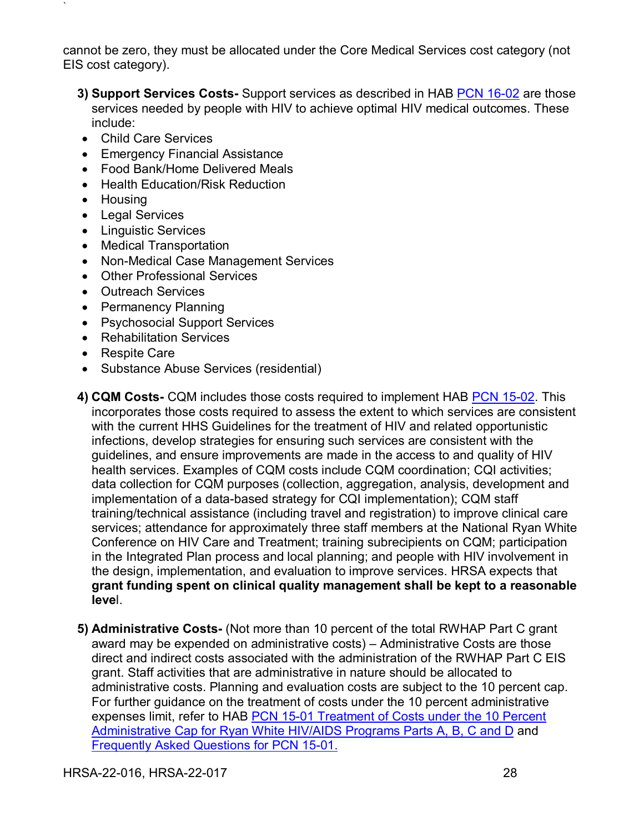cannot be zero, they must be allocated under the Core Medical Services cost category (not EIS cost category).

- **3) Support Services Costs-** Support services as described in HAB [PCN 16-02](https://hab.hrsa.gov/sites/default/files/hab/program-grants-management/ServiceCategoryPCN_16-02Final.pdf) are those services needed by people with HIV to achieve optimal HIV medical outcomes. These include:
- Child Care Services
- Emergency Financial Assistance
- Food Bank/Home Delivered Meals
- Health Education/Risk Reduction
- Housing

- Legal Services
- Linguistic Services
- Medical Transportation
- Non-Medical Case Management Services
- Other Professional Services
- Outreach Services
- Permanency Planning
- Psychosocial Support Services
- Rehabilitation Services
- Respite Care
- Substance Abuse Services (residential)
- **4) CQM Costs-** CQM includes those costs required to implement HAB [PCN 15-02.](https://hab.hrsa.gov/sites/default/files/hab/Global/HAB-PCN-15-02-CQM.pdf) This incorporates those costs required to assess the extent to which services are consistent with the current HHS Guidelines for the treatment of HIV and related opportunistic infections, develop strategies for ensuring such services are consistent with the guidelines, and ensure improvements are made in the access to and quality of HIV health services. Examples of CQM costs include CQM coordination; CQI activities; data collection for CQM purposes (collection, aggregation, analysis, development and implementation of a data-based strategy for CQI implementation); CQM staff training/technical assistance (including travel and registration) to improve clinical care services; attendance for approximately three staff members at the National Ryan White Conference on HIV Care and Treatment; training subrecipients on CQM; participation in the Integrated Plan process and local planning; and people with HIV involvement in the design, implementation, and evaluation to improve services. HRSA expects that **grant funding spent on clinical quality management shall be kept to a reasonable leve**l.
- **5) Administrative Costs-** (Not more than 10 percent of the total RWHAP Part C grant award may be expended on administrative costs) – Administrative Costs are those direct and indirect costs associated with the administration of the RWHAP Part C EIS grant. Staff activities that are administrative in nature should be allocated to administrative costs. Planning and evaluation costs are subject to the 10 percent cap. For further guidance on the treatment of costs under the 10 percent administrative expenses limit, refer to HAB PCN 15-01 Treatment of Costs under the 10 Percent [Administrative Cap for Ryan White HIV/AIDS Programs Parts A, B, C and D](https://hab.hrsa.gov/sites/default/files/hab/Global/HRSA-HAB-PCN15-01.pdf) and Frequently Asked [Questions for PCN 15-01.](https://hab.hrsa.gov/sites/default/files/hab/Global/faqpolicyclarificationnotice15-01.pdf)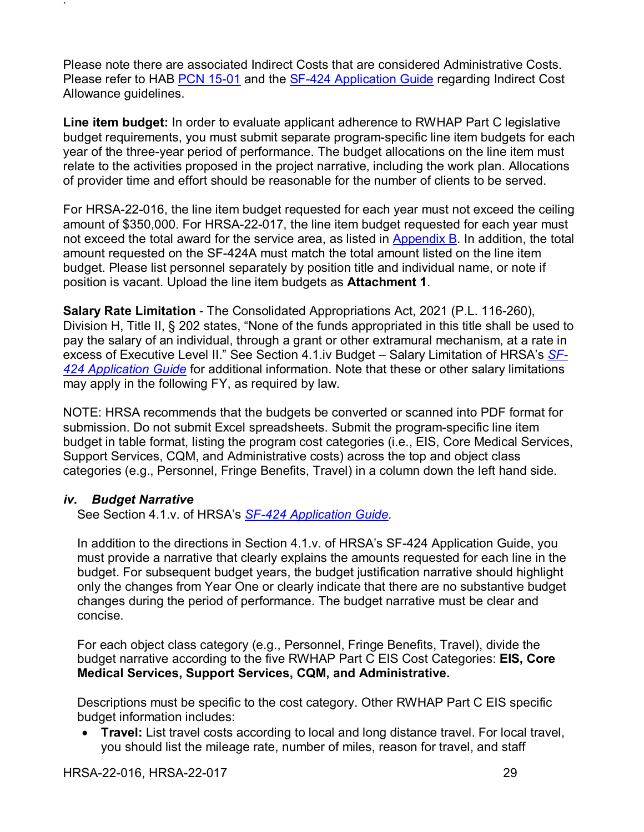Please note there are associated Indirect Costs that are considered Administrative Costs. Please refer to HAB [PCN 15-01](https://hab.hrsa.gov/sites/default/files/hab/Global/HRSA-HAB-PCN15-01.pdf) and the [SF-424 Application Guide](http://www.hrsa.gov/grants/apply/applicationguide/sf424guide.pdf) regarding Indirect Cost Allowance guidelines.

**Line item budget:** In order to evaluate applicant adherence to RWHAP Part C legislative budget requirements, you must submit separate program-specific line item budgets for each year of the three-year period of performance. The budget allocations on the line item must relate to the activities proposed in the project narrative, including the work plan. Allocations of provider time and effort should be reasonable for the number of clients to be served.

For HRSA-22-016, the line item budget requested for each year must not exceed the ceiling amount of \$350,000. For HRSA-22-017, the line item budget requested for each year must not exceed the total award for the service area, as listed in [Appendix B.](#page-55-0) In addition, the total amount requested on the SF-424A must match the total amount listed on the line item budget. Please list personnel separately by position title and individual name, or note if position is vacant. Upload the line item budgets as **Attachment 1**.

**Salary Rate Limitation** - The Consolidated Appropriations Act, 2021 (P.L. 116-260), Division H, Title II, § 202 states, "None of the funds appropriated in this title shall be used to pay the salary of an individual, through a grant or other extramural mechanism, at a rate in excess of Executive Level II." See Section 4.1.iv Budget – Salary Limitation of HRSA's *[SF-](http://www.hrsa.gov/grants/apply/applicationguide/sf424guide.pdf)424 [Application Guide](http://www.hrsa.gov/grants/apply/applicationguide/sf424guide.pdf)* for additional information. Note that these or other salary limitations may apply in the following FY, as required by law.

NOTE: HRSA recommends that the budgets be converted or scanned into PDF format for submission. Do not submit Excel spreadsheets. Submit the program-specific line item budget in table format, listing the program cost categories (i.e., EIS, Core Medical Services, Support Services, CQM, and Administrative costs) across the top and object class categories (e.g., Personnel, Fringe Benefits, Travel) in a column down the left hand side.

### <span id="page-33-0"></span>*iv. Budget Narrative*

`

See Section 4.1.v. of HRSA's *SF-424 [Application Guide.](http://www.hrsa.gov/grants/apply/applicationguide/sf424guide.pdf)*

In addition to the directions in Section 4.1.v. of HRSA's SF-424 Application Guide, you must provide a narrative that clearly explains the amounts requested for each line in the budget. For subsequent budget years, the budget justification narrative should highlight only the changes from Year One or clearly indicate that there are no substantive budget changes during the period of performance. The budget narrative must be clear and concise.

For each object class category (e.g., Personnel, Fringe Benefits, Travel), divide the budget narrative according to the five RWHAP Part C EIS Cost Categories: **EIS, Core Medical Services, Support Services, CQM, and Administrative.**

Descriptions must be specific to the cost category. Other RWHAP Part C EIS specific budget information includes:

• **Travel:** List travel costs according to local and long distance travel. For local travel, you should list the mileage rate, number of miles, reason for travel, and staff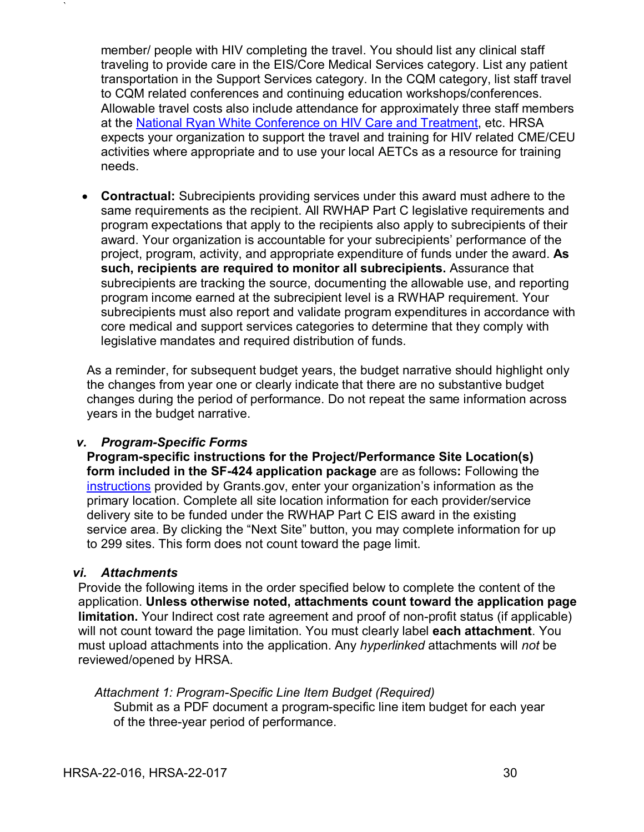member/ people with HIV completing the travel. You should list any clinical staff traveling to provide care in the EIS/Core Medical Services category. List any patient transportation in the Support Services category. In the CQM category, list staff travel to CQM related conferences and continuing education workshops/conferences. Allowable travel costs also include attendance for approximately three staff members at the [National Ryan White Conference on HIV Care and Treatment,](https://ryanwhiteconference.hrsa.gov/) etc. HRSA expects your organization to support the travel and training for HIV related CME/CEU activities where appropriate and to use your local AETCs as a resource for training needs.

• **Contractual:** Subrecipients providing services under this award must adhere to the same requirements as the recipient. All RWHAP Part C legislative requirements and program expectations that apply to the recipients also apply to subrecipients of their award. Your organization is accountable for your subrecipients' performance of the project, program, activity, and appropriate expenditure of funds under the award. **As such, recipients are required to monitor all subrecipients.** Assurance that subrecipients are tracking the source, documenting the allowable use, and reporting program income earned at the subrecipient level is a RWHAP requirement. Your subrecipients must also report and validate program expenditures in accordance with core medical and support services categories to determine that they comply with legislative mandates and required distribution of funds.

As a reminder, for subsequent budget years, the budget narrative should highlight only the changes from year one or clearly indicate that there are no substantive budget changes during the period of performance. Do not repeat the same information across years in the budget narrative.

### <span id="page-34-0"></span>*v. Program-Specific Forms*

**Program-specific instructions for the Project/Performance Site Location(s) form included in the SF-424 application package** are as follows**:** Following the [instructions](https://www.grants.gov/web/grants/applicants/registration.html) provided by Grants.gov, enter your organization's information as the primary location. Complete all site location information for each provider/service delivery site to be funded under the RWHAP Part C EIS award in the existing service area. By clicking the "Next Site" button, you may complete information for up to 299 sites. This form does not count toward the page limit.

### <span id="page-34-1"></span>*vi. Attachments*

`

Provide the following items in the order specified below to complete the content of the application. **Unless otherwise noted, attachments count toward the application page limitation.** Your Indirect cost rate agreement and proof of non-profit status (if applicable) will not count toward the page limitation. You must clearly label **each attachment**. You must upload attachments into the application. Any *hyperlinked* attachments will *not* be reviewed/opened by HRSA.

### *Attachment 1: Program-Specific Line Item Budget (Required)* Submit as a PDF document a program-specific line item budget for each year of the three-year period of performance.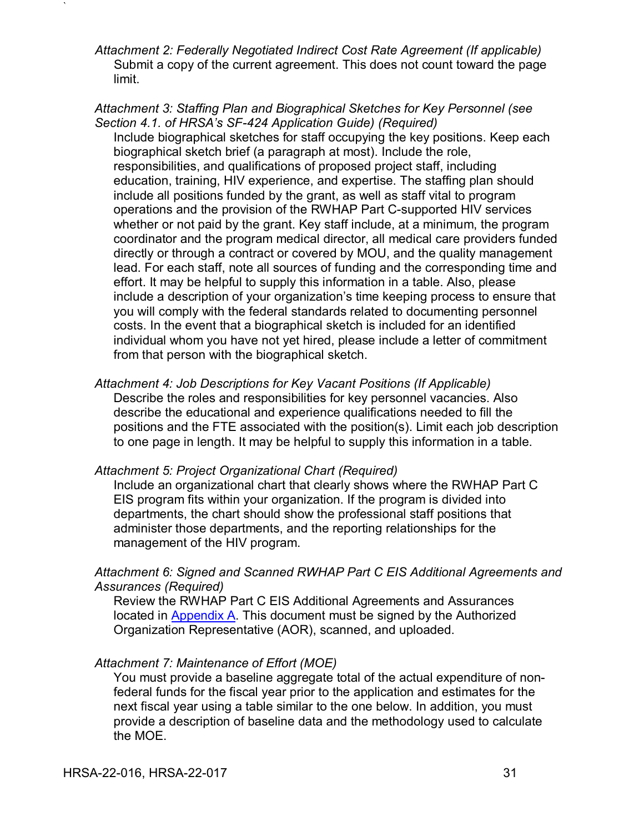*Attachment 2: Federally Negotiated Indirect Cost Rate Agreement (If applicable)*  Submit a copy of the current agreement. This does not count toward the page limit.

*Attachment 3: Staffing Plan and Biographical Sketches for Key Personnel (see Section 4.1. of HRSA's SF-424 Application Guide) (Required)* Include biographical sketches for staff occupying the key positions. Keep each biographical sketch brief (a paragraph at most). Include the role, responsibilities, and qualifications of proposed project staff, including education, training, HIV experience, and expertise. The staffing plan should include all positions funded by the grant, as well as staff vital to program operations and the provision of the RWHAP Part C-supported HIV services whether or not paid by the grant. Key staff include, at a minimum, the program coordinator and the program medical director, all medical care providers funded directly or through a contract or covered by MOU, and the quality management lead. For each staff, note all sources of funding and the corresponding time and effort. It may be helpful to supply this information in a table. Also, please include a description of your organization's time keeping process to ensure that you will comply with the federal standards related to documenting personnel costs. In the event that a biographical sketch is included for an identified individual whom you have not yet hired, please include a letter of commitment from that person with the biographical sketch.

### *Attachment 4: Job Descriptions for Key Vacant Positions (If Applicable)*

Describe the roles and responsibilities for key personnel vacancies. Also describe the educational and experience qualifications needed to fill the positions and the FTE associated with the position(s). Limit each job description to one page in length. It may be helpful to supply this information in a table.

### <span id="page-35-1"></span>*Attachment 5: Project Organizational Chart (Required)*

Include an organizational chart that clearly shows where the RWHAP Part C EIS program fits within your organization. If the program is divided into departments, the chart should show the professional staff positions that administer those departments, and the reporting relationships for the management of the HIV program.

### *Attachment 6: Signed and Scanned RWHAP Part C EIS Additional Agreements and Assurances (Required)*

Review the RWHAP Part C EIS Additional Agreements and Assurances located in [Appendix A.](#page-52-0) This document must be signed by the Authorized Organization Representative (AOR), scanned, and uploaded.

### <span id="page-35-0"></span>*Attachment 7: Maintenance of Effort (MOE)*

You must provide a baseline aggregate total of the actual expenditure of nonfederal funds for the fiscal year prior to the application and estimates for the next fiscal year using a table similar to the one below. In addition, you must provide a description of baseline data and the methodology used to calculate the MOE.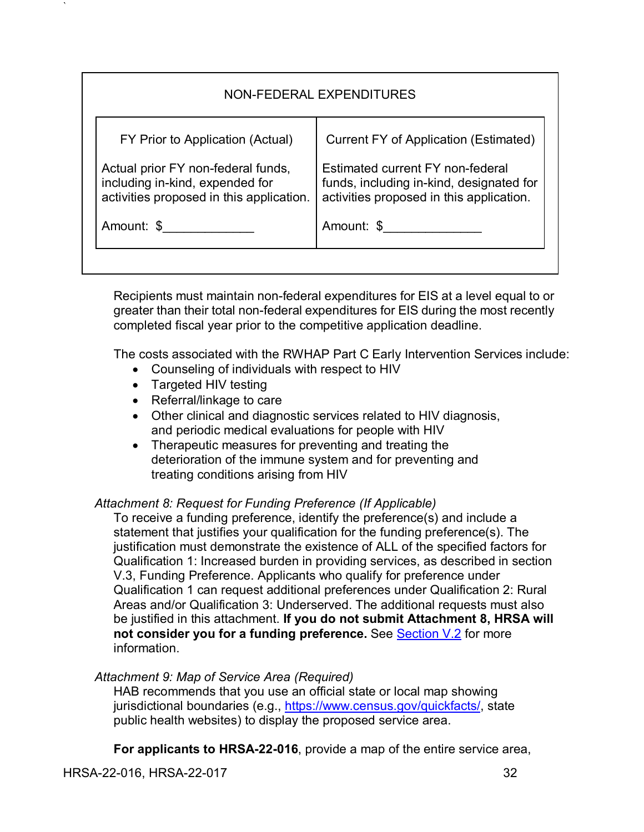| NON-FEDERAL EXPENDITURES                                                                                          |                                                                                                                          |  |  |  |
|-------------------------------------------------------------------------------------------------------------------|--------------------------------------------------------------------------------------------------------------------------|--|--|--|
| FY Prior to Application (Actual)                                                                                  | <b>Current FY of Application (Estimated)</b>                                                                             |  |  |  |
| Actual prior FY non-federal funds,<br>including in-kind, expended for<br>activities proposed in this application. | Estimated current FY non-federal<br>funds, including in-kind, designated for<br>activities proposed in this application. |  |  |  |
| Amount: \$                                                                                                        | Amount: \$                                                                                                               |  |  |  |
|                                                                                                                   |                                                                                                                          |  |  |  |

Recipients must maintain non-federal expenditures for EIS at a level equal to or greater than their total non-federal expenditures for EIS during the most recently completed fiscal year prior to the competitive application deadline.

The costs associated with the RWHAP Part C Early Intervention Services include:

- Counseling of individuals with respect to HIV
- Targeted HIV testing

`

- Referral/linkage to care
- Other clinical and diagnostic services related to HIV diagnosis, and periodic medical evaluations for people with HIV
- Therapeutic measures for preventing and treating the deterioration of the immune system and for preventing and treating conditions arising from HIV

### <span id="page-36-0"></span>*Attachment 8: Request for Funding Preference (If Applicable)*

To receive a funding preference, identify the preference(s) and include a statement that justifies your qualification for the funding preference(s). The justification must demonstrate the existence of ALL of the specified factors for Qualification 1: Increased burden in providing services, as described in section V.3, Funding Preference. Applicants who qualify for preference under Qualification 1 can request additional preferences under Qualification 2: Rural Areas and/or Qualification 3: Underserved. The additional requests must also be justified in this attachment. **If you do not submit Attachment 8, HRSA will not consider you for a funding preference.** See **Section V.2** for more information.

### <span id="page-36-1"></span>*Attachment 9: Map of Service Area (Required)*

HAB recommends that you use an official state or local map showing jurisdictional boundaries (e.g., [https://www.census.gov/quickfacts/,](https://www.census.gov/quickfacts/) state public health websites) to display the proposed service area.

**For applicants to HRSA-22-016**, provide a map of the entire service area,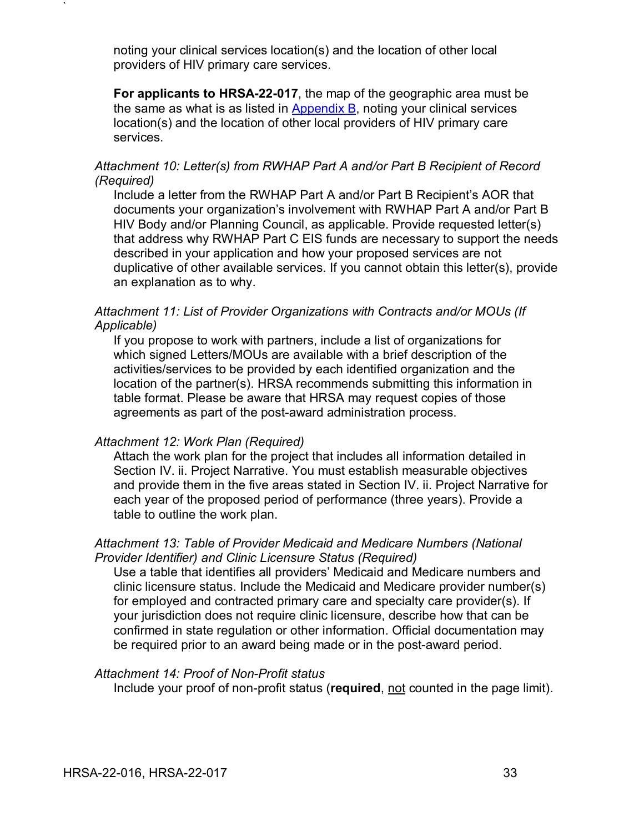noting your clinical services location(s) and the location of other local providers of HIV primary care services.

**For applicants to HRSA-22-017**, the map of the geographic area must be the same as what is as listed in [Appendix B,](#page-55-0) noting your clinical services location(s) and the location of other local providers of HIV primary care services.

### <span id="page-37-1"></span>*Attachment 10: Letter(s) from RWHAP Part A and/or Part B Recipient of Record (Required)*

Include a letter from the RWHAP Part A and/or Part B Recipient's AOR that documents your organization's involvement with RWHAP Part A and/or Part B HIV Body and/or Planning Council, as applicable. Provide requested letter(s) that address why RWHAP Part C EIS funds are necessary to support the needs described in your application and how your proposed services are not duplicative of other available services. If you cannot obtain this letter(s), provide an explanation as to why.

### *Attachment 11: List of Provider Organizations with Contracts and/or MOUs (If Applicable)*

If you propose to work with partners, include a list of organizations for which signed Letters/MOUs are available with a brief description of the activities/services to be provided by each identified organization and the location of the partner(s). HRSA recommends submitting this information in table format. Please be aware that HRSA may request copies of those agreements as part of the post-award administration process.

### <span id="page-37-2"></span>*Attachment 12: Work Plan (Required)*

`

Attach the work plan for the project that includes all information detailed in Section IV. ii. Project Narrative. You must establish measurable objectives and provide them in the five areas stated in Section IV. ii. Project Narrative for each year of the proposed period of performance (three years). Provide a table to outline the work plan.

### <span id="page-37-0"></span>*Attachment 13: Table of Provider Medicaid and Medicare Numbers (National Provider Identifier) and Clinic Licensure Status (Required)*

Use a table that identifies all providers' Medicaid and Medicare numbers and clinic licensure status. Include the Medicaid and Medicare provider number(s) for employed and contracted primary care and specialty care provider(s). If your jurisdiction does not require clinic licensure, describe how that can be confirmed in state regulation or other information. Official documentation may be required prior to an award being made or in the post-award period.

### *Attachment 14: Proof of Non-Profit status*

Include your proof of non-profit status (**required**, not counted in the page limit).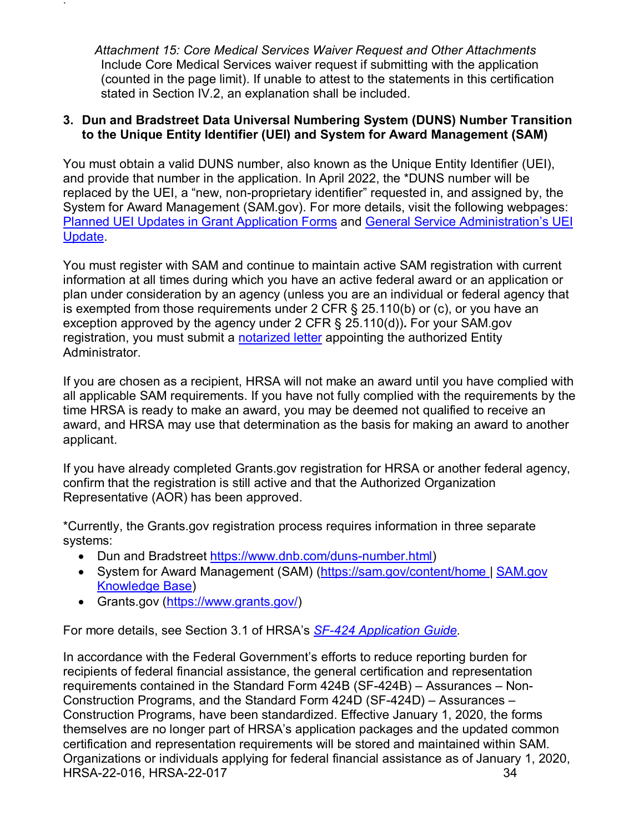<span id="page-38-1"></span>*Attachment 15: Core Medical Services Waiver Request and Other Attachments* Include Core Medical Services waiver request if submitting with the application (counted in the page limit). If unable to attest to the statements in this certification stated in Section IV.2, an explanation shall be included.

### <span id="page-38-0"></span>**3. Dun and Bradstreet Data Universal Numbering System (DUNS) Number Transition to the Unique Entity Identifier (UEI) and System for Award Management (SAM)**

You must obtain a valid DUNS number, also known as the Unique Entity Identifier (UEI), and provide that number in the application. In April 2022, the \*DUNS number will be replaced by the UEI, a "new, non-proprietary identifier" requested in, and assigned by, the System for Award Management (SAM.gov). For more details, visit the following webpages: [Planned UEI Updates in Grant Application Forms](https://www.grants.gov/web/grants/forms/planned-uei-updates.html) and [General Service Administration's](https://www.gsa.gov/entityid) UEI [Update.](https://www.gsa.gov/entityid)

You must register with SAM and continue to maintain active SAM registration with current information at all times during which you have an active federal award or an application or plan under consideration by an agency (unless you are an individual or federal agency that is exempted from those requirements under 2 CFR § 25.110(b) or (c), or you have an exception approved by the agency under 2 CFR § 25.110(d))**.** For your SAM.gov registration, you must submit a **notarized letter** appointing the authorized Entity Administrator.

If you are chosen as a recipient, HRSA will not make an award until you have complied with all applicable SAM requirements. If you have not fully complied with the requirements by the time HRSA is ready to make an award, you may be deemed not qualified to receive an award, and HRSA may use that determination as the basis for making an award to another applicant.

If you have already completed Grants.gov registration for HRSA or another federal agency, confirm that the registration is still active and that the Authorized Organization Representative (AOR) has been approved.

\*Currently, the Grants.gov registration process requires information in three separate systems:

- Dun and Bradstreet [https://www.dnb.com/duns-number.html\)](https://www.dnb.com/duns-number.html)
- System for Award Management (SAM) [\(https://sam.gov/content/home](https://sam.gov/content/home) | SAM.gov [Knowledge Base\)](https://www.fsd.gov/gsafsd_sp?id=gsa_kb_view2&kb_id=f66d8e6cdb76d4100d73f81d0f9619c6)
- Grants.gov [\(https://www.grants.gov/\)](https://www.grants.gov/)

`

For more details, see Section 3.1 of HRSA's *SF-424 [Application Guide.](http://www.hrsa.gov/grants/apply/applicationguide/sf424guide.pdf)*

HRSA-22-016, HRSA-22-017 34 In accordance with the Federal Government's efforts to reduce reporting burden for recipients of federal financial assistance, the general certification and representation requirements contained in the Standard Form 424B (SF-424B) – Assurances – Non-Construction Programs, and the Standard Form 424D (SF-424D) – Assurances – Construction Programs, have been standardized. Effective January 1, 2020, the forms themselves are no longer part of HRSA's application packages and the updated common certification and representation requirements will be stored and maintained within SAM. Organizations or individuals applying for federal financial assistance as of January 1, 2020,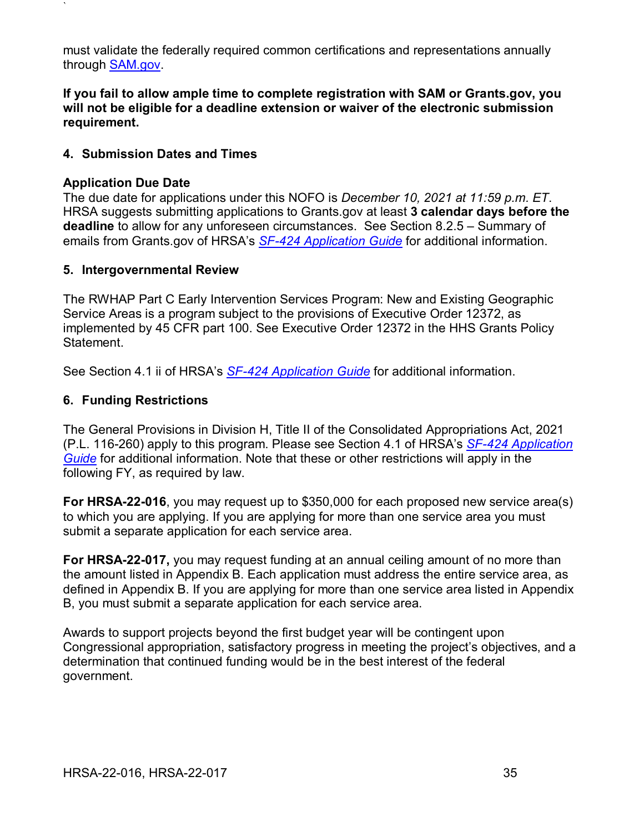must validate the federally required common certifications and representations annually through [SAM.gov.](https://www.sam.gov/)

**If you fail to allow ample time to complete registration with SAM or Grants.gov, you will not be eligible for a deadline extension or waiver of the electronic submission requirement.**

### <span id="page-39-0"></span>**4. Submission Dates and Times**

### **Application Due Date**

`

The due date for applications under this NOFO is *December 10, 2021 at 11:59 p.m. ET*. HRSA suggests submitting applications to Grants.gov at least **3 calendar days before the deadline** to allow for any unforeseen circumstances. See Section 8.2.5 – Summary of emails from Grants.gov of HRSA's *[SF-424 Application Guide](http://www.hrsa.gov/grants/apply/applicationguide/sf424guide.pdf)* for additional information.

### <span id="page-39-1"></span>**5. Intergovernmental Review**

The RWHAP Part C Early Intervention Services Program: New and Existing Geographic Service Areas is a program subject to the provisions of Executive Order 12372, as implemented by 45 CFR part 100. See Executive Order 12372 in the HHS Grants Policy Statement.

See Section 4.1 ii of HRSA's *SF-424 [Application Guide](http://www.hrsa.gov/grants/apply/applicationguide/sf424guide.pdf)* for additional information.

### <span id="page-39-2"></span>**6. Funding Restrictions**

The General Provisions in Division H, Title II of the Consolidated Appropriations Act, 2021 (P.L. 116-260) apply to this program. Please see Section 4.1 of HRSA's *SF-424 [Application](http://www.hrsa.gov/grants/apply/applicationguide/sf424guide.pdf)  [Guide](http://www.hrsa.gov/grants/apply/applicationguide/sf424guide.pdf)* for additional information. Note that these or other restrictions will apply in the following FY, as required by law.

**For HRSA-22-016**, you may request up to \$350,000 for each proposed new service area(s) to which you are applying. If you are applying for more than one service area you must submit a separate application for each service area.

**For HRSA-22-017,** you may request funding at an annual ceiling amount of no more than the amount listed in Appendix B. Each application must address the entire service area, as defined in Appendix B. If you are applying for more than one service area listed in Appendix B, you must submit a separate application for each service area.

Awards to support projects beyond the first budget year will be contingent upon Congressional appropriation, satisfactory progress in meeting the project's objectives, and a determination that continued funding would be in the best interest of the federal government.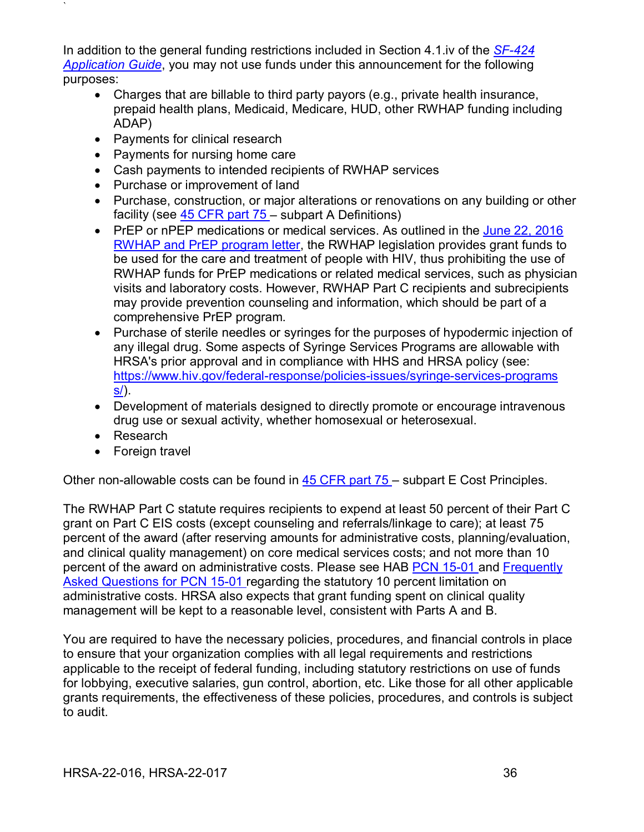In addition to the general funding restrictions included in Section 4.1.iv of the *[SF-424](http://www.hrsa.gov/grants/apply/applicationguide/sf424guide.pdf) [Application Guide](http://www.hrsa.gov/grants/apply/applicationguide/sf424guide.pdf)*, you may not use funds under this announcement for the following purposes:

- Charges that are billable to third party payors (e.g., private health insurance, prepaid health plans, Medicaid, Medicare, HUD, other RWHAP funding including ADAP)
- Payments for clinical research

`

- Payments for nursing home care
- Cash payments to intended recipients of RWHAP services
- Purchase or improvement of land
- Purchase, construction, or major alterations or renovations on any building or other facility (see [45 CFR part 75 –](http://www.ecfr.gov/cgi-bin/retrieveECFR?gp=1&SID=4d52364ec83fab994c665943dadf9cf7&ty=HTML&h=L&r=PART&n=pt45.1.75) subpart A Definitions)
- PrEP or nPEP medications or medical services. As outlined in the [June 22, 2016](http://hab.hrsa.gov/sites/default/files/hab/Global/prepletter062216_0.pdf) [RWHAP and PrEP program letter,](http://hab.hrsa.gov/sites/default/files/hab/Global/prepletter062216_0.pdf) the RWHAP legislation provides grant funds to be used for the care and treatment of people with HIV, thus prohibiting the use of RWHAP funds for PrEP medications or related medical services, such as physician visits and laboratory costs. However, RWHAP Part C recipients and subrecipients may provide prevention counseling and information, which should be part of a comprehensive PrEP program.
- Purchase of sterile needles or syringes for the purposes of hypodermic injection of any illegal drug. Some aspects of Syringe Services Programs are allowabl[e with](https://www.aids.gov/federal-resources/policies/syringe-services-programs/)  HRSA's prior approval and in compliance with HHS and HRSA policy (see: [https://www.hiv.gov/federal-response/policies-issues/syringe-services-programs](https://www.aids.gov/federal-resources/policies/syringe-services-programs/)  $s$ ).
- Development of materials designed to directly promote or encourage intravenous drug use or sexual activity, whether homosexual or heterosexual.
- Research
- Foreign travel

Other non-allowable costs can be found in [45 CFR part 75 –](http://www.ecfr.gov/cgi-bin/retrieveECFR?gp=1&SID=4d52364ec83fab994c665943dadf9cf7&ty=HTML&h=L&r=PART&n=pt45.1.75) subpart E Cost Principles.

The RWHAP Part C statute requires recipients to expend at least 50 percent of their Part C grant on Part C EIS costs (except counseling and referrals/linkage to care); at least 75 percent of the award (after reserving amounts for administrative costs, planning/evaluation, and clinical quality management) on core medical services costs; and not more than 10 percent of the award on administrative costs. Please see HAB [PCN 15-01 a](https://hab.hrsa.gov/sites/default/files/hab/Global/HRSA-HAB-PCN15-01.pdf)nd [Frequently](http://hab.hrsa.gov/sites/default/files/hab/Global/faqpolicyclarificationnotice15-01.pdf)  [Asked Questions for PCN 15-01 r](http://hab.hrsa.gov/sites/default/files/hab/Global/faqpolicyclarificationnotice15-01.pdf)egarding the statutory 10 percent limitation on administrative costs. HRSA also expects that grant funding spent on clinical quality management will be kept to a reasonable level, consistent with Parts A and B.

You are required to have the necessary policies, procedures, and financial controls in place to ensure that your organization complies with all legal requirements and restrictions applicable to the receipt of federal funding, including statutory restrictions on use of funds for lobbying, executive salaries, gun control, abortion, etc. Like those for all other applicable grants requirements, the effectiveness of these policies, procedures, and controls is subject to audit.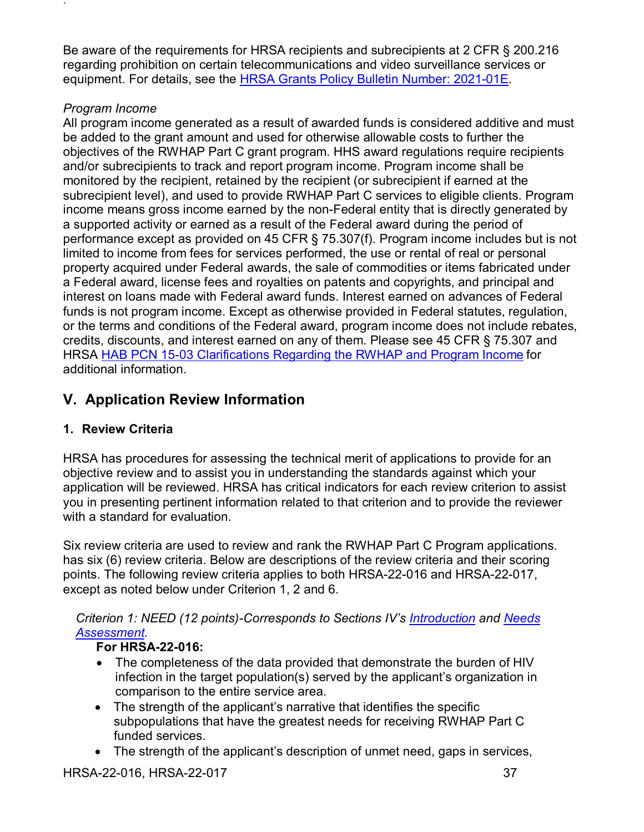Be aware of the requirements for HRSA recipients and subrecipients at 2 CFR § 200.216 regarding prohibition on certain telecommunications and video surveillance services or equipment. For details, see the [HRSA Grants Policy Bulletin Number: 2021-01E.](https://www.hrsa.gov/sites/default/files/hrsa/grants/manage/grants-policy-bulletin-2021.pdf)

## *Program Income*

`

All program income generated as a result of awarded funds is considered additive and must be added to the grant amount and used for otherwise allowable costs to further the objectives of the RWHAP Part C grant program. HHS award regulations require recipients and/or subrecipients to track and report program income. Program income shall be monitored by the recipient, retained by the recipient (or subrecipient if earned at the subrecipient level), and used to provide RWHAP Part C services to eligible clients. Program income means gross income earned by the non-Federal entity that is directly generated by a supported activity or earned as a result of the Federal award during the period of performance except as provided on 45 CFR § 75.307(f). Program income includes but is not limited to income from fees for services performed, the use or rental of real or personal property acquired under Federal awards, the sale of commodities or items fabricated under a Federal award, license fees and royalties on patents and copyrights, and principal and interest on loans made with Federal award funds. Interest earned on advances of Federal funds is not program income. Except as otherwise provided in Federal statutes, regulation, or the terms and conditions of the Federal award, program income does not include rebates, credits, discounts, and interest earned on any of them. Please see 45 CFR § 75.307 and HRSA [HAB PCN 15-03 Clarifications Regarding the RWHAP and Program Income](http://hab.hrsa.gov/sites/default/files/hab/Global/pcn_15-03_program_income.pdf) for additional information.

# <span id="page-41-0"></span>**V. Application Review Information**

## <span id="page-41-1"></span>**1. Review Criteria**

HRSA has procedures for assessing the technical merit of applications to provide for an objective review and to assist you in understanding the standards against which your application will be reviewed. HRSA has critical indicators for each review criterion to assist you in presenting pertinent information related to that criterion and to provide the reviewer with a standard for evaluation.

Six review criteria are used to review and rank the RWHAP Part C Program applications. has six (6) review criteria. Below are descriptions of the review criteria and their scoring points. The following review criteria applies to both HRSA-22-016 and HRSA-22-017, except as noted below under Criterion 1, 2 and 6.

## <span id="page-41-2"></span>*Criterion 1: NEED (12 points)-Corresponds to Sections IV's [Introduction](#page-21-1) and [Needs](#page-22-0)  [Assessment.](#page-22-0)*

## **For HRSA-22-016:**

- The completeness of the data provided that demonstrate the burden of HIV infection in the target population(s) served by the applicant's organization in comparison to the entire service area.
- The strength of the applicant's narrative that identifies the specific subpopulations that have the greatest needs for receiving RWHAP Part C funded services.
- The strength of the applicant's description of unmet need, gaps in services,

HRSA-22-016, HRSA-22-017 37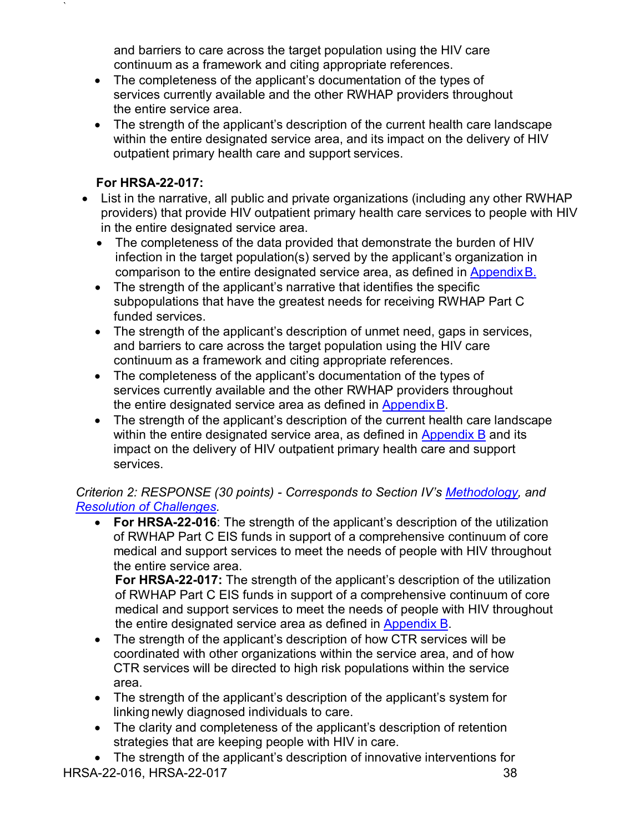and barriers to care across the target population using the HIV care continuum as a framework and citing appropriate references.

- The completeness of the applicant's documentation of the types of services currently available and the other RWHAP providers throughout the entire service area.
- The strength of the applicant's description of the current health care landscape within the entire designated service area, and its impact on the delivery of HIV outpatient primary health care and support services.

### **For HRSA-22-017:**

`

- List in the narrative, all public and private organizations (including any other RWHAP providers) that provide HIV outpatient primary health care services to people with HIV in the entire designated service area.
	- The completeness of the data provided that demonstrate the burden of HIV infection in the target population(s) served by the applicant's organization in comparison to the entire designated service area, as defined in [AppendixB.](#page-55-0)
	- The strength of the applicant's narrative that identifies the specific subpopulations that have the greatest needs for receiving RWHAP Part C funded services.
	- The strength of the applicant's description of unmet need, gaps in services, and barriers to care across the target population using the HIV care continuum as a framework and citing appropriate references.
	- The completeness of the applicant's documentation of the types of services currently available and the other RWHAP providers throughout the entire designated service area as defined in [AppendixB.](#page-55-0)
	- The strength of the applicant's description of the current health care landscape within the entire designated service area, as defined in [Appendix B](#page-55-0) and its impact on the delivery of HIV outpatient primary health care and support services.

### <span id="page-42-0"></span>*Criterion 2: RESPONSE (30 points) - Corresponds to Section IV's [Methodology,](#page-24-0) and [Resolution of Challenges.](#page-28-0)*

**For HRSA-22-016:** The strength of the applicant's description of the utilization of RWHAP Part C EIS funds in support of a comprehensive continuum of core medical and support services to meet the needs of people with HIV throughout the entire service area.

**For HRSA-22-017:** The strength of the applicant's description of the utilization of RWHAP Part C EIS funds in support of a comprehensive continuum of core medical and support services to meet the needs of people with HIV throughout the entire designated service area as defined in [Appendix](#page-55-0) B.

- The strength of the applicant's description of how CTR services will be coordinated with other organizations within the service area, and of how CTR services will be directed to high risk populations within the service area.
- The strength of the applicant's description of the applicant's system for linking newly diagnosed individuals to care.
- The clarity and completeness of the applicant's description of retention strategies that are keeping people with HIV in care.

HRSA-22-016, HRSA-22-017 38 • The strength of the applicant's description of innovative interventions for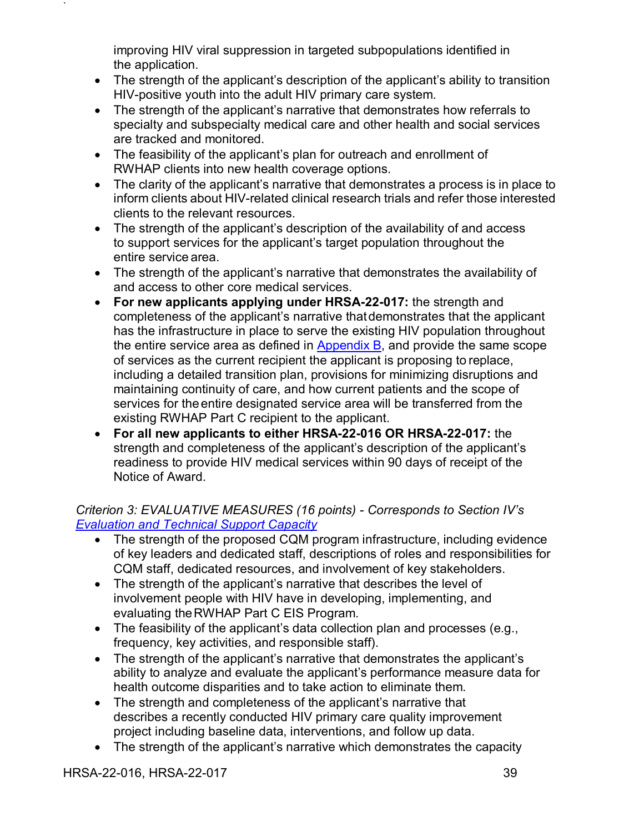improving HIV viral suppression in targeted subpopulations identified in the application.

- The strength of the applicant's description of the applicant's ability to transition HIV-positive youth into the adult HIV primary care system.
- The strength of the applicant's narrative that demonstrates how referrals to specialty and subspecialty medical care and other health and social services are tracked and monitored.
- The feasibility of the applicant's plan for outreach and enrollment of RWHAP clients into new health coverage options.
- The clarity of the applicant's narrative that demonstrates a process is in place to inform clients about HIV-related clinical research trials and refer those interested clients to the relevant resources.
- The strength of the applicant's description of the availability of and access to support services for the applicant's target population throughout the entire service area.
- The strength of the applicant's narrative that demonstrates the availability of and access to other core medical services.
- **For new applicants applying under HRSA-22-017:** the strength and completeness of the applicant's narrative thatdemonstrates that the applicant has the infrastructure in place to serve the existing HIV population throughout the entire service area as defined in [Appendix B,](#page-55-0) and provide the same scope of services as the current recipient the applicant is proposing to replace, including a detailed transition plan, provisions for minimizing disruptions and maintaining continuity of care, and how current patients and the scope of services for theentire designated service area will be transferred from the existing RWHAP Part C recipient to the applicant.
- **For all new applicants to either HRSA-22-016 OR HRSA-22-017:** the strength and completeness of the applicant's description of the applicant's readiness to provide HIV medical services within 90 days of receipt of the Notice of Award.

## <span id="page-43-0"></span>*Criterion 3: EVALUATIVE MEASURES (16 points) - Corresponds to Section IV's [Evaluation and Technical Support Capacity](#page-29-0)*

- The strength of the proposed CQM program infrastructure, including evidence of key leaders and dedicated staff, descriptions of roles and responsibilities for CQM staff, dedicated resources, and involvement of key stakeholders.
- The strength of the applicant's narrative that describes the level of involvement people with HIV have in developing, implementing, and evaluating theRWHAP Part C EIS Program.
- The feasibility of the applicant's data collection plan and processes (e.g., frequency, key activities, and responsible staff).
- The strength of the applicant's narrative that demonstrates the applicant's ability to analyze and evaluate the applicant's performance measure data for health outcome disparities and to take action to eliminate them.
- The strength and completeness of the applicant's narrative that describes a recently conducted HIV primary care quality improvement project including baseline data, interventions, and follow up data.
- The strength of the applicant's narrative which demonstrates the capacity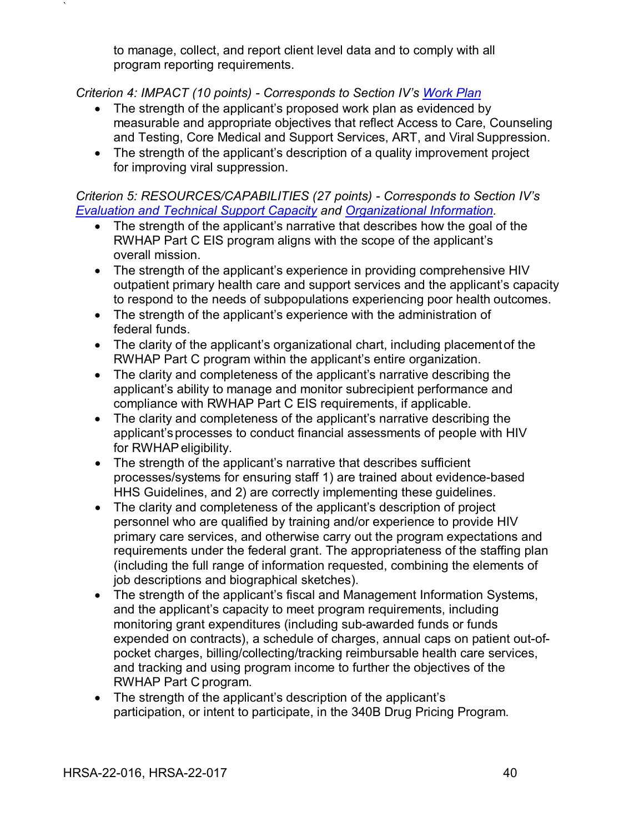to manage, collect, and report client level data and to comply with all program reporting requirements.

### <span id="page-44-0"></span>*Criterion 4: IMPACT (10 points) - Corresponds to Section IV's [Work Plan](#page-27-0)*

`

- The strength of the applicant's proposed work plan as evidenced by measurable and appropriate objectives that reflect Access to Care, Counseling and Testing, Core Medical and Support Services, ART, and Viral Suppression.
- The strength of the applicant's description of a quality improvement project for improving viral suppression.

*Criterion 5: RESOURCES/CAPABILITIES (27 points) - Corresponds to Section IV's [Evaluation and Technical Support Capacity](#page-29-0) and [Organizational Information.](#page-30-1)*

- The strength of the applicant's narrative that describes how the goal of the RWHAP Part C EIS program aligns with the scope of the applicant's overall mission.
- The strength of the applicant's experience in providing comprehensive HIV outpatient primary health care and support services and the applicant's capacity to respond to the needs of subpopulations experiencing poor health outcomes.
- The strength of the applicant's experience with the administration of federal funds.
- The clarity of the applicant's organizational chart, including placementof the RWHAP Part C program within the applicant's entire organization.
- The clarity and completeness of the applicant's narrative describing the applicant's ability to manage and monitor subrecipient performance and compliance with RWHAP Part C EIS requirements, if applicable.
- The clarity and completeness of the applicant's narrative describing the applicant'sprocesses to conduct financial assessments of people with HIV for RWHAP eligibility.
- The strength of the applicant's narrative that describes sufficient processes/systems for ensuring staff 1) are trained about evidence-based HHS Guidelines, and 2) are correctly implementing these guidelines.
- The clarity and completeness of the applicant's description of project personnel who are qualified by training and/or experience to provide HIV primary care services, and otherwise carry out the program expectations and requirements under the federal grant. The appropriateness of the staffing plan (including the full range of information requested, combining the elements of job descriptions and biographical sketches).
- The strength of the applicant's fiscal and Management Information Systems, and the applicant's capacity to meet program requirements, including monitoring grant expenditures (including sub-awarded funds or funds expended on contracts), a schedule of charges, annual caps on patient out-ofpocket charges, billing/collecting/tracking reimbursable health care services, and tracking and using program income to further the objectives of the RWHAP Part C program.
- The strength of the applicant's description of the applicant's participation, or intent to participate, in the 340B Drug Pricing Program.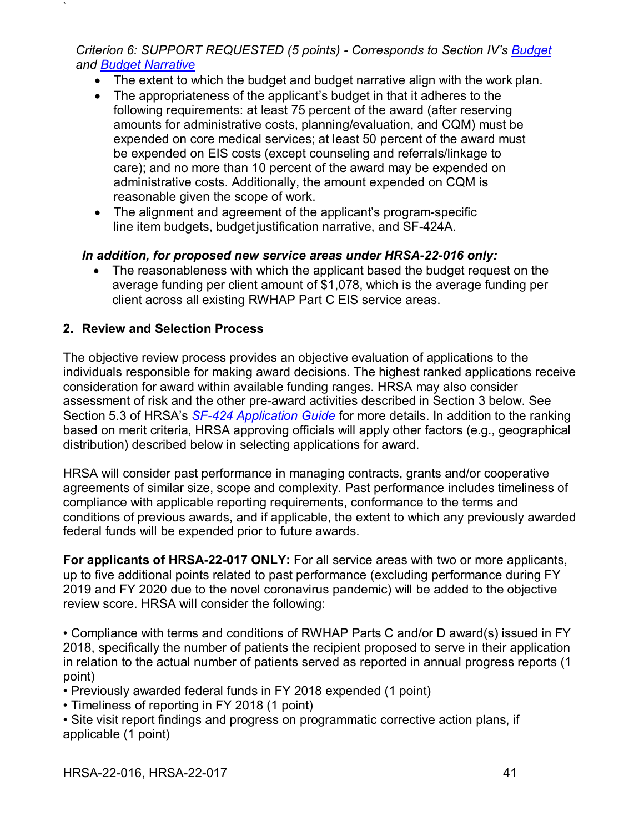<span id="page-45-1"></span>*Criterion 6: SUPPORT REQUESTED (5 points) - Corresponds to Section IV's [Budget](#page-30-0) and [Budget Narrative](#page-33-0)*

- The extent to which the budget and budget narrative align with the work plan.
- The appropriateness of the applicant's budget in that it adheres to the following requirements: at least 75 percent of the award (after reserving amounts for administrative costs, planning/evaluation, and CQM) must be expended on core medical services; at least 50 percent of the award must be expended on EIS costs (except counseling and referrals/linkage to care); and no more than 10 percent of the award may be expended on administrative costs. Additionally, the amount expended on CQM is reasonable given the scope of work.
- The alignment and agreement of the applicant's program-specific line item budgets, budgetjustification narrative, and SF-424A.

## *In addition, for proposed new service areas under HRSA-22-016 only:*

• The reasonableness with which the applicant based the budget request on the average funding per client amount of \$1,078, which is the average funding per client across all existing RWHAP Part C EIS service areas.

## <span id="page-45-0"></span>**2. Review and Selection Process**

`

The objective review process provides an objective evaluation of applications to the individuals responsible for making award decisions. The highest ranked applications receive consideration for award within available funding ranges. HRSA may also consider assessment of risk and the other pre-award activities described in Section 3 below. See Section 5.3 of HRSA's *SF-424 [Application Guide](http://www.hrsa.gov/grants/apply/applicationguide/sf424guide.pdf)* for more details. In addition to the ranking based on merit criteria, HRSA approving officials will apply other factors (e.g., geographical distribution) described below in selecting applications for award.

HRSA will consider past performance in managing contracts, grants and/or cooperative agreements of similar size, scope and complexity. Past performance includes timeliness of compliance with applicable reporting requirements, conformance to the terms and conditions of previous awards, and if applicable, the extent to which any previously awarded federal funds will be expended prior to future awards.

**For applicants of HRSA-22-017 ONLY:** For all service areas with two or more applicants, up to five additional points related to past performance (excluding performance during FY 2019 and FY 2020 due to the novel coronavirus pandemic) will be added to the objective review score. HRSA will consider the following:

• Compliance with terms and conditions of RWHAP Parts C and/or D award(s) issued in FY 2018, specifically the number of patients the recipient proposed to serve in their application in relation to the actual number of patients served as reported in annual progress reports (1 point)

- Previously awarded federal funds in FY 2018 expended (1 point)
- Timeliness of reporting in FY 2018 (1 point)

• Site visit report findings and progress on programmatic corrective action plans, if applicable (1 point)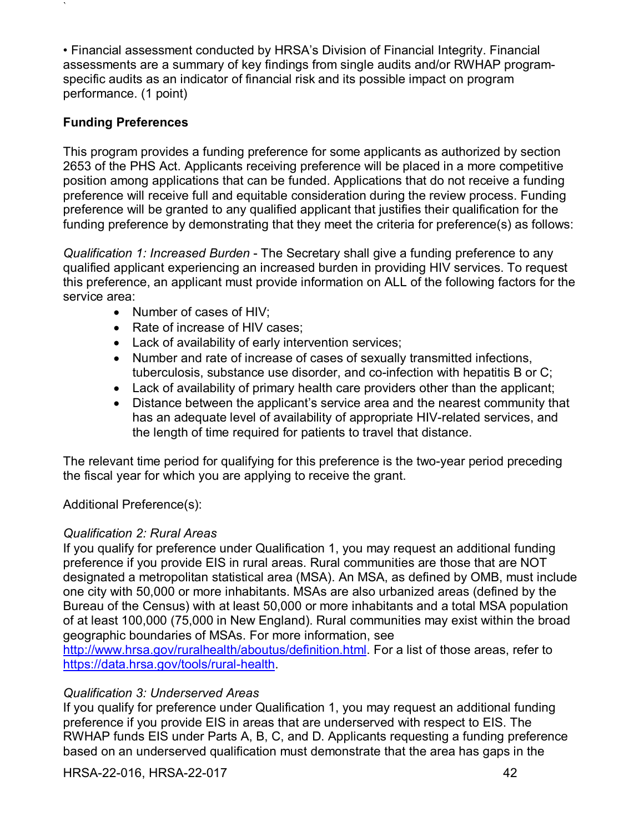• Financial assessment conducted by HRSA's Division of Financial Integrity. Financial assessments are a summary of key findings from single audits and/or RWHAP programspecific audits as an indicator of financial risk and its possible impact on program performance. (1 point)

### **Funding Preferences**

`

This program provides a funding preference for some applicants as authorized by section 2653 of the PHS Act. Applicants receiving preference will be placed in a more competitive position among applications that can be funded. Applications that do not receive a funding preference will receive full and equitable consideration during the review process. Funding preference will be granted to any qualified applicant that justifies their qualification for the funding preference by demonstrating that they meet the criteria for preference(s) as follows:

*Qualification 1: Increased Burden* - The Secretary shall give a funding preference to any qualified applicant experiencing an increased burden in providing HIV services. To request this preference, an applicant must provide information on ALL of the following factors for the service area:

- Number of cases of HIV;
- Rate of increase of HIV cases;
- Lack of availability of early intervention services;
- Number and rate of increase of cases of sexually transmitted infections, tuberculosis, substance use disorder, and co-infection with hepatitis B or C;
- Lack of availability of primary health care providers other than the applicant;
- Distance between the applicant's service area and the nearest community that has an adequate level of availability of appropriate HIV-related services, and the length of time required for patients to travel that distance.

The relevant time period for qualifying for this preference is the two-year period preceding the fiscal year for which you are applying to receive the grant.

Additional Preference(s):

### *Qualification 2: Rural Areas*

If you qualify for preference under Qualification 1, you may request an additional funding preference if you provide EIS in rural areas. Rural communities are those that are NOT designated a metropolitan statistical area (MSA). An MSA, as defined by OMB, must include one city with 50,000 or more inhabitants. MSAs are also urbanized areas (defined by the Bureau of the Census) with at least 50,000 or more inhabitants and a total MSA population of at least 100,000 (75,000 in New England). Rural communities may exist within the broad geographic boundaries of MSAs. For more information, see

[http://www.hrsa.gov/ruralhealth/aboutus/definition.html.](http://www.hrsa.gov/ruralhealth/aboutus/definition.html) For a list of those areas, refer to [https://data.hrsa.gov/tools/rural-health.](https://data.hrsa.gov/tools/rural-health)

### *Qualification 3: Underserved Areas*

If you qualify for preference under Qualification 1, you may request an additional funding preference if you provide EIS in areas that are underserved with respect to EIS. The RWHAP funds EIS under Parts A, B, C, and D. Applicants requesting a funding preference based on an underserved qualification must demonstrate that the area has gaps in the

HRSA-22-016, HRSA-22-017 42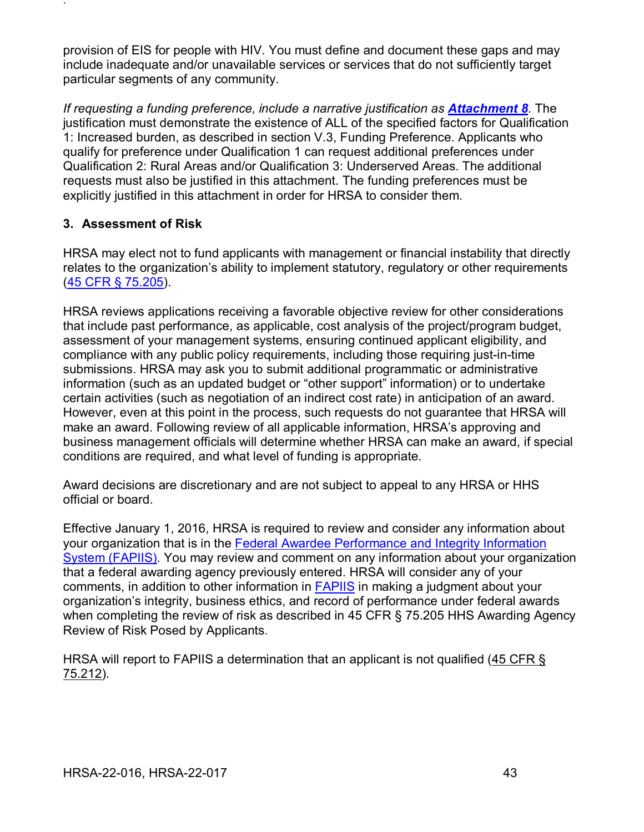provision of EIS for people with HIV. You must define and document these gaps and may include inadequate and/or unavailable services or services that do not sufficiently target particular segments of any community.

*If requesting a funding preference, include a narrative justification as [Attachment 8](#page-36-0). The* justification must demonstrate the existence of ALL of the specified factors for Qualification 1: Increased burden, as described in section V.3, Funding Preference. Applicants who qualify for preference under Qualification 1 can request additional preferences under Qualification 2: Rural Areas and/or Qualification 3: Underserved Areas. The additional requests must also be justified in this attachment. The funding preferences must be explicitly justified in this attachment in order for HRSA to consider them.

## <span id="page-47-0"></span>**3. Assessment of Risk**

`

HRSA may elect not to fund applicants with management or financial instability that directly relates to the organization's ability to implement statutory, regulatory or other requirements [\(45 CFR § 75.205\)](https://www.ecfr.gov/cgi-bin/retrieveECFR?gp=1&SID=4d52364ec83fab994c665943dadf9cf7&ty=HTML&h=L&r=PART&n=pt45.1.75).

HRSA reviews applications receiving a favorable objective review for other considerations that include past performance, as applicable, cost analysis of the project/program budget, assessment of your management systems, ensuring continued applicant eligibility, and compliance with any public policy requirements, including those requiring just-in-time submissions. HRSA may ask you to submit additional programmatic or administrative information (such as an updated budget or "other support" information) or to undertake certain activities (such as negotiation of an indirect cost rate) in anticipation of an award. However, even at this point in the process, such requests do not guarantee that HRSA will make an award. Following review of all applicable information, HRSA's approving and business management officials will determine whether HRSA can make an award, if special conditions are required, and what level of funding is appropriate.

Award decisions are discretionary and are not subject to appeal to any HRSA or HHS official or board.

Effective January 1, 2016, HRSA is required to review and consider any information about your organization that is in the [Federal Awardee Performance and Integrity Information](https://www.fapiis.gov/)  [System \(FAPIIS\).](https://www.fapiis.gov/) You may review and comment on any information about your organization that a federal awarding agency previously entered. HRSA will consider any of your comments, in addition to other information in [FAPIIS](https://www.fapiis.gov/) in making a judgment about your organization's integrity, business ethics, and record of performance under federal awards when completing the review of risk as described in [45 CFR § 75.205 HHS Awarding Agency](https://www.ecfr.gov/cgi-bin/retrieveECFR?gp=1&SID=4d52364ec83fab994c665943dadf9cf7&ty=HTML&h=L&r=PART&n=pt45.1.75)  [Review of Risk Posed by Applicants.](https://www.ecfr.gov/cgi-bin/retrieveECFR?gp=1&SID=4d52364ec83fab994c665943dadf9cf7&ty=HTML&h=L&r=PART&n=pt45.1.75)

HRSA will report to FAPIIS a determination that an applicant is not qualified [\(45 CFR §](https://www.ecfr.gov/cgi-bin/retrieveECFR?gp=1&SID=4d52364ec83fab994c665943dadf9cf7&ty=HTML&h=L&r=PART&n=pt45.1.75)  [75.212\)](https://www.ecfr.gov/cgi-bin/retrieveECFR?gp=1&SID=4d52364ec83fab994c665943dadf9cf7&ty=HTML&h=L&r=PART&n=pt45.1.75).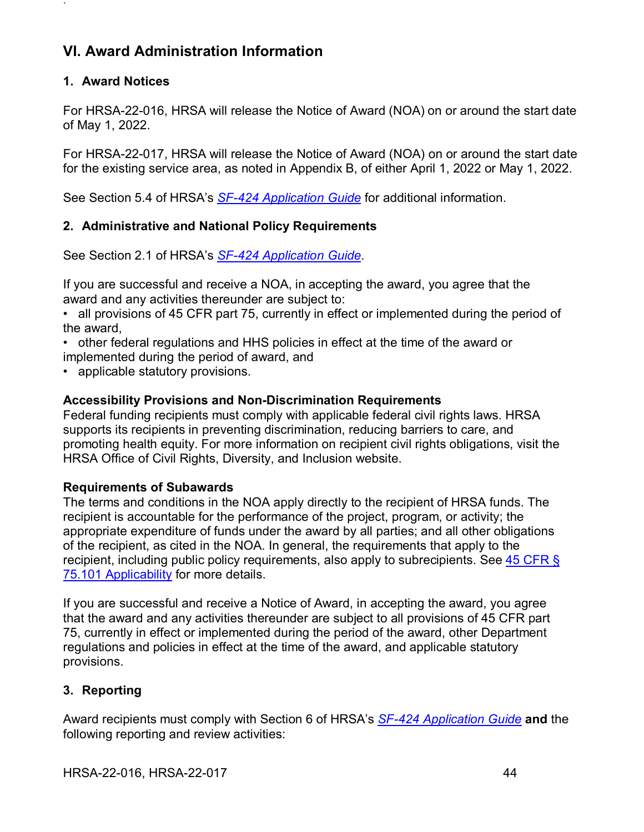# <span id="page-48-0"></span>**VI. Award Administration Information**

### <span id="page-48-1"></span>**1. Award Notices**

`

For HRSA-22-016, HRSA will release the Notice of Award (NOA) on or around the start date of May 1, 2022.

For HRSA-22-017, HRSA will release the Notice of Award (NOA) on or around the start date for the existing service area, as noted in Appendix B, of either April 1, 2022 or May 1, 2022.

See Section 5.4 of HRSA's *SF-424 [Application Guide](http://www.hrsa.gov/grants/apply/applicationguide/sf424guide.pdf)* for additional information.

### <span id="page-48-2"></span>**2. Administrative and National Policy Requirements**

See Section 2.1 of HRSA's *SF-424 [Application Guide](http://www.hrsa.gov/grants/apply/applicationguide/sf424guide.pdf)*.

If you are successful and receive a NOA, in accepting the award, you agree that the award and any activities thereunder are subject to:

• all provisions of 45 CFR part 75, currently in effect or implemented during the period of the award,

• other federal regulations and HHS policies in effect at the time of the award or implemented during the period of award, and

• applicable statutory provisions.

### **Accessibility Provisions and Non-Discrimination Requirements**

Federal funding recipients must comply with applicable federal civil rights laws. HRSA supports its recipients in preventing discrimination, reducing barriers to care, and promoting health equity. For more information on recipient civil rights obligations, visit the HRSA Office of Civil Rights, Diversity, and Inclusion website.

### **Requirements of Subawards**

The terms and conditions in the NOA apply directly to the recipient of HRSA funds. The recipient is accountable for the performance of the project, program, or activity; the appropriate expenditure of funds under the award by all parties; and all other obligations of the recipient, as cited in the NOA. In general, the requirements that apply to the recipient, including public policy requirements, also apply to subrecipients. See 45 CFR § [75.101 Applicability](https://www.ecfr.gov/cgi-bin/retrieveECFR?gp=1&SID=4d52364ec83fab994c665943dadf9cf7&ty=HTML&h=L&r=PART&n=pt45.1.75) for more details.

If you are successful and receive a Notice of Award, in accepting the award, you agree that the award and any activities thereunder are subject to all provisions of 45 CFR part 75, currently in effect or implemented during the period of the award, other Department regulations and policies in effect at the time of the award, and applicable statutory provisions.

## <span id="page-48-3"></span>**3. Reporting**

Award recipients must comply with Section 6 of HRSA's *SF-424 [Application Guide](http://www.hrsa.gov/grants/apply/applicationguide/sf424guide.pdf)* **and** the following reporting and review activities: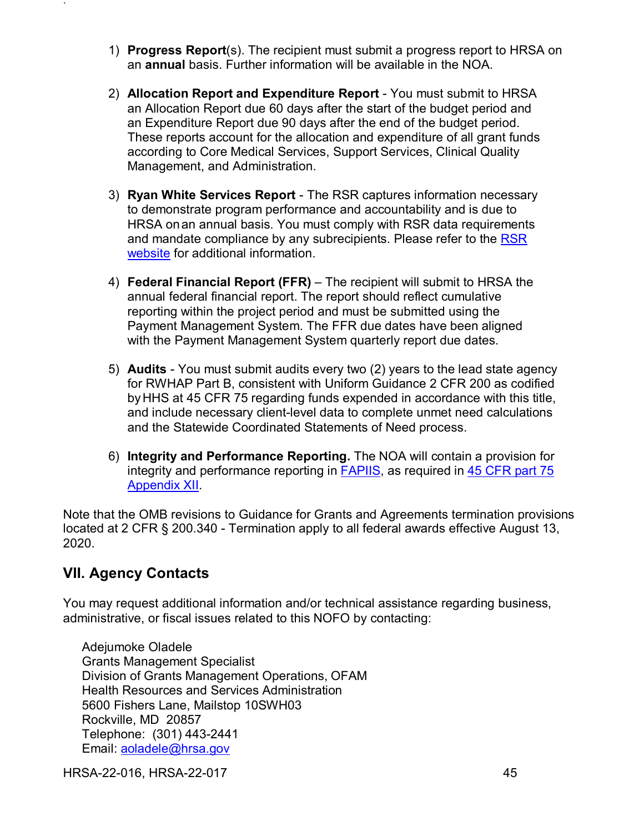- 1) **Progress Report**(s). The recipient must submit a progress report to HRSA on an **annual** basis. Further information will be available in the NOA.
- 2) **Allocation Report and Expenditure Report**  You must submit to HRSA an Allocation Report due 60 days after the start of the budget period and an Expenditure Report due 90 days after the end of the budget period. These reports account for the allocation and expenditure of all grant funds according to Core Medical Services, Support Services, Clinical Quality Management, and Administration.
- 3) **Ryan White Services Report**  The RSR captures information necessary to demonstrate program performance and accountability and is due to HRSA onan annual basis. You must comply with RSR data requirements and mandate compliance by any subrecipients. Please refer to the [RSR](http://hab.hrsa.gov/manageyourgrant/clientleveldata.html)  [website](http://hab.hrsa.gov/manageyourgrant/clientleveldata.html) for additional information.
- 4) **Federal Financial Report (FFR)**  The recipient will submit to HRSA the annual federal financial report. The report should reflect cumulative reporting within the project period and must be submitted using the Payment Management System. The FFR due dates have been aligned with the Payment Management System quarterly report due dates.
- 5) **Audits**  You must submit audits every two (2) years to the lead state agency for RWHAP Part B, consistent with Uniform Guidance 2 CFR 200 as codified byHHS at 45 CFR 75 regarding funds expended in accordance with this title, and include necessary client-level data to complete unmet need calculations and the Statewide Coordinated Statements of Need process.
- 6) **Integrity and Performance Reporting.** The NOA will contain a provision for integrity and performance reporting in [FAPIIS,](https://www.fapiis.gov/) as required in [45 CFR part 75](https://www.ecfr.gov/cgi-bin/retrieveECFR?gp=1&SID=4d52364ec83fab994c665943dadf9cf7&ty=HTML&h=L&r=PART&n=pt45.1.75)  [Appendix XII.](https://www.ecfr.gov/cgi-bin/retrieveECFR?gp=1&SID=4d52364ec83fab994c665943dadf9cf7&ty=HTML&h=L&r=PART&n=pt45.1.75)

Note that the OMB revisions to Guidance for Grants and Agreements termination provisions located at [2 CFR § 200.340 -](https://www.ecfr.gov/cgi-bin/text-idx?SID=da67ef9e79256f1b11e99d2ecb083228&mc=true&node=se2.1.200_1340&rgn=div8) Termination apply to all federal awards effective August 13, 2020.

## <span id="page-49-0"></span>**VII. Agency Contacts**

`

You may request additional information and/or technical assistance regarding business, administrative, or fiscal issues related to this NOFO by contacting:

Adejumoke Oladele Grants Management Specialist Division of Grants Management Operations, OFAM Health Resources and Services Administration 5600 Fishers Lane, Mailstop 10SWH03 Rockville, MD 20857 Telephone: (301) 443-2441 Email: [aoladele@hrsa.gov](mailto:aoladele@hrsa.gov)

HRSA-22-016, HRSA-22-017 45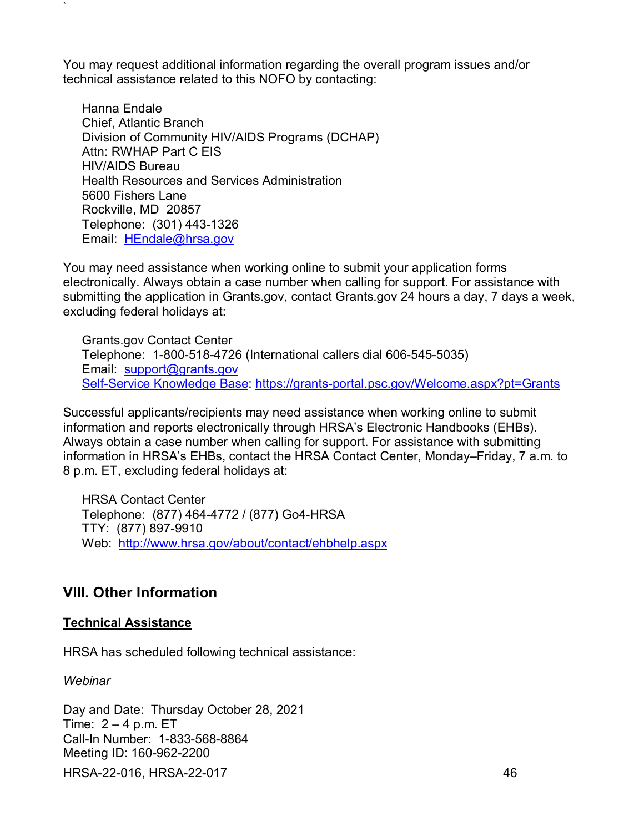You may request additional information regarding the overall program issues and/or technical assistance related to this NOFO by contacting:

Hanna Endale Chief, Atlantic Branch Division of Community HIV/AIDS Programs (DCHAP) Attn: RWHAP Part C EIS HIV/AIDS Bureau Health Resources and Services Administration 5600 Fishers Lane Rockville, MD 20857 Telephone: (301) 443-1326 Email: [HEndale@hrsa.gov](mailto:HEndale@hrsa.gov)

You may need assistance when working online to submit your application forms electronically. Always obtain a case number when calling for support. For assistance with submitting the application in Grants.gov, contact Grants.gov 24 hours a day, 7 days a week, excluding federal holidays at:

Grants.gov Contact Center Telephone: 1-800-518-4726 (International callers dial 606-545-5035) Email: [support@grants.gov](mailto:support@grants.gov) [Self-Service Knowledge](https://gditshared.servicenowservices.com/hhs_grants?pt=Grants) Base: <https://grants-portal.psc.gov/Welcome.aspx?pt=Grants>

Successful applicants/recipients may need assistance when working online to submit information and reports electronically through HRSA's Electronic Handbooks (EHBs). Always obtain a case number when calling for support. For assistance with submitting information in HRSA's EHBs, contact the HRSA Contact Center, Monday–Friday, 7 a.m. to 8 p.m. ET, excluding federal holidays at:

HRSA Contact Center Telephone: (877) 464-4772 / (877) Go4-HRSA TTY: (877) 897-9910 Web: <http://www.hrsa.gov/about/contact/ehbhelp.aspx>

## <span id="page-50-0"></span>**VIII. Other Information**

### **Technical Assistance**

HRSA has scheduled following technical assistance:

*Webinar*

`

HRSA-22-016, HRSA-22-017 46 Day and Date: Thursday October 28, 2021 Time:  $2 - 4$  p.m. ET Call-In Number: 1-833-568-8864 Meeting ID: 160-962-2200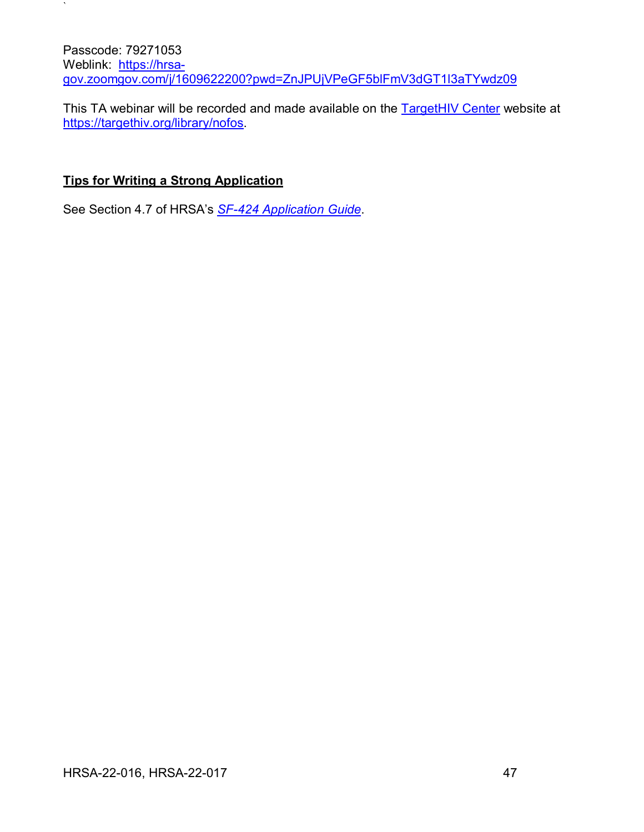Passcode: 79271053 Weblink: [https://hrsa](https://hrsa-gov.zoomgov.com/j/1609622200?pwd=ZnJPUjVPeGF5blFmV3dGT1l3aTYwdz09)[gov.zoomgov.com/j/1609622200?pwd=ZnJPUjVPeGF5blFmV3dGT1l3aTYwdz09](https://hrsa-gov.zoomgov.com/j/1609622200?pwd=ZnJPUjVPeGF5blFmV3dGT1l3aTYwdz09)

This TA webinar will be recorded and made available on the [TargetHIV Center](https://targethiv.org/calendar/2020-Ryan-White-Conference) website at [https://targethiv.org/library/nofos.](https://targethiv.org/library/nofos)

## **Tips for Writing a Strong Application**

 $\mathbf{v}$ 

See Section 4.7 of HRSA's *SF-424 [Application Guide](http://www.hrsa.gov/grants/apply/applicationguide/sf424guide.pdf)*.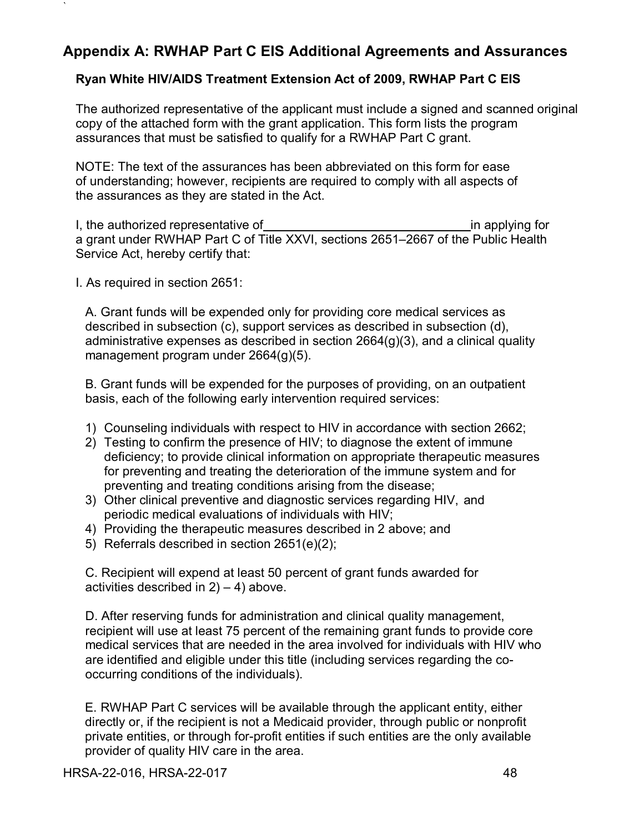## <span id="page-52-0"></span>**Appendix A: RWHAP Part C EIS Additional Agreements and Assurances**

### **Ryan White HIV/AIDS Treatment Extension Act of 2009, RWHAP Part C EIS**

The authorized representative of the applicant must include a signed and scanned original copy of the attached form with the grant application. This form lists the program assurances that must be satisfied to qualify for a RWHAP Part C grant.

NOTE: The text of the assurances has been abbreviated on this form for ease of understanding; however, recipients are required to comply with all aspects of the assurances as they are stated in the Act.

I, the authorized representative of in applying for a grant under RWHAP Part C of Title XXVI, sections 2651–2667 of the Public Health Service Act, hereby certify that:

I. As required in section 2651:

`

A. Grant funds will be expended only for providing core medical services as described in subsection (c), support services as described in subsection (d), administrative expenses as described in section 2664(g)(3), and a clinical quality management program under 2664(g)(5).

B. Grant funds will be expended for the purposes of providing, on an outpatient basis, each of the following early intervention required services:

- 1) Counseling individuals with respect to HIV in accordance with section 2662;
- 2) Testing to confirm the presence of HIV; to diagnose the extent of immune deficiency; to provide clinical information on appropriate therapeutic measures for preventing and treating the deterioration of the immune system and for preventing and treating conditions arising from the disease;
- 3) Other clinical preventive and diagnostic services regarding HIV, and periodic medical evaluations of individuals with HIV;
- 4) Providing the therapeutic measures described in 2 above; and
- 5) Referrals described in section 2651(e)(2);

C. Recipient will expend at least 50 percent of grant funds awarded for activities described in  $2$ ) – 4) above.

D. After reserving funds for administration and clinical quality management, recipient will use at least 75 percent of the remaining grant funds to provide core medical services that are needed in the area involved for individuals with HIV who are identified and eligible under this title (including services regarding the cooccurring conditions of the individuals).

E. RWHAP Part C services will be available through the applicant entity, either directly or, if the recipient is not a Medicaid provider, through public or nonprofit private entities, or through for-profit entities if such entities are the only available provider of quality HIV care in the area.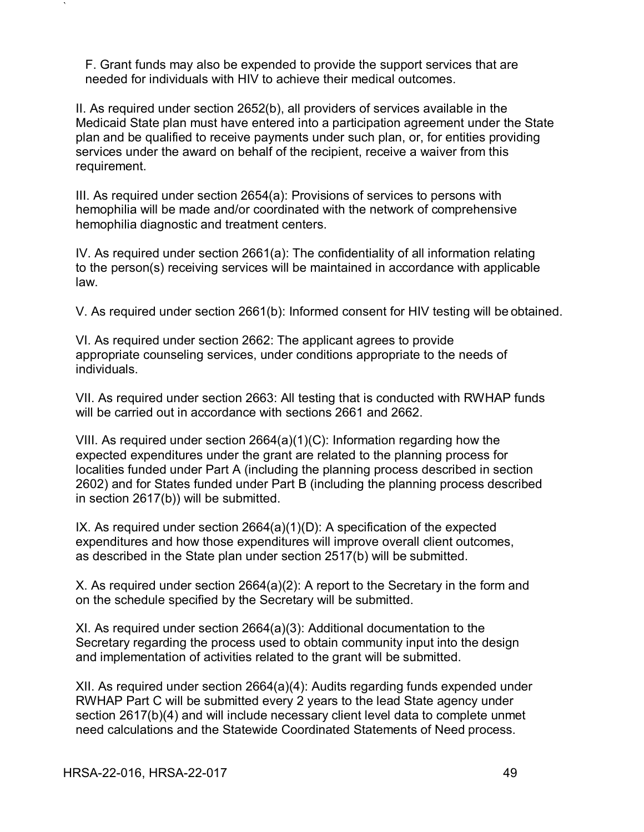F. Grant funds may also be expended to provide the support services that are needed for individuals with HIV to achieve their medical outcomes.

II. As required under section 2652(b), all providers of services available in the Medicaid State plan must have entered into a participation agreement under the State plan and be qualified to receive payments under such plan, or, for entities providing services under the award on behalf of the recipient, receive a waiver from this requirement.

III. As required under section 2654(a): Provisions of services to persons with hemophilia will be made and/or coordinated with the network of comprehensive hemophilia diagnostic and treatment centers.

IV. As required under section 2661(a): The confidentiality of all information relating to the person(s) receiving services will be maintained in accordance with applicable law.

V. As required under section 2661(b): Informed consent for HIV testing will be obtained.

VI. As required under section 2662: The applicant agrees to provide appropriate counseling services, under conditions appropriate to the needs of individuals.

VII. As required under section 2663: All testing that is conducted with RWHAP funds will be carried out in accordance with sections 2661 and 2662.

VIII. As required under section 2664(a)(1)(C): Information regarding how the expected expenditures under the grant are related to the planning process for localities funded under Part A (including the planning process described in section 2602) and for States funded under Part B (including the planning process described in section 2617(b)) will be submitted.

IX. As required under section 2664(a)(1)(D): A specification of the expected expenditures and how those expenditures will improve overall client outcomes, as described in the State plan under section 2517(b) will be submitted.

X. As required under section 2664(a)(2): A report to the Secretary in the form and on the schedule specified by the Secretary will be submitted.

XI. As required under section 2664(a)(3): Additional documentation to the Secretary regarding the process used to obtain community input into the design and implementation of activities related to the grant will be submitted.

XII. As required under section 2664(a)(4): Audits regarding funds expended under RWHAP Part C will be submitted every 2 years to the lead State agency under section 2617(b)(4) and will include necessary client level data to complete unmet need calculations and the Statewide Coordinated Statements of Need process.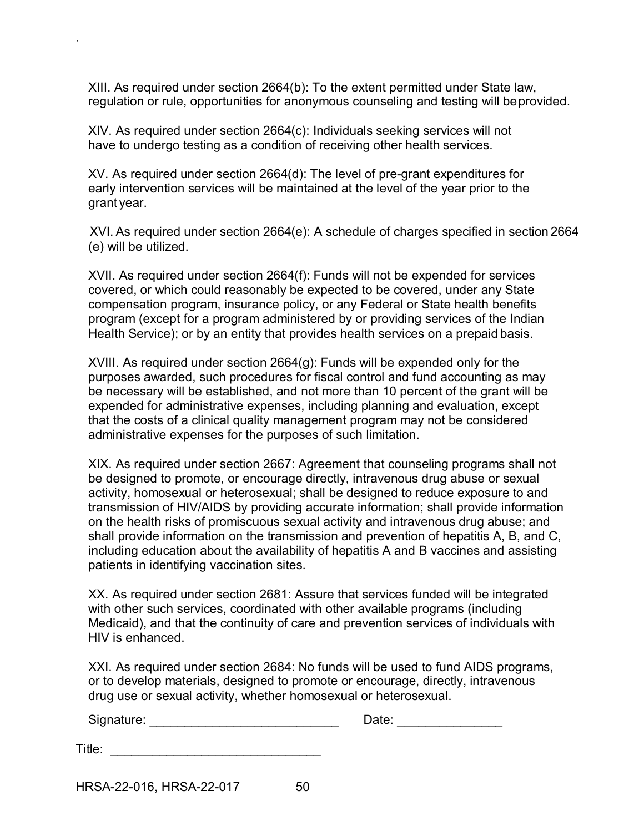XIII. As required under section 2664(b): To the extent permitted under State law, regulation or rule, opportunities for anonymous counseling and testing will beprovided.

XIV. As required under section 2664(c): Individuals seeking services will not have to undergo testing as a condition of receiving other health services.

XV. As required under section 2664(d): The level of pre-grant expenditures for early intervention services will be maintained at the level of the year prior to the grant year.

XVI. As required under section 2664(e): A schedule of charges specified in section 2664 (e) will be utilized.

XVII. As required under section 2664(f): Funds will not be expended for services covered, or which could reasonably be expected to be covered, under any State compensation program, insurance policy, or any Federal or State health benefits program (except for a program administered by or providing services of the Indian Health Service); or by an entity that provides health services on a prepaid basis.

XVIII. As required under section 2664(g): Funds will be expended only for the purposes awarded, such procedures for fiscal control and fund accounting as may be necessary will be established, and not more than 10 percent of the grant will be expended for administrative expenses, including planning and evaluation, except that the costs of a clinical quality management program may not be considered administrative expenses for the purposes of such limitation.

XIX. As required under section 2667: Agreement that counseling programs shall not be designed to promote, or encourage directly, intravenous drug abuse or sexual activity, homosexual or heterosexual; shall be designed to reduce exposure to and transmission of HIV/AIDS by providing accurate information; shall provide information on the health risks of promiscuous sexual activity and intravenous drug abuse; and shall provide information on the transmission and prevention of hepatitis A, B, and C, including education about the availability of hepatitis A and B vaccines and assisting patients in identifying vaccination sites.

XX. As required under section 2681: Assure that services funded will be integrated with other such services, coordinated with other available programs (including Medicaid), and that the continuity of care and prevention services of individuals with HIV is enhanced.

XXI. As required under section 2684: No funds will be used to fund AIDS programs, or to develop materials, designed to promote or encourage, directly, intravenous drug use or sexual activity, whether homosexual or heterosexual.

| Signature: |  |
|------------|--|
|            |  |

| Title: |  |
|--------|--|
|        |  |

HRSA-22-016, HRSA-22-017 50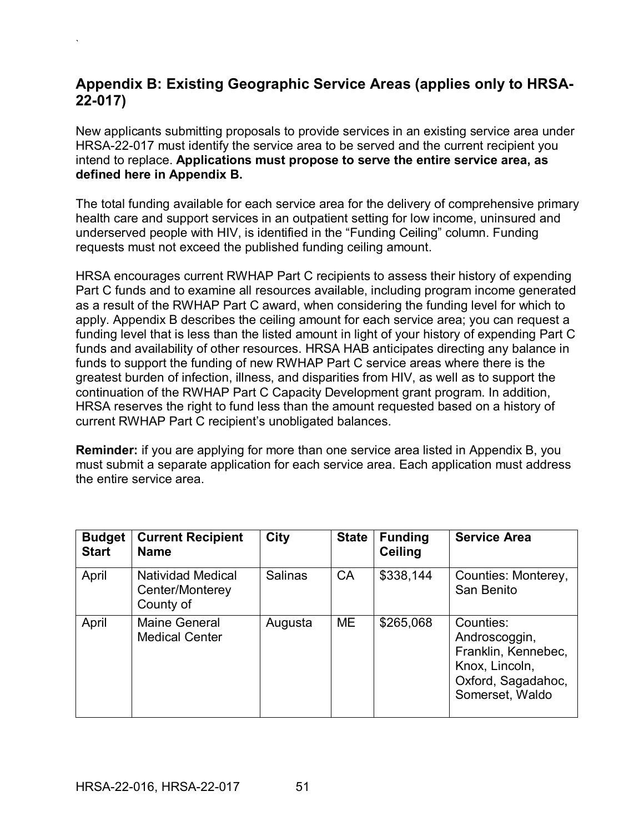## <span id="page-55-0"></span>**Appendix B: Existing Geographic Service Areas (applies only to HRSA-22-017)**

New applicants submitting proposals to provide services in an existing service area under HRSA-22-017 must identify the service area to be served and the current recipient you intend to replace. **Applications must propose to serve the entire service area, as defined here in Appendix B.**

The total funding available for each service area for the delivery of comprehensive primary health care and support services in an outpatient setting for low income, uninsured and underserved people with HIV, is identified in the "Funding Ceiling" column. Funding requests must not exceed the published funding ceiling amount.

HRSA encourages current RWHAP Part C recipients to assess their history of expending Part C funds and to examine all resources available, including program income generated as a result of the RWHAP Part C award, when considering the funding level for which to apply. Appendix B describes the ceiling amount for each service area; you can request a funding level that is less than the listed amount in light of your history of expending Part C funds and availability of other resources. HRSA HAB anticipates directing any balance in funds to support the funding of new RWHAP Part C service areas where there is the greatest burden of infection, illness, and disparities from HIV, as well as to support the continuation of the RWHAP Part C Capacity Development grant program. In addition, HRSA reserves the right to fund less than the amount requested based on a history of current RWHAP Part C recipient's unobligated balances.

**Reminder:** if you are applying for more than one service area listed in Appendix B, you must submit a separate application for each service area. Each application must address the entire service area.

| <b>Budget</b><br><b>Start</b> | <b>Current Recipient</b><br><b>Name</b>                  | <b>City</b>    | <b>State</b> | <b>Funding</b><br><b>Ceiling</b> | <b>Service Area</b>                                                                                          |
|-------------------------------|----------------------------------------------------------|----------------|--------------|----------------------------------|--------------------------------------------------------------------------------------------------------------|
| April                         | <b>Natividad Medical</b><br>Center/Monterey<br>County of | <b>Salinas</b> | CA           | \$338,144                        | Counties: Monterey,<br>San Benito                                                                            |
| April                         | <b>Maine General</b><br><b>Medical Center</b>            | Augusta        | <b>ME</b>    | \$265,068                        | Counties:<br>Androscoggin,<br>Franklin, Kennebec,<br>Knox, Lincoln,<br>Oxford, Sagadahoc,<br>Somerset, Waldo |